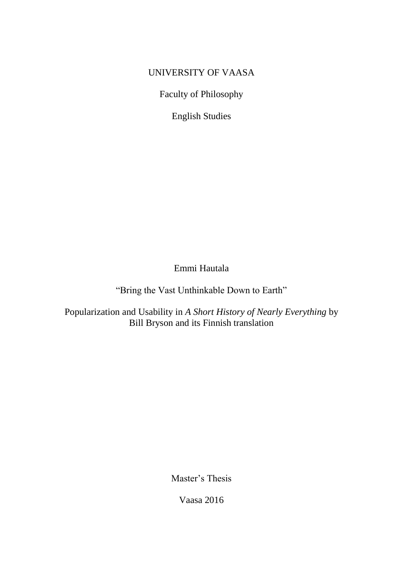## UNIVERSITY OF VAASA

Faculty of Philosophy

English Studies

Emmi Hautala

"Bring the Vast Unthinkable Down to Earth"

Popularization and Usability in *A Short History of Nearly Everything* by Bill Bryson and its Finnish translation

Master's Thesis

Vaasa 2016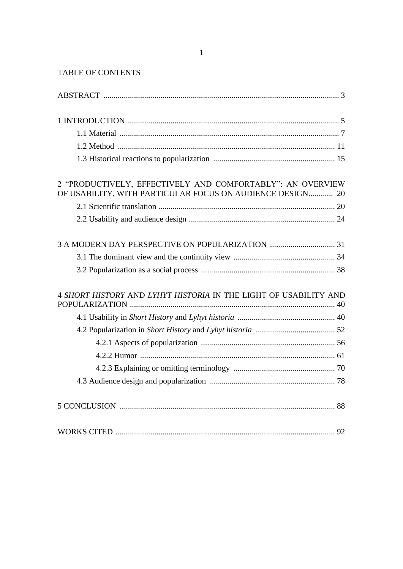### TABLE OF CONTENTS

| 2 "PRODUCTIVELY, EFFECTIVELY AND COMFORTABLY": AN OVERVIEW<br>OF USABILITY, WITH PARTICULAR FOCUS ON AUDIENCE DESIGN 20 |
|-------------------------------------------------------------------------------------------------------------------------|
|                                                                                                                         |
|                                                                                                                         |
|                                                                                                                         |
|                                                                                                                         |
|                                                                                                                         |
| 4 SHORT HISTORY AND LYHYT HISTORIA IN THE LIGHT OF USABILITY AND                                                        |
|                                                                                                                         |
|                                                                                                                         |
|                                                                                                                         |
|                                                                                                                         |
|                                                                                                                         |
|                                                                                                                         |
|                                                                                                                         |
|                                                                                                                         |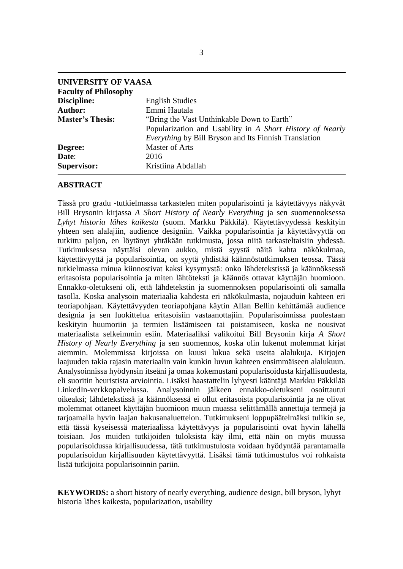| <b>UNIVERSITY OF VAASA</b>   |                                                              |
|------------------------------|--------------------------------------------------------------|
| <b>Faculty of Philosophy</b> |                                                              |
| Discipline:                  | <b>English Studies</b>                                       |
| <b>Author:</b>               | Emmi Hautala                                                 |
| <b>Master's Thesis:</b>      | "Bring the Vast Unthinkable Down to Earth"                   |
|                              | Popularization and Usability in A Short History of Nearly    |
|                              | <i>Everything</i> by Bill Bryson and Its Finnish Translation |
| Degree:                      | <b>Master of Arts</b>                                        |
| Date:                        | 2016                                                         |
| <b>Supervisor:</b>           | Kristiina Abdallah                                           |

#### <span id="page-4-0"></span>**ABSTRACT**

Tässä pro gradu -tutkielmassa tarkastelen miten popularisointi ja käytettävyys näkyvät Bill Brysonin kirjassa *A Short History of Nearly Everything* ja sen suomennoksessa *Lyhyt historia lähes kaikesta* (suom. Markku Päkkilä). Käytettävyydessä keskityin yhteen sen alalajiin, audience designiin. Vaikka popularisointia ja käytettävyyttä on tutkittu paljon, en löytänyt yhtäkään tutkimusta, jossa niitä tarkasteltaisiin yhdessä. Tutkimuksessa näyttäisi olevan aukko, mistä syystä näitä kahta näkökulmaa, käytettävyyttä ja popularisointia, on syytä yhdistää käännöstutkimuksen teossa. Tässä tutkielmassa minua kiinnostivat kaksi kysymystä: onko lähdetekstissä ja käännöksessä eritasoista popularisointia ja miten lähtöteksti ja käännös ottavat käyttäjän huomioon. Ennakko-oletukseni oli, että lähdetekstin ja suomennoksen popularisointi oli samalla tasolla. Koska analysoin materiaalia kahdesta eri näkökulmasta, nojauduin kahteen eri teoriapohjaan. Käytettävyyden teoriapohjana käytin Allan Bellin kehittämää audience designia ja sen luokittelua eritasoisiin vastaanottajiin. Popularisoinnissa puolestaan keskityin huumoriin ja termien lisäämiseen tai poistamiseen, koska ne nousivat materiaalista selkeimmin esiin. Materiaaliksi valikoitui Bill Brysonin kirja *A Short History of Nearly Everything* ja sen suomennos, koska olin lukenut molemmat kirjat aiemmin. Molemmissa kirjoissa on kuusi lukua sekä useita alalukuja. Kirjojen laajuuden takia rajasin materiaalin vain kunkin luvun kahteen ensimmäiseen alalukuun. Analysoinnissa hyödynsin itseäni ja omaa kokemustani popularisoidusta kirjallisuudesta, eli suoritin heuristista arviointia. Lisäksi haastattelin lyhyesti kääntäjä Markku Päkkilää LinkedIn-verkkopalvelussa. Analysoinnin jälkeen ennakko-oletukseni osoittautui oikeaksi; lähdetekstissä ja käännöksessä ei ollut eritasoista popularisointia ja ne olivat molemmat ottaneet käyttäjän huomioon muun muassa selittämällä annettuja termejä ja tarjoamalla hyvin laajan hakusanaluettelon. Tutkimukseni loppupäätelmäksi tulikin se, että tässä kyseisessä materiaalissa käytettävyys ja popularisointi ovat hyvin lähellä toisiaan. Jos muiden tutkijoiden tuloksista käy ilmi, että näin on myös muussa popularisoidussa kirjallisuudessa, tätä tutkimustulosta voidaan hyödyntää parantamalla popularisoidun kirjallisuuden käytettävyyttä. Lisäksi tämä tutkimustulos voi rohkaista lisää tutkijoita popularisoinnin pariin.

**KEYWORDS:** a short history of nearly everything, audience design, bill bryson, lyhyt historia lähes kaikesta, popularization, usability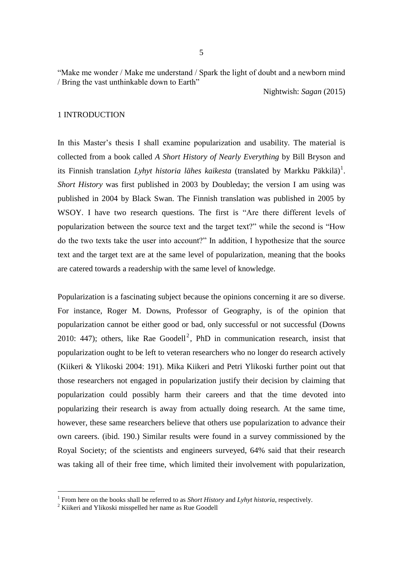"Make me wonder / Make me understand / Spark the light of doubt and a newborn mind / Bring the vast unthinkable down to Earth"

Nightwish: *Sagan* (2015)

### <span id="page-6-0"></span>1 INTRODUCTION

In this Master's thesis I shall examine popularization and usability. The material is collected from a book called *A Short History of Nearly Everything* by Bill Bryson and its Finnish translation *Lyhyt historia lähes kaikesta* (translated by Markku Päkkilä)<sup>1</sup>. *Short History* was first published in 2003 by Doubleday; the version I am using was published in 2004 by Black Swan. The Finnish translation was published in 2005 by WSOY. I have two research questions. The first is "Are there different levels of popularization between the source text and the target text?" while the second is "How do the two texts take the user into account?" In addition, I hypothesize that the source text and the target text are at the same level of popularization, meaning that the books are catered towards a readership with the same level of knowledge.

Popularization is a fascinating subject because the opinions concerning it are so diverse. For instance, Roger M. Downs, Professor of Geography, is of the opinion that popularization cannot be either good or bad, only successful or not successful (Downs 2010: 447); others, like Rae Goodell<sup>2</sup>, PhD in communication research, insist that popularization ought to be left to veteran researchers who no longer do research actively (Kiikeri & Ylikoski 2004: 191). Mika Kiikeri and Petri Ylikoski further point out that those researchers not engaged in popularization justify their decision by claiming that popularization could possibly harm their careers and that the time devoted into popularizing their research is away from actually doing research. At the same time, however, these same researchers believe that others use popularization to advance their own careers. (ibid. 190.) Similar results were found in a survey commissioned by the Royal Society; of the scientists and engineers surveyed, 64% said that their research was taking all of their free time, which limited their involvement with popularization,

 $\overline{a}$ 

<sup>1</sup> From here on the books shall be referred to as *Short History* and *Lyhyt historia*, respectively.

<sup>&</sup>lt;sup>2</sup> Kiikeri and Ylikoski misspelled her name as Rue Goodell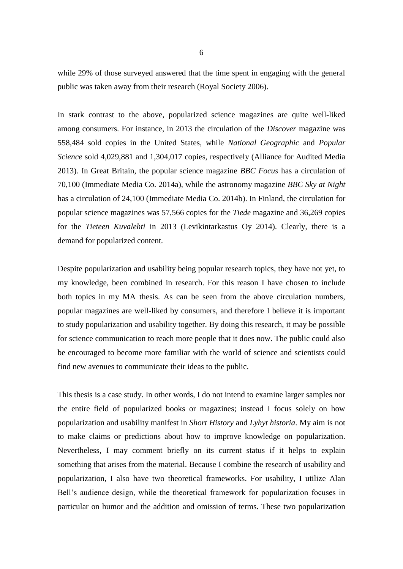while 29% of those surveyed answered that the time spent in engaging with the general public was taken away from their research (Royal Society 2006).

In stark contrast to the above, popularized science magazines are quite well-liked among consumers. For instance, in 2013 the circulation of the *Discover* magazine was 558,484 sold copies in the United States, while *National Geographic* and *Popular Science* sold 4,029,881 and 1,304,017 copies, respectively (Alliance for Audited Media 2013). In Great Britain, the popular science magazine *BBC Focus* has a circulation of 70,100 (Immediate Media Co. 2014a), while the astronomy magazine *BBC Sky at Night* has a circulation of 24,100 (Immediate Media Co. 2014b). In Finland, the circulation for popular science magazines was 57,566 copies for the *Tiede* magazine and 36,269 copies for the *Tieteen Kuvalehti* in 2013 (Levikintarkastus Oy 2014). Clearly, there is a demand for popularized content.

Despite popularization and usability being popular research topics, they have not yet, to my knowledge, been combined in research. For this reason I have chosen to include both topics in my MA thesis. As can be seen from the above circulation numbers, popular magazines are well-liked by consumers, and therefore I believe it is important to study popularization and usability together. By doing this research, it may be possible for science communication to reach more people that it does now. The public could also be encouraged to become more familiar with the world of science and scientists could find new avenues to communicate their ideas to the public.

This thesis is a case study. In other words, I do not intend to examine larger samples nor the entire field of popularized books or magazines; instead I focus solely on how popularization and usability manifest in *Short History* and *Lyhyt historia*. My aim is not to make claims or predictions about how to improve knowledge on popularization. Nevertheless, I may comment briefly on its current status if it helps to explain something that arises from the material. Because I combine the research of usability and popularization, I also have two theoretical frameworks. For usability, I utilize Alan Bell's audience design, while the theoretical framework for popularization focuses in particular on humor and the addition and omission of terms. These two popularization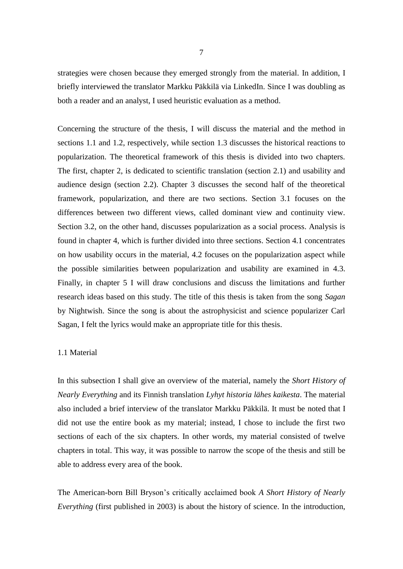strategies were chosen because they emerged strongly from the material. In addition, I briefly interviewed the translator Markku Päkkilä via LinkedIn. Since I was doubling as both a reader and an analyst, I used heuristic evaluation as a method.

Concerning the structure of the thesis, I will discuss the material and the method in sections 1.1 and 1.2, respectively, while section 1.3 discusses the historical reactions to popularization. The theoretical framework of this thesis is divided into two chapters. The first, chapter 2, is dedicated to scientific translation (section 2.1) and usability and audience design (section 2.2). Chapter 3 discusses the second half of the theoretical framework, popularization, and there are two sections. Section 3.1 focuses on the differences between two different views, called dominant view and continuity view. Section 3.2, on the other hand, discusses popularization as a social process. Analysis is found in chapter 4, which is further divided into three sections. Section 4.1 concentrates on how usability occurs in the material, 4.2 focuses on the popularization aspect while the possible similarities between popularization and usability are examined in 4.3. Finally, in chapter 5 I will draw conclusions and discuss the limitations and further research ideas based on this study. The title of this thesis is taken from the song *Sagan* by Nightwish. Since the song is about the astrophysicist and science popularizer Carl Sagan, I felt the lyrics would make an appropriate title for this thesis.

#### <span id="page-8-0"></span>1.1 Material

In this subsection I shall give an overview of the material, namely the *Short History of Nearly Everything* and its Finnish translation *Lyhyt historia lähes kaikesta*. The material also included a brief interview of the translator Markku Päkkilä. It must be noted that I did not use the entire book as my material; instead, I chose to include the first two sections of each of the six chapters. In other words, my material consisted of twelve chapters in total. This way, it was possible to narrow the scope of the thesis and still be able to address every area of the book.

The American-born Bill Bryson's critically acclaimed book *A Short History of Nearly Everything* (first published in 2003) is about the history of science. In the introduction,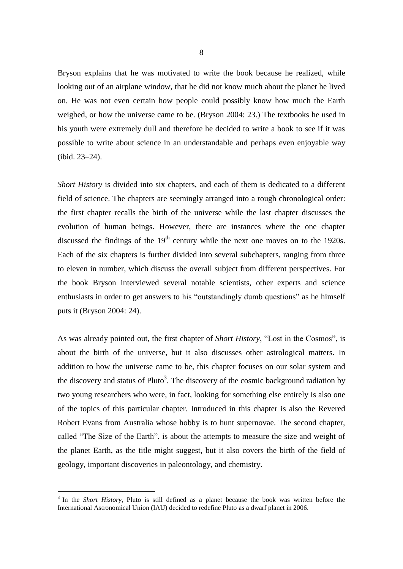Bryson explains that he was motivated to write the book because he realized, while looking out of an airplane window, that he did not know much about the planet he lived on. He was not even certain how people could possibly know how much the Earth weighed, or how the universe came to be. (Bryson 2004: 23.) The textbooks he used in his youth were extremely dull and therefore he decided to write a book to see if it was possible to write about science in an understandable and perhaps even enjoyable way  $(ibid. 23-24).$ 

*Short History* is divided into six chapters, and each of them is dedicated to a different field of science. The chapters are seemingly arranged into a rough chronological order: the first chapter recalls the birth of the universe while the last chapter discusses the evolution of human beings. However, there are instances where the one chapter discussed the findings of the  $19<sup>th</sup>$  century while the next one moves on to the 1920s. Each of the six chapters is further divided into several subchapters, ranging from three to eleven in number, which discuss the overall subject from different perspectives. For the book Bryson interviewed several notable scientists, other experts and science enthusiasts in order to get answers to his "outstandingly dumb questions" as he himself puts it (Bryson 2004: 24).

As was already pointed out, the first chapter of *Short History*, "Lost in the Cosmos", is about the birth of the universe, but it also discusses other astrological matters. In addition to how the universe came to be, this chapter focuses on our solar system and the discovery and status of Pluto<sup>3</sup>. The discovery of the cosmic background radiation by two young researchers who were, in fact, looking for something else entirely is also one of the topics of this particular chapter. Introduced in this chapter is also the Revered Robert Evans from Australia whose hobby is to hunt supernovae. The second chapter, called "The Size of the Earth", is about the attempts to measure the size and weight of the planet Earth, as the title might suggest, but it also covers the birth of the field of geology, important discoveries in paleontology, and chemistry.

 $\overline{a}$ 

<sup>&</sup>lt;sup>3</sup> In the *Short History*, Pluto is still defined as a planet because the book was written before the International Astronomical Union (IAU) decided to redefine Pluto as a dwarf planet in 2006.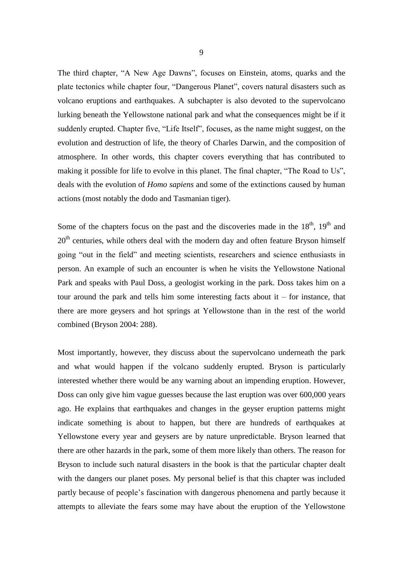The third chapter, "A New Age Dawns", focuses on Einstein, atoms, quarks and the plate tectonics while chapter four, "Dangerous Planet", covers natural disasters such as volcano eruptions and earthquakes. A subchapter is also devoted to the supervolcano lurking beneath the Yellowstone national park and what the consequences might be if it suddenly erupted. Chapter five, "Life Itself", focuses, as the name might suggest, on the evolution and destruction of life, the theory of Charles Darwin, and the composition of atmosphere. In other words, this chapter covers everything that has contributed to making it possible for life to evolve in this planet. The final chapter, "The Road to Us", deals with the evolution of *Homo sapiens* and some of the extinctions caused by human actions (most notably the dodo and Tasmanian tiger).

Some of the chapters focus on the past and the discoveries made in the  $18<sup>th</sup>$ ,  $19<sup>th</sup>$  and  $20<sup>th</sup>$  centuries, while others deal with the modern day and often feature Bryson himself going "out in the field" and meeting scientists, researchers and science enthusiasts in person. An example of such an encounter is when he visits the Yellowstone National Park and speaks with Paul Doss, a geologist working in the park. Doss takes him on a tour around the park and tells him some interesting facts about it – for instance, that there are more geysers and hot springs at Yellowstone than in the rest of the world combined (Bryson 2004: 288).

Most importantly, however, they discuss about the supervolcano underneath the park and what would happen if the volcano suddenly erupted. Bryson is particularly interested whether there would be any warning about an impending eruption. However, Doss can only give him vague guesses because the last eruption was over 600,000 years ago. He explains that earthquakes and changes in the geyser eruption patterns might indicate something is about to happen, but there are hundreds of earthquakes at Yellowstone every year and geysers are by nature unpredictable. Bryson learned that there are other hazards in the park, some of them more likely than others. The reason for Bryson to include such natural disasters in the book is that the particular chapter dealt with the dangers our planet poses. My personal belief is that this chapter was included partly because of people's fascination with dangerous phenomena and partly because it attempts to alleviate the fears some may have about the eruption of the Yellowstone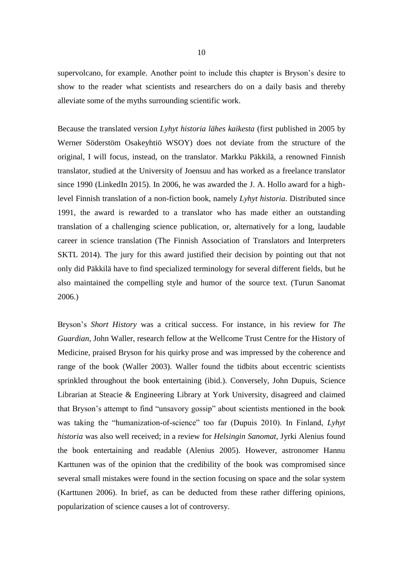supervolcano, for example. Another point to include this chapter is Bryson's desire to show to the reader what scientists and researchers do on a daily basis and thereby alleviate some of the myths surrounding scientific work.

Because the translated version *Lyhyt historia lähes kaikesta* (first published in 2005 by Werner Söderstöm Osakeyhtiö WSOY) does not deviate from the structure of the original, I will focus, instead, on the translator. Markku Päkkilä, a renowned Finnish translator, studied at the University of Joensuu and has worked as a freelance translator since 1990 (LinkedIn 2015). In 2006, he was awarded the J. A. Hollo award for a highlevel Finnish translation of a non-fiction book, namely *Lyhyt historia*. Distributed since 1991, the award is rewarded to a translator who has made either an outstanding translation of a challenging science publication, or, alternatively for a long, laudable career in science translation (The Finnish Association of Translators and Interpreters SKTL 2014). The jury for this award justified their decision by pointing out that not only did Päkkilä have to find specialized terminology for several different fields, but he also maintained the compelling style and humor of the source text. (Turun Sanomat 2006.)

Bryson's *Short History* was a critical success. For instance, in his review for *The Guardian*, John Waller, research fellow at the Wellcome Trust Centre for the History of Medicine, praised Bryson for his quirky prose and was impressed by the coherence and range of the book (Waller 2003). Waller found the tidbits about eccentric scientists sprinkled throughout the book entertaining (ibid.). Conversely, John Dupuis, Science Librarian at Steacie & Engineering Library at York University, disagreed and claimed that Bryson's attempt to find "unsavory gossip" about scientists mentioned in the book was taking the "humanization-of-science" too far (Dupuis 2010). In Finland, *Lyhyt historia* was also well received; in a review for *Helsingin Sanomat*, Jyrki Alenius found the book entertaining and readable (Alenius 2005). However, astronomer Hannu Karttunen was of the opinion that the credibility of the book was compromised since several small mistakes were found in the section focusing on space and the solar system (Karttunen 2006). In brief, as can be deducted from these rather differing opinions, popularization of science causes a lot of controversy.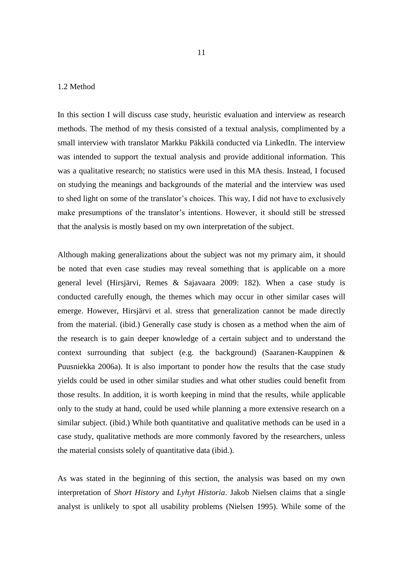#### <span id="page-12-0"></span>1.2 Method

In this section I will discuss case study, heuristic evaluation and interview as research methods. The method of my thesis consisted of a textual analysis, complimented by a small interview with translator Markku Päkkilä conducted via LinkedIn. The interview was intended to support the textual analysis and provide additional information. This was a qualitative research; no statistics were used in this MA thesis. Instead, I focused on studying the meanings and backgrounds of the material and the interview was used to shed light on some of the translator's choices. This way, I did not have to exclusively make presumptions of the translator's intentions. However, it should still be stressed that the analysis is mostly based on my own interpretation of the subject.

Although making generalizations about the subject was not my primary aim, it should be noted that even case studies may reveal something that is applicable on a more general level (Hirsjärvi, Remes & Sajavaara 2009: 182). When a case study is conducted carefully enough, the themes which may occur in other similar cases will emerge. However, Hirsjärvi et al. stress that generalization cannot be made directly from the material. (ibid.) Generally case study is chosen as a method when the aim of the research is to gain deeper knowledge of a certain subject and to understand the context surrounding that subject (e.g. the background) (Saaranen-Kauppinen & Puusniekka 2006a). It is also important to ponder how the results that the case study yields could be used in other similar studies and what other studies could benefit from those results. In addition, it is worth keeping in mind that the results, while applicable only to the study at hand, could be used while planning a more extensive research on a similar subject. (ibid.) While both quantitative and qualitative methods can be used in a case study, qualitative methods are more commonly favored by the researchers, unless the material consists solely of quantitative data (ibid.).

As was stated in the beginning of this section, the analysis was based on my own interpretation of *Short History* and *Lyhyt Historia*. Jakob Nielsen claims that a single analyst is unlikely to spot all usability problems (Nielsen 1995). While some of the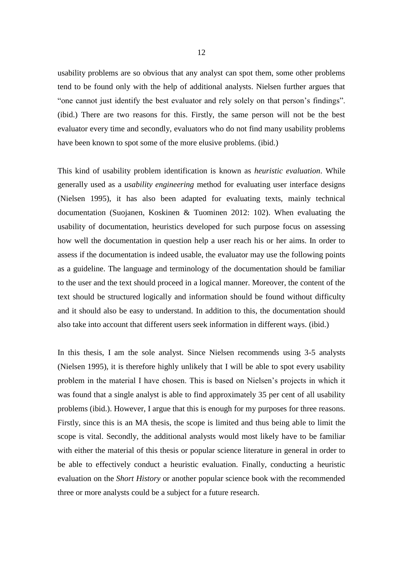usability problems are so obvious that any analyst can spot them, some other problems tend to be found only with the help of additional analysts. Nielsen further argues that "one cannot just identify the best evaluator and rely solely on that person's findings". (ibid.) There are two reasons for this. Firstly, the same person will not be the best evaluator every time and secondly, evaluators who do not find many usability problems have been known to spot some of the more elusive problems. (ibid.)

This kind of usability problem identification is known as *heuristic evaluation*. While generally used as a *usability engineering* method for evaluating user interface designs (Nielsen 1995), it has also been adapted for evaluating texts, mainly technical documentation (Suojanen, Koskinen & Tuominen 2012: 102). When evaluating the usability of documentation, heuristics developed for such purpose focus on assessing how well the documentation in question help a user reach his or her aims. In order to assess if the documentation is indeed usable, the evaluator may use the following points as a guideline. The language and terminology of the documentation should be familiar to the user and the text should proceed in a logical manner. Moreover, the content of the text should be structured logically and information should be found without difficulty and it should also be easy to understand. In addition to this, the documentation should also take into account that different users seek information in different ways. (ibid.)

In this thesis, I am the sole analyst. Since Nielsen recommends using 3-5 analysts (Nielsen 1995), it is therefore highly unlikely that I will be able to spot every usability problem in the material I have chosen. This is based on Nielsen's projects in which it was found that a single analyst is able to find approximately 35 per cent of all usability problems (ibid.). However, I argue that this is enough for my purposes for three reasons. Firstly, since this is an MA thesis, the scope is limited and thus being able to limit the scope is vital. Secondly, the additional analysts would most likely have to be familiar with either the material of this thesis or popular science literature in general in order to be able to effectively conduct a heuristic evaluation. Finally, conducting a heuristic evaluation on the *Short History* or another popular science book with the recommended three or more analysts could be a subject for a future research.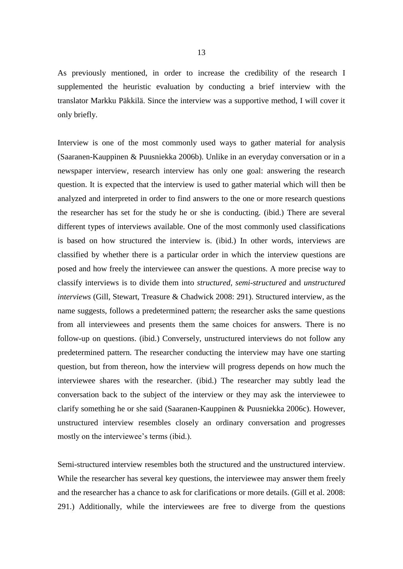As previously mentioned, in order to increase the credibility of the research I supplemented the heuristic evaluation by conducting a brief interview with the translator Markku Päkkilä. Since the interview was a supportive method, I will cover it only briefly.

Interview is one of the most commonly used ways to gather material for analysis (Saaranen-Kauppinen & Puusniekka 2006b). Unlike in an everyday conversation or in a newspaper interview, research interview has only one goal: answering the research question. It is expected that the interview is used to gather material which will then be analyzed and interpreted in order to find answers to the one or more research questions the researcher has set for the study he or she is conducting. (ibid.) There are several different types of interviews available. One of the most commonly used classifications is based on how structured the interview is. (ibid.) In other words, interviews are classified by whether there is a particular order in which the interview questions are posed and how freely the interviewee can answer the questions. A more precise way to classify interviews is to divide them into *structured*, *semi-structured* and *unstructured interviews* (Gill, Stewart, Treasure & Chadwick 2008: 291). Structured interview, as the name suggests, follows a predetermined pattern; the researcher asks the same questions from all interviewees and presents them the same choices for answers. There is no follow-up on questions. (ibid.) Conversely, unstructured interviews do not follow any predetermined pattern. The researcher conducting the interview may have one starting question, but from thereon, how the interview will progress depends on how much the interviewee shares with the researcher. (ibid.) The researcher may subtly lead the conversation back to the subject of the interview or they may ask the interviewee to clarify something he or she said (Saaranen-Kauppinen & Puusniekka 2006c). However, unstructured interview resembles closely an ordinary conversation and progresses mostly on the interviewee's terms (ibid.).

Semi-structured interview resembles both the structured and the unstructured interview. While the researcher has several key questions, the interviewee may answer them freely and the researcher has a chance to ask for clarifications or more details. (Gill et al. 2008: 291.) Additionally, while the interviewees are free to diverge from the questions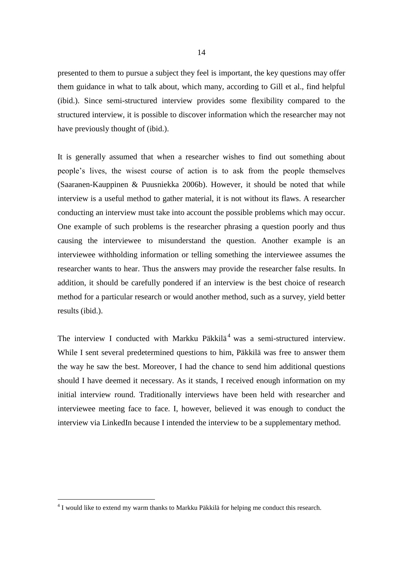presented to them to pursue a subject they feel is important, the key questions may offer them guidance in what to talk about, which many, according to Gill et al., find helpful (ibid.). Since semi-structured interview provides some flexibility compared to the structured interview, it is possible to discover information which the researcher may not have previously thought of (ibid.).

It is generally assumed that when a researcher wishes to find out something about people's lives, the wisest course of action is to ask from the people themselves (Saaranen-Kauppinen & Puusniekka 2006b). However, it should be noted that while interview is a useful method to gather material, it is not without its flaws. A researcher conducting an interview must take into account the possible problems which may occur. One example of such problems is the researcher phrasing a question poorly and thus causing the interviewee to misunderstand the question. Another example is an interviewee withholding information or telling something the interviewee assumes the researcher wants to hear. Thus the answers may provide the researcher false results. In addition, it should be carefully pondered if an interview is the best choice of research method for a particular research or would another method, such as a survey, yield better results (ibid.).

The interview I conducted with Markku Päkkilä<sup>4</sup> was a semi-structured interview. While I sent several predetermined questions to him, Päkkilä was free to answer them the way he saw the best. Moreover, I had the chance to send him additional questions should I have deemed it necessary. As it stands, I received enough information on my initial interview round. Traditionally interviews have been held with researcher and interviewee meeting face to face. I, however, believed it was enough to conduct the interview via LinkedIn because I intended the interview to be a supplementary method.

-

 $4$  I would like to extend my warm thanks to Markku Päkkilä for helping me conduct this research.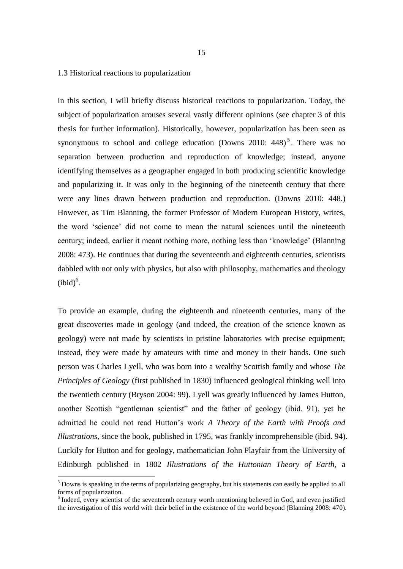#### <span id="page-16-0"></span>1.3 Historical reactions to popularization

In this section, I will briefly discuss historical reactions to popularization. Today, the subject of popularization arouses several vastly different opinions (see chapter 3 of this thesis for further information). Historically, however, popularization has been seen as synonymous to school and college education (Downs 2010:  $448$ )<sup>5</sup>. There was no separation between production and reproduction of knowledge; instead, anyone identifying themselves as a geographer engaged in both producing scientific knowledge and popularizing it. It was only in the beginning of the nineteenth century that there were any lines drawn between production and reproduction. (Downs 2010: 448.) However, as Tim Blanning, the former Professor of Modern European History, writes, the word 'science' did not come to mean the natural sciences until the nineteenth century; indeed, earlier it meant nothing more, nothing less than 'knowledge' (Blanning 2008: 473). He continues that during the seventeenth and eighteenth centuries, scientists dabbled with not only with physics, but also with philosophy, mathematics and theology  $(ibid)<sup>6</sup>$ .

To provide an example, during the eighteenth and nineteenth centuries, many of the great discoveries made in geology (and indeed, the creation of the science known as geology) were not made by scientists in pristine laboratories with precise equipment; instead, they were made by amateurs with time and money in their hands. One such person was Charles Lyell, who was born into a wealthy Scottish family and whose *The Principles of Geology* (first published in 1830) influenced geological thinking well into the twentieth century (Bryson 2004: 99). Lyell was greatly influenced by James Hutton, another Scottish "gentleman scientist" and the father of geology (ibid. 91), yet he admitted he could not read Hutton's work *A Theory of the Earth with Proofs and Illustrations*, since the book, published in 1795, was frankly incomprehensible (ibid. 94). Luckily for Hutton and for geology, mathematician John Playfair from the University of Edinburgh published in 1802 *Illustrations of the Huttonian Theory of Earth*, a

 $\overline{a}$ 

<sup>&</sup>lt;sup>5</sup> Downs is speaking in the terms of popularizing geography, but his statements can easily be applied to all forms of popularization.

<sup>&</sup>lt;sup>6</sup> Indeed, every scientist of the seventeenth century worth mentioning believed in God, and even justified the investigation of this world with their belief in the existence of the world beyond (Blanning 2008: 470).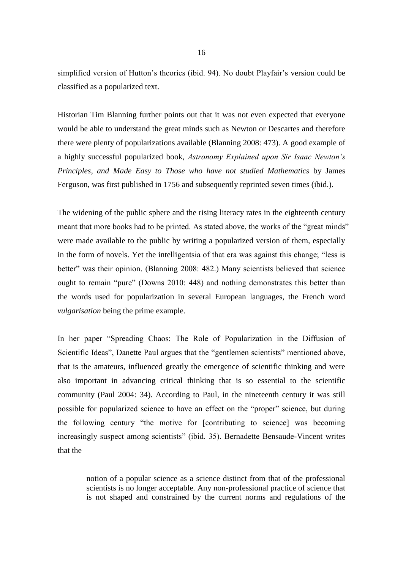simplified version of Hutton's theories (ibid. 94). No doubt Playfair's version could be classified as a popularized text.

Historian Tim Blanning further points out that it was not even expected that everyone would be able to understand the great minds such as Newton or Descartes and therefore there were plenty of popularizations available (Blanning 2008: 473). A good example of a highly successful popularized book, *Astronomy Explained upon Sir Isaac Newton's Principles, and Made Easy to Those who have not studied Mathematics* by James Ferguson, was first published in 1756 and subsequently reprinted seven times (ibid.).

The widening of the public sphere and the rising literacy rates in the eighteenth century meant that more books had to be printed. As stated above, the works of the "great minds" were made available to the public by writing a popularized version of them, especially in the form of novels. Yet the intelligentsia of that era was against this change; "less is better" was their opinion. (Blanning 2008: 482.) Many scientists believed that science ought to remain "pure" (Downs 2010: 448) and nothing demonstrates this better than the words used for popularization in several European languages, the French word *vulgarisation* being the prime example.

In her paper "Spreading Chaos: The Role of Popularization in the Diffusion of Scientific Ideas", Danette Paul argues that the "gentlemen scientists" mentioned above, that is the amateurs, influenced greatly the emergence of scientific thinking and were also important in advancing critical thinking that is so essential to the scientific community (Paul 2004: 34). According to Paul, in the nineteenth century it was still possible for popularized science to have an effect on the "proper" science, but during the following century "the motive for [contributing to science] was becoming increasingly suspect among scientists" (ibid. 35). Bernadette Bensaude-Vincent writes that the

notion of a popular science as a science distinct from that of the professional scientists is no longer acceptable. Any non-professional practice of science that is not shaped and constrained by the current norms and regulations of the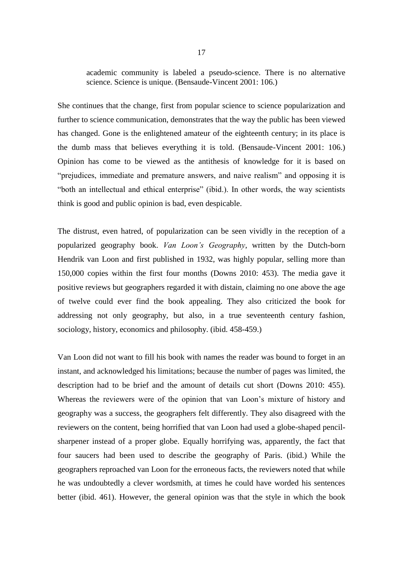academic community is labeled a pseudo-science. There is no alternative science. Science is unique. (Bensaude-Vincent 2001: 106.)

She continues that the change, first from popular science to science popularization and further to science communication, demonstrates that the way the public has been viewed has changed. Gone is the enlightened amateur of the eighteenth century; in its place is the dumb mass that believes everything it is told. (Bensaude-Vincent 2001: 106.) Opinion has come to be viewed as the antithesis of knowledge for it is based on "prejudices, immediate and premature answers, and naive realism" and opposing it is "both an intellectual and ethical enterprise" (ibid.). In other words, the way scientists think is good and public opinion is bad, even despicable.

The distrust, even hatred, of popularization can be seen vividly in the reception of a popularized geography book. *Van Loon's Geography*, written by the Dutch-born Hendrik van Loon and first published in 1932, was highly popular, selling more than 150,000 copies within the first four months (Downs 2010: 453). The media gave it positive reviews but geographers regarded it with distain, claiming no one above the age of twelve could ever find the book appealing. They also criticized the book for addressing not only geography, but also, in a true seventeenth century fashion, sociology, history, economics and philosophy. (ibid. 458-459.)

Van Loon did not want to fill his book with names the reader was bound to forget in an instant, and acknowledged his limitations; because the number of pages was limited, the description had to be brief and the amount of details cut short (Downs 2010: 455). Whereas the reviewers were of the opinion that van Loon's mixture of history and geography was a success, the geographers felt differently. They also disagreed with the reviewers on the content, being horrified that van Loon had used a globe-shaped pencilsharpener instead of a proper globe. Equally horrifying was, apparently, the fact that four saucers had been used to describe the geography of Paris. (ibid.) While the geographers reproached van Loon for the erroneous facts, the reviewers noted that while he was undoubtedly a clever wordsmith, at times he could have worded his sentences better (ibid. 461). However, the general opinion was that the style in which the book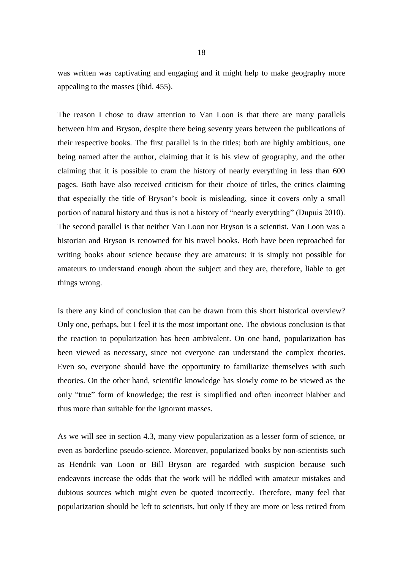was written was captivating and engaging and it might help to make geography more appealing to the masses (ibid. 455).

The reason I chose to draw attention to Van Loon is that there are many parallels between him and Bryson, despite there being seventy years between the publications of their respective books. The first parallel is in the titles; both are highly ambitious, one being named after the author, claiming that it is his view of geography, and the other claiming that it is possible to cram the history of nearly everything in less than 600 pages. Both have also received criticism for their choice of titles, the critics claiming that especially the title of Bryson's book is misleading, since it covers only a small portion of natural history and thus is not a history of "nearly everything" (Dupuis 2010). The second parallel is that neither Van Loon nor Bryson is a scientist. Van Loon was a historian and Bryson is renowned for his travel books. Both have been reproached for writing books about science because they are amateurs: it is simply not possible for amateurs to understand enough about the subject and they are, therefore, liable to get things wrong.

Is there any kind of conclusion that can be drawn from this short historical overview? Only one, perhaps, but I feel it is the most important one. The obvious conclusion is that the reaction to popularization has been ambivalent. On one hand, popularization has been viewed as necessary, since not everyone can understand the complex theories. Even so, everyone should have the opportunity to familiarize themselves with such theories. On the other hand, scientific knowledge has slowly come to be viewed as the only "true" form of knowledge; the rest is simplified and often incorrect blabber and thus more than suitable for the ignorant masses.

As we will see in section 4.3, many view popularization as a lesser form of science, or even as borderline pseudo-science. Moreover, popularized books by non-scientists such as Hendrik van Loon or Bill Bryson are regarded with suspicion because such endeavors increase the odds that the work will be riddled with amateur mistakes and dubious sources which might even be quoted incorrectly. Therefore, many feel that popularization should be left to scientists, but only if they are more or less retired from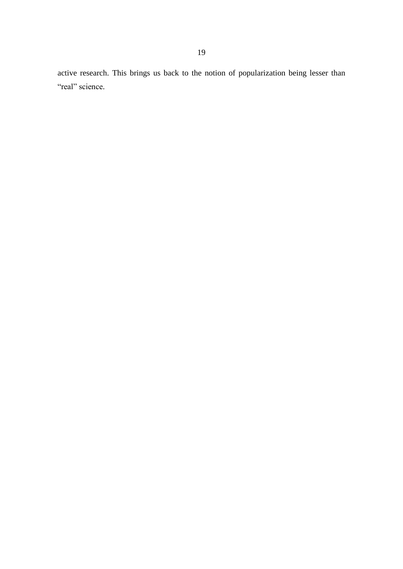active research. This brings us back to the notion of popularization being lesser than "real" science.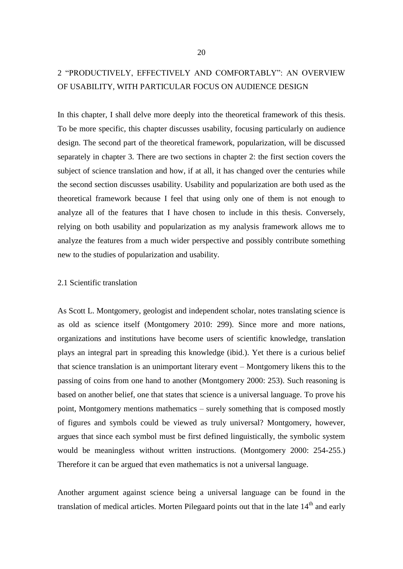# <span id="page-21-0"></span>2 "PRODUCTIVELY, EFFECTIVELY AND COMFORTABLY": AN OVERVIEW OF USABILITY, WITH PARTICULAR FOCUS ON AUDIENCE DESIGN

In this chapter, I shall delve more deeply into the theoretical framework of this thesis. To be more specific, this chapter discusses usability, focusing particularly on audience design. The second part of the theoretical framework, popularization, will be discussed separately in chapter 3. There are two sections in chapter 2: the first section covers the subject of science translation and how, if at all, it has changed over the centuries while the second section discusses usability. Usability and popularization are both used as the theoretical framework because I feel that using only one of them is not enough to analyze all of the features that I have chosen to include in this thesis. Conversely, relying on both usability and popularization as my analysis framework allows me to analyze the features from a much wider perspective and possibly contribute something new to the studies of popularization and usability.

#### <span id="page-21-1"></span>2.1 Scientific translation

As Scott L. Montgomery, geologist and independent scholar, notes translating science is as old as science itself (Montgomery 2010: 299). Since more and more nations, organizations and institutions have become users of scientific knowledge, translation plays an integral part in spreading this knowledge (ibid.). Yet there is a curious belief that science translation is an unimportant literary event – Montgomery likens this to the passing of coins from one hand to another (Montgomery 2000: 253). Such reasoning is based on another belief, one that states that science is a universal language. To prove his point, Montgomery mentions mathematics – surely something that is composed mostly of figures and symbols could be viewed as truly universal? Montgomery, however, argues that since each symbol must be first defined linguistically, the symbolic system would be meaningless without written instructions. (Montgomery 2000: 254-255.) Therefore it can be argued that even mathematics is not a universal language.

Another argument against science being a universal language can be found in the translation of medical articles. Morten Pilegaard points out that in the late  $14<sup>th</sup>$  and early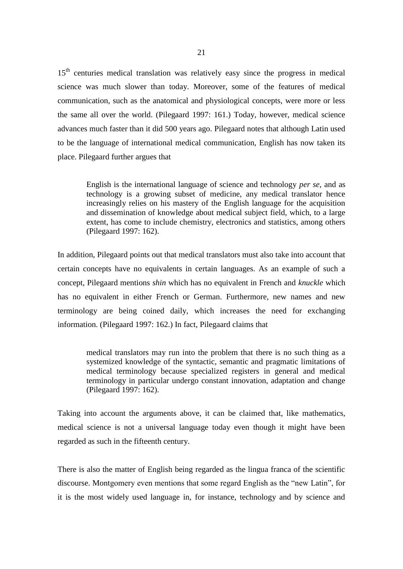15<sup>th</sup> centuries medical translation was relatively easy since the progress in medical science was much slower than today. Moreover, some of the features of medical communication, such as the anatomical and physiological concepts, were more or less the same all over the world. (Pilegaard 1997: 161.) Today, however, medical science advances much faster than it did 500 years ago. Pilegaard notes that although Latin used to be the language of international medical communication, English has now taken its place. Pilegaard further argues that

English is the international language of science and technology *per se*, and as technology is a growing subset of medicine, any medical translator hence increasingly relies on his mastery of the English language for the acquisition and dissemination of knowledge about medical subject field, which, to a large extent, has come to include chemistry, electronics and statistics, among others (Pilegaard 1997: 162).

In addition, Pilegaard points out that medical translators must also take into account that certain concepts have no equivalents in certain languages. As an example of such a concept, Pilegaard mentions *shin* which has no equivalent in French and *knuckle* which has no equivalent in either French or German. Furthermore, new names and new terminology are being coined daily, which increases the need for exchanging information. (Pilegaard 1997: 162.) In fact, Pilegaard claims that

medical translators may run into the problem that there is no such thing as a systemized knowledge of the syntactic, semantic and pragmatic limitations of medical terminology because specialized registers in general and medical terminology in particular undergo constant innovation, adaptation and change (Pilegaard 1997: 162).

Taking into account the arguments above, it can be claimed that, like mathematics, medical science is not a universal language today even though it might have been regarded as such in the fifteenth century.

There is also the matter of English being regarded as the lingua franca of the scientific discourse. Montgomery even mentions that some regard English as the "new Latin", for it is the most widely used language in, for instance, technology and by science and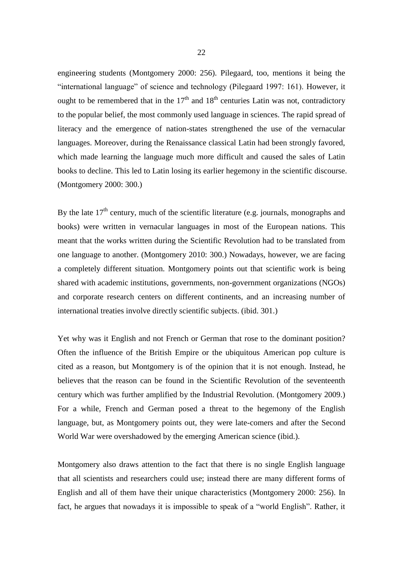engineering students (Montgomery 2000: 256). Pilegaard, too, mentions it being the "international language" of science and technology (Pilegaard 1997: 161). However, it ought to be remembered that in the  $17<sup>th</sup>$  and  $18<sup>th</sup>$  centuries Latin was not, contradictory to the popular belief, the most commonly used language in sciences. The rapid spread of literacy and the emergence of nation-states strengthened the use of the vernacular languages. Moreover, during the Renaissance classical Latin had been strongly favored, which made learning the language much more difficult and caused the sales of Latin books to decline. This led to Latin losing its earlier hegemony in the scientific discourse. (Montgomery 2000: 300.)

By the late  $17<sup>th</sup>$  century, much of the scientific literature (e.g. journals, monographs and books) were written in vernacular languages in most of the European nations. This meant that the works written during the Scientific Revolution had to be translated from one language to another. (Montgomery 2010: 300.) Nowadays, however, we are facing a completely different situation. Montgomery points out that scientific work is being shared with academic institutions, governments, non-government organizations (NGOs) and corporate research centers on different continents, and an increasing number of international treaties involve directly scientific subjects. (ibid. 301.)

Yet why was it English and not French or German that rose to the dominant position? Often the influence of the British Empire or the ubiquitous American pop culture is cited as a reason, but Montgomery is of the opinion that it is not enough. Instead, he believes that the reason can be found in the Scientific Revolution of the seventeenth century which was further amplified by the Industrial Revolution. (Montgomery 2009.) For a while, French and German posed a threat to the hegemony of the English language, but, as Montgomery points out, they were late-comers and after the Second World War were overshadowed by the emerging American science (ibid.).

Montgomery also draws attention to the fact that there is no single English language that all scientists and researchers could use; instead there are many different forms of English and all of them have their unique characteristics (Montgomery 2000: 256). In fact, he argues that nowadays it is impossible to speak of a "world English". Rather, it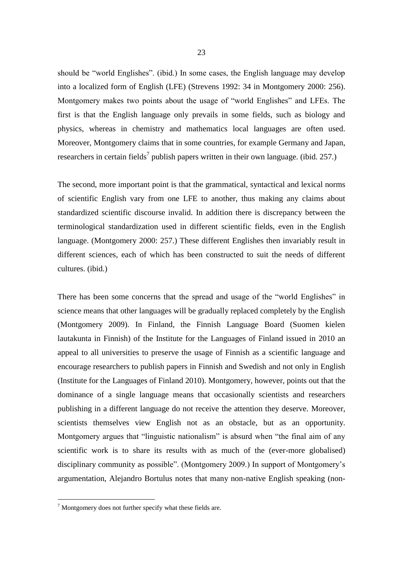should be "world Englishes". (ibid.) In some cases, the English language may develop into a localized form of English (LFE) (Strevens 1992: 34 in Montgomery 2000: 256). Montgomery makes two points about the usage of "world Englishes" and LFEs. The first is that the English language only prevails in some fields, such as biology and physics, whereas in chemistry and mathematics local languages are often used. Moreover, Montgomery claims that in some countries, for example Germany and Japan, researchers in certain fields<sup>7</sup> publish papers written in their own language. (ibid. 257.)

The second, more important point is that the grammatical, syntactical and lexical norms of scientific English vary from one LFE to another, thus making any claims about standardized scientific discourse invalid. In addition there is discrepancy between the terminological standardization used in different scientific fields, even in the English language. (Montgomery 2000: 257.) These different Englishes then invariably result in different sciences, each of which has been constructed to suit the needs of different cultures. (ibid.)

There has been some concerns that the spread and usage of the "world Englishes" in science means that other languages will be gradually replaced completely by the English (Montgomery 2009). In Finland, the Finnish Language Board (Suomen kielen lautakunta in Finnish) of the Institute for the Languages of Finland issued in 2010 an appeal to all universities to preserve the usage of Finnish as a scientific language and encourage researchers to publish papers in Finnish and Swedish and not only in English (Institute for the Languages of Finland 2010). Montgomery, however, points out that the dominance of a single language means that occasionally scientists and researchers publishing in a different language do not receive the attention they deserve. Moreover, scientists themselves view English not as an obstacle, but as an opportunity. Montgomery argues that "linguistic nationalism" is absurd when "the final aim of any scientific work is to share its results with as much of the (ever-more globalised) disciplinary community as possible". (Montgomery 2009.) In support of Montgomery's argumentation, Alejandro Bortulus notes that many non-native English speaking (non-

-

 $<sup>7</sup>$  Montgomery does not further specify what these fields are.</sup>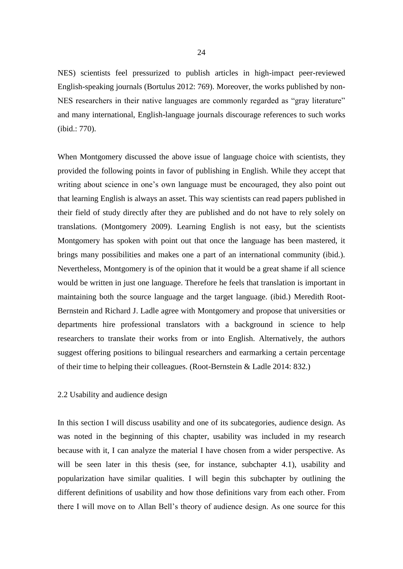NES) scientists feel pressurized to publish articles in high-impact peer-reviewed English-speaking journals (Bortulus 2012: 769). Moreover, the works published by non-NES researchers in their native languages are commonly regarded as "gray literature" and many international, English-language journals discourage references to such works (ibid.: 770).

When Montgomery discussed the above issue of language choice with scientists, they provided the following points in favor of publishing in English. While they accept that writing about science in one's own language must be encouraged, they also point out that learning English is always an asset. This way scientists can read papers published in their field of study directly after they are published and do not have to rely solely on translations. (Montgomery 2009). Learning English is not easy, but the scientists Montgomery has spoken with point out that once the language has been mastered, it brings many possibilities and makes one a part of an international community (ibid.). Nevertheless, Montgomery is of the opinion that it would be a great shame if all science would be written in just one language. Therefore he feels that translation is important in maintaining both the source language and the target language. (ibid.) Meredith Root-Bernstein and Richard J. Ladle agree with Montgomery and propose that universities or departments hire professional translators with a background in science to help researchers to translate their works from or into English. Alternatively, the authors suggest offering positions to bilingual researchers and earmarking a certain percentage of their time to helping their colleagues. (Root-Bernstein & Ladle 2014: 832.)

#### <span id="page-25-0"></span>2.2 Usability and audience design

In this section I will discuss usability and one of its subcategories, audience design. As was noted in the beginning of this chapter, usability was included in my research because with it, I can analyze the material I have chosen from a wider perspective. As will be seen later in this thesis (see, for instance, subchapter 4.1), usability and popularization have similar qualities. I will begin this subchapter by outlining the different definitions of usability and how those definitions vary from each other. From there I will move on to Allan Bell's theory of audience design. As one source for this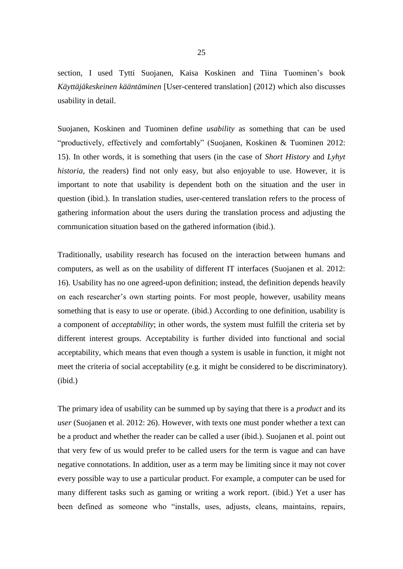section, I used Tytti Suojanen, Kaisa Koskinen and Tiina Tuominen's book *Käyttäjäkeskeinen kääntäminen* [User-centered translation] (2012) which also discusses usability in detail.

Suojanen, Koskinen and Tuominen define *usability* as something that can be used "productively, effectively and comfortably" (Suojanen, Koskinen & Tuominen 2012: 15). In other words, it is something that users (in the case of *Short History* and *Lyhyt historia*, the readers) find not only easy, but also enjoyable to use. However, it is important to note that usability is dependent both on the situation and the user in question (ibid.). In translation studies, user-centered translation refers to the process of gathering information about the users during the translation process and adjusting the communication situation based on the gathered information (ibid.).

Traditionally, usability research has focused on the interaction between humans and computers, as well as on the usability of different IT interfaces (Suojanen et al. 2012: 16). Usability has no one agreed-upon definition; instead, the definition depends heavily on each researcher's own starting points. For most people, however, usability means something that is easy to use or operate. (ibid.) According to one definition, usability is a component of *acceptability*; in other words, the system must fulfill the criteria set by different interest groups. Acceptability is further divided into functional and social acceptability, which means that even though a system is usable in function, it might not meet the criteria of social acceptability (e.g. it might be considered to be discriminatory). (ibid.)

The primary idea of usability can be summed up by saying that there is a *product* and its *user* (Suojanen et al. 2012: 26). However, with texts one must ponder whether a text can be a product and whether the reader can be called a user (ibid.). Suojanen et al. point out that very few of us would prefer to be called users for the term is vague and can have negative connotations. In addition, user as a term may be limiting since it may not cover every possible way to use a particular product. For example, a computer can be used for many different tasks such as gaming or writing a work report. (ibid.) Yet a user has been defined as someone who "installs, uses, adjusts, cleans, maintains, repairs,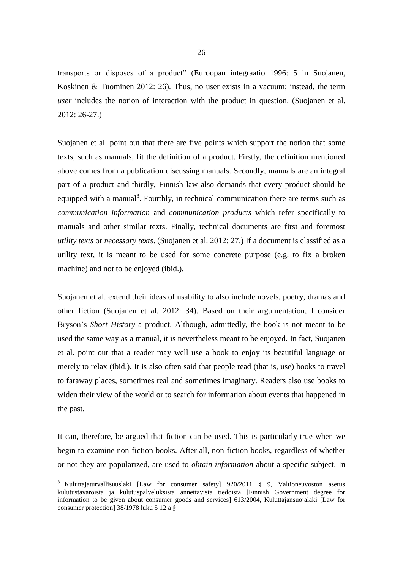transports or disposes of a product" (Euroopan integraatio 1996: 5 in Suojanen, Koskinen & Tuominen 2012: 26). Thus, no user exists in a vacuum; instead, the term *user* includes the notion of interaction with the product in question. (Suojanen et al. 2012: 26-27.)

Suojanen et al. point out that there are five points which support the notion that some texts, such as manuals, fit the definition of a product. Firstly, the definition mentioned above comes from a publication discussing manuals. Secondly, manuals are an integral part of a product and thirdly, Finnish law also demands that every product should be equipped with a manual<sup>8</sup>. Fourthly, in technical communication there are terms such as *communication information* and *communication products* which refer specifically to manuals and other similar texts. Finally, technical documents are first and foremost *utility texts* or *necessary texts*. (Suojanen et al. 2012: 27.) If a document is classified as a utility text, it is meant to be used for some concrete purpose (e.g. to fix a broken machine) and not to be enjoyed (ibid.).

Suojanen et al. extend their ideas of usability to also include novels, poetry, dramas and other fiction (Suojanen et al. 2012: 34). Based on their argumentation, I consider Bryson's *Short History* a product. Although, admittedly, the book is not meant to be used the same way as a manual, it is nevertheless meant to be enjoyed. In fact, Suojanen et al. point out that a reader may well use a book to enjoy its beautiful language or merely to relax (ibid.). It is also often said that people read (that is, use) books to travel to faraway places, sometimes real and sometimes imaginary. Readers also use books to widen their view of the world or to search for information about events that happened in the past.

It can, therefore, be argued that fiction can be used. This is particularly true when we begin to examine non-fiction books. After all, non-fiction books, regardless of whether or not they are popularized, are used to *obtain information* about a specific subject. In

 $\overline{a}$ 

<sup>8</sup> Kuluttajaturvallisuuslaki [Law for consumer safety] 920/2011 § 9, Valtioneuvoston asetus kulutustavaroista ja kulutuspalveluksista annettavista tiedoista [Finnish Government degree for information to be given about consumer goods and services] 613/2004, Kuluttajansuojalaki [Law for consumer protection] 38/1978 luku 5 12 a §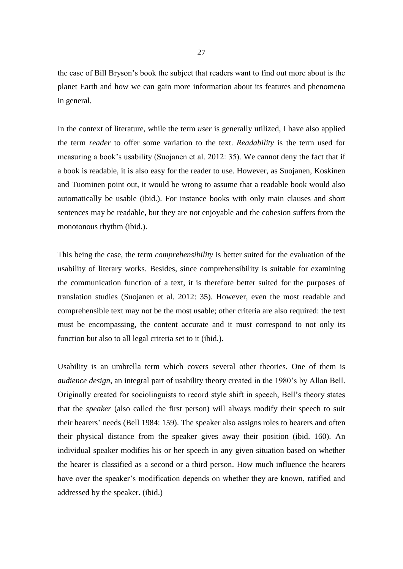the case of Bill Bryson's book the subject that readers want to find out more about is the planet Earth and how we can gain more information about its features and phenomena in general.

In the context of literature, while the term *user* is generally utilized, I have also applied the term *reader* to offer some variation to the text. *Readability* is the term used for measuring a book's usability (Suojanen et al. 2012: 35). We cannot deny the fact that if a book is readable, it is also easy for the reader to use. However, as Suojanen, Koskinen and Tuominen point out, it would be wrong to assume that a readable book would also automatically be usable (ibid.). For instance books with only main clauses and short sentences may be readable, but they are not enjoyable and the cohesion suffers from the monotonous rhythm (ibid.).

This being the case, the term *comprehensibility* is better suited for the evaluation of the usability of literary works. Besides, since comprehensibility is suitable for examining the communication function of a text, it is therefore better suited for the purposes of translation studies (Suojanen et al. 2012: 35). However, even the most readable and comprehensible text may not be the most usable; other criteria are also required: the text must be encompassing, the content accurate and it must correspond to not only its function but also to all legal criteria set to it (ibid.).

Usability is an umbrella term which covers several other theories. One of them is *audience design*, an integral part of usability theory created in the 1980's by Allan Bell. Originally created for sociolinguists to record style shift in speech, Bell's theory states that the *speaker* (also called the first person) will always modify their speech to suit their hearers' needs (Bell 1984: 159). The speaker also assigns roles to hearers and often their physical distance from the speaker gives away their position (ibid. 160). An individual speaker modifies his or her speech in any given situation based on whether the hearer is classified as a second or a third person. How much influence the hearers have over the speaker's modification depends on whether they are known, ratified and addressed by the speaker. (ibid.)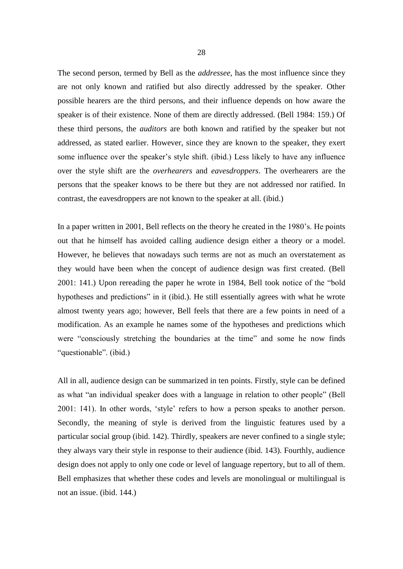The second person, termed by Bell as the *addressee*, has the most influence since they are not only known and ratified but also directly addressed by the speaker. Other possible hearers are the third persons, and their influence depends on how aware the speaker is of their existence. None of them are directly addressed. (Bell 1984: 159.) Of these third persons, the *auditors* are both known and ratified by the speaker but not addressed, as stated earlier. However, since they are known to the speaker, they exert some influence over the speaker's style shift. (ibid.) Less likely to have any influence over the style shift are the *overhearers* and *eavesdroppers*. The overhearers are the persons that the speaker knows to be there but they are not addressed nor ratified. In contrast, the eavesdroppers are not known to the speaker at all. (ibid.)

In a paper written in 2001, Bell reflects on the theory he created in the 1980's. He points out that he himself has avoided calling audience design either a theory or a model. However, he believes that nowadays such terms are not as much an overstatement as they would have been when the concept of audience design was first created. (Bell 2001: 141.) Upon rereading the paper he wrote in 1984, Bell took notice of the "bold hypotheses and predictions" in it (ibid.). He still essentially agrees with what he wrote almost twenty years ago; however, Bell feels that there are a few points in need of a modification. As an example he names some of the hypotheses and predictions which were "consciously stretching the boundaries at the time" and some he now finds "questionable". (ibid.)

All in all, audience design can be summarized in ten points. Firstly, style can be defined as what "an individual speaker does with a language in relation to other people" (Bell 2001: 141). In other words, 'style' refers to how a person speaks to another person. Secondly, the meaning of style is derived from the linguistic features used by a particular social group (ibid. 142). Thirdly, speakers are never confined to a single style; they always vary their style in response to their audience (ibid. 143). Fourthly, audience design does not apply to only one code or level of language repertory, but to all of them. Bell emphasizes that whether these codes and levels are monolingual or multilingual is not an issue. (ibid. 144.)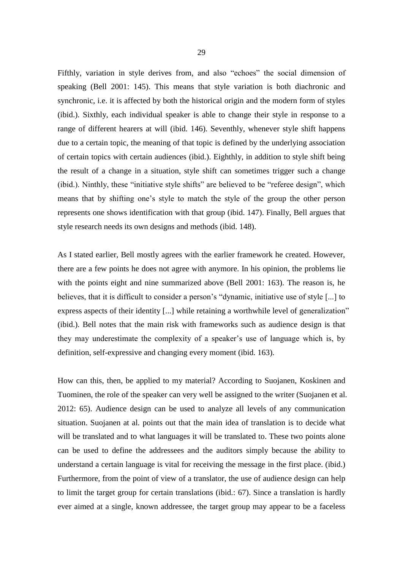Fifthly, variation in style derives from, and also "echoes" the social dimension of speaking (Bell 2001: 145). This means that style variation is both diachronic and synchronic, i.e. it is affected by both the historical origin and the modern form of styles (ibid.). Sixthly, each individual speaker is able to change their style in response to a range of different hearers at will (ibid. 146). Seventhly, whenever style shift happens due to a certain topic, the meaning of that topic is defined by the underlying association of certain topics with certain audiences (ibid.). Eighthly, in addition to style shift being the result of a change in a situation, style shift can sometimes trigger such a change (ibid.). Ninthly, these "initiative style shifts" are believed to be "referee design", which means that by shifting one's style to match the style of the group the other person represents one shows identification with that group (ibid. 147). Finally, Bell argues that style research needs its own designs and methods (ibid. 148).

As I stated earlier, Bell mostly agrees with the earlier framework he created. However, there are a few points he does not agree with anymore. In his opinion, the problems lie with the points eight and nine summarized above (Bell 2001: 163). The reason is, he believes, that it is difficult to consider a person's "dynamic, initiative use of style [...] to express aspects of their identity [...] while retaining a worthwhile level of generalization" (ibid.). Bell notes that the main risk with frameworks such as audience design is that they may underestimate the complexity of a speaker's use of language which is, by definition, self-expressive and changing every moment (ibid. 163).

How can this, then, be applied to my material? According to Suojanen, Koskinen and Tuominen, the role of the speaker can very well be assigned to the writer (Suojanen et al. 2012: 65). Audience design can be used to analyze all levels of any communication situation. Suojanen at al. points out that the main idea of translation is to decide what will be translated and to what languages it will be translated to. These two points alone can be used to define the addressees and the auditors simply because the ability to understand a certain language is vital for receiving the message in the first place. (ibid.) Furthermore, from the point of view of a translator, the use of audience design can help to limit the target group for certain translations (ibid.: 67). Since a translation is hardly ever aimed at a single, known addressee, the target group may appear to be a faceless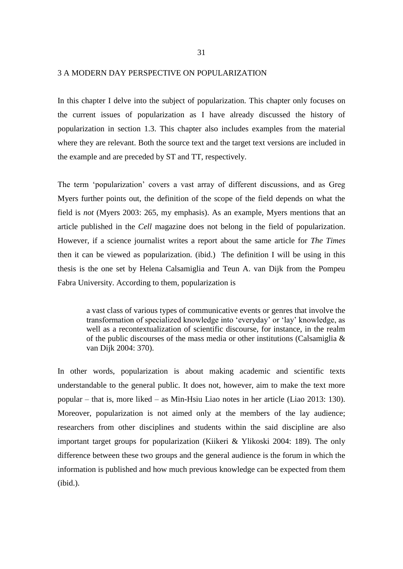#### <span id="page-32-0"></span>3 A MODERN DAY PERSPECTIVE ON POPULARIZATION

In this chapter I delve into the subject of popularization. This chapter only focuses on the current issues of popularization as I have already discussed the history of popularization in section 1.3. This chapter also includes examples from the material where they are relevant. Both the source text and the target text versions are included in the example and are preceded by ST and TT, respectively.

The term 'popularization' covers a vast array of different discussions, and as Greg Myers further points out, the definition of the scope of the field depends on what the field is *not* (Myers 2003: 265, my emphasis). As an example, Myers mentions that an article published in the *Cell* magazine does not belong in the field of popularization. However, if a science journalist writes a report about the same article for *The Times* then it can be viewed as popularization. (ibid.) The definition I will be using in this thesis is the one set by Helena Calsamiglia and Teun A. van Dijk from the Pompeu Fabra University. According to them, popularization is

a vast class of various types of communicative events or genres that involve the transformation of specialized knowledge into 'everyday' or 'lay' knowledge, as well as a recontextualization of scientific discourse, for instance, in the realm of the public discourses of the mass media or other institutions (Calsamiglia & van Dijk 2004: 370).

In other words, popularization is about making academic and scientific texts understandable to the general public. It does not, however, aim to make the text more popular – that is, more liked – as Min-Hsiu Liao notes in her article (Liao 2013: 130). Moreover, popularization is not aimed only at the members of the lay audience; researchers from other disciplines and students within the said discipline are also important target groups for popularization (Kiikeri & Ylikoski 2004: 189). The only difference between these two groups and the general audience is the forum in which the information is published and how much previous knowledge can be expected from them (ibid.).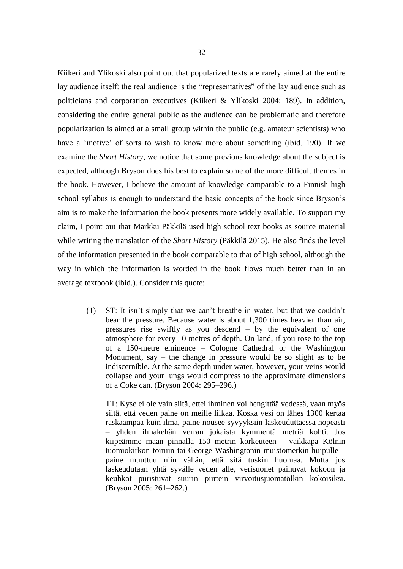Kiikeri and Ylikoski also point out that popularized texts are rarely aimed at the entire lay audience itself: the real audience is the "representatives" of the lay audience such as politicians and corporation executives (Kiikeri & Ylikoski 2004: 189). In addition, considering the entire general public as the audience can be problematic and therefore popularization is aimed at a small group within the public (e.g. amateur scientists) who have a 'motive' of sorts to wish to know more about something (ibid. 190). If we examine the *Short History*, we notice that some previous knowledge about the subject is expected, although Bryson does his best to explain some of the more difficult themes in the book. However, I believe the amount of knowledge comparable to a Finnish high school syllabus is enough to understand the basic concepts of the book since Bryson's aim is to make the information the book presents more widely available. To support my claim, I point out that Markku Päkkilä used high school text books as source material while writing the translation of the *Short History* (Päkkilä 2015). He also finds the level of the information presented in the book comparable to that of high school, although the way in which the information is worded in the book flows much better than in an average textbook (ibid.). Consider this quote:

(1) ST: It isn't simply that we can't breathe in water, but that we couldn't bear the pressure. Because water is about 1,300 times heavier than air, pressures rise swiftly as you descend – by the equivalent of one atmosphere for every 10 metres of depth. On land, if you rose to the top of a 150-metre eminence – Cologne Cathedral or the Washington Monument, say – the change in pressure would be so slight as to be indiscernible. At the same depth under water, however, your veins would collapse and your lungs would compress to the approximate dimensions of a Coke can. (Bryson 2004: 295–296.)

TT: Kyse ei ole vain siitä, ettei ihminen voi hengittää vedessä, vaan myös siitä, että veden paine on meille liikaa. Koska vesi on lähes 1300 kertaa raskaampaa kuin ilma, paine nousee syvyyksiin laskeuduttaessa nopeasti – yhden ilmakehän verran jokaista kymmentä metriä kohti. Jos kiipeämme maan pinnalla 150 metrin korkeuteen – vaikkapa Kölnin tuomiokirkon torniin tai George Washingtonin muistomerkin huipulle – paine muuttuu niin vähän, että sitä tuskin huomaa. Mutta jos laskeudutaan yhtä syvälle veden alle, verisuonet painuvat kokoon ja keuhkot puristuvat suurin piirtein virvoitusjuomatölkin kokoisiksi. (Bryson 2005: 261–262.)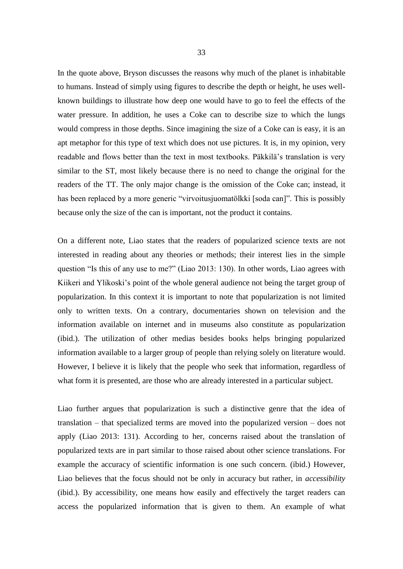In the quote above, Bryson discusses the reasons why much of the planet is inhabitable to humans. Instead of simply using figures to describe the depth or height, he uses wellknown buildings to illustrate how deep one would have to go to feel the effects of the water pressure. In addition, he uses a Coke can to describe size to which the lungs would compress in those depths. Since imagining the size of a Coke can is easy, it is an apt metaphor for this type of text which does not use pictures. It is, in my opinion, very readable and flows better than the text in most textbooks. Päkkilä's translation is very similar to the ST, most likely because there is no need to change the original for the readers of the TT. The only major change is the omission of the Coke can; instead, it has been replaced by a more generic "virvoitusjuomatölkki [soda can]". This is possibly because only the size of the can is important, not the product it contains.

On a different note, Liao states that the readers of popularized science texts are not interested in reading about any theories or methods; their interest lies in the simple question "Is this of any use to me?" (Liao 2013: 130). In other words, Liao agrees with Kiikeri and Ylikoski's point of the whole general audience not being the target group of popularization. In this context it is important to note that popularization is not limited only to written texts. On a contrary, documentaries shown on television and the information available on internet and in museums also constitute as popularization (ibid.). The utilization of other medias besides books helps bringing popularized information available to a larger group of people than relying solely on literature would. However, I believe it is likely that the people who seek that information, regardless of what form it is presented, are those who are already interested in a particular subject.

Liao further argues that popularization is such a distinctive genre that the idea of translation – that specialized terms are moved into the popularized version – does not apply (Liao 2013: 131). According to her, concerns raised about the translation of popularized texts are in part similar to those raised about other science translations. For example the accuracy of scientific information is one such concern. (ibid.) However, Liao believes that the focus should not be only in accuracy but rather, in *accessibility* (ibid.). By accessibility, one means how easily and effectively the target readers can access the popularized information that is given to them. An example of what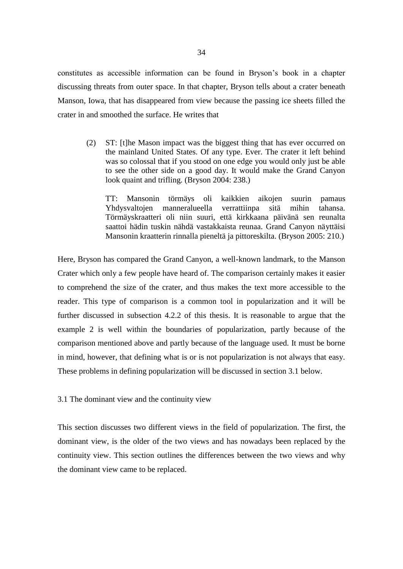constitutes as accessible information can be found in Bryson's book in a chapter discussing threats from outer space. In that chapter, Bryson tells about a crater beneath Manson, Iowa, that has disappeared from view because the passing ice sheets filled the crater in and smoothed the surface. He writes that

(2) ST: [t]he Mason impact was the biggest thing that has ever occurred on the mainland United States. Of any type. Ever. The crater it left behind was so colossal that if you stood on one edge you would only just be able to see the other side on a good day. It would make the Grand Canyon look quaint and trifling. (Bryson 2004: 238.)

TT: Mansonin törmäys oli kaikkien aikojen suurin pamaus Yhdysvaltojen manneralueella verrattiinpa sitä mihin tahansa. Törmäyskraatteri oli niin suuri, että kirkkaana päivänä sen reunalta saattoi hädin tuskin nähdä vastakkaista reunaa. Grand Canyon näyttäisi Mansonin kraatterin rinnalla pieneltä ja pittoreskilta. (Bryson 2005: 210.)

Here, Bryson has compared the Grand Canyon, a well-known landmark, to the Manson Crater which only a few people have heard of. The comparison certainly makes it easier to comprehend the size of the crater, and thus makes the text more accessible to the reader. This type of comparison is a common tool in popularization and it will be further discussed in subsection 4.2.2 of this thesis. It is reasonable to argue that the example 2 is well within the boundaries of popularization, partly because of the comparison mentioned above and partly because of the language used. It must be borne in mind, however, that defining what is or is not popularization is not always that easy. These problems in defining popularization will be discussed in section 3.1 below.

<span id="page-35-0"></span>3.1 The dominant view and the continuity view

This section discusses two different views in the field of popularization. The first, the dominant view, is the older of the two views and has nowadays been replaced by the continuity view. This section outlines the differences between the two views and why the dominant view came to be replaced.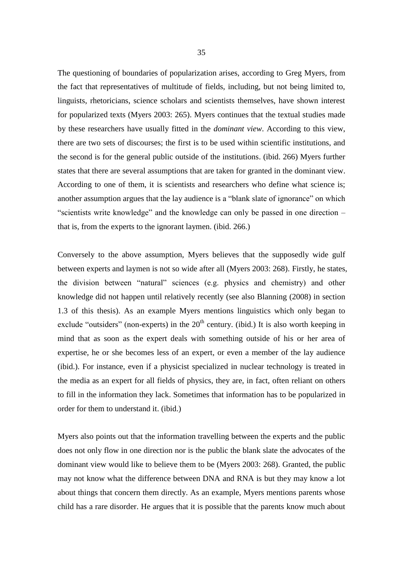The questioning of boundaries of popularization arises, according to Greg Myers, from the fact that representatives of multitude of fields, including, but not being limited to, linguists, rhetoricians, science scholars and scientists themselves, have shown interest for popularized texts (Myers 2003: 265). Myers continues that the textual studies made by these researchers have usually fitted in the *dominant view*. According to this view, there are two sets of discourses; the first is to be used within scientific institutions, and the second is for the general public outside of the institutions. (ibid. 266) Myers further states that there are several assumptions that are taken for granted in the dominant view. According to one of them, it is scientists and researchers who define what science is; another assumption argues that the lay audience is a "blank slate of ignorance" on which "scientists write knowledge" and the knowledge can only be passed in one direction – that is, from the experts to the ignorant laymen. (ibid. 266.)

Conversely to the above assumption, Myers believes that the supposedly wide gulf between experts and laymen is not so wide after all (Myers 2003: 268). Firstly, he states, the division between "natural" sciences (e.g. physics and chemistry) and other knowledge did not happen until relatively recently (see also Blanning (2008) in section 1.3 of this thesis). As an example Myers mentions linguistics which only began to exclude "outsiders" (non-experts) in the  $20<sup>th</sup>$  century. (ibid.) It is also worth keeping in mind that as soon as the expert deals with something outside of his or her area of expertise, he or she becomes less of an expert, or even a member of the lay audience (ibid.). For instance, even if a physicist specialized in nuclear technology is treated in the media as an expert for all fields of physics, they are, in fact, often reliant on others to fill in the information they lack. Sometimes that information has to be popularized in order for them to understand it. (ibid.)

Myers also points out that the information travelling between the experts and the public does not only flow in one direction nor is the public the blank slate the advocates of the dominant view would like to believe them to be (Myers 2003: 268). Granted, the public may not know what the difference between DNA and RNA is but they may know a lot about things that concern them directly. As an example, Myers mentions parents whose child has a rare disorder. He argues that it is possible that the parents know much about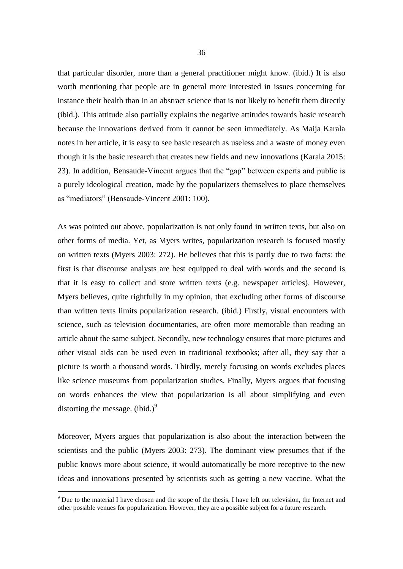that particular disorder, more than a general practitioner might know. (ibid.) It is also worth mentioning that people are in general more interested in issues concerning for instance their health than in an abstract science that is not likely to benefit them directly (ibid.). This attitude also partially explains the negative attitudes towards basic research because the innovations derived from it cannot be seen immediately. As Maija Karala notes in her article, it is easy to see basic research as useless and a waste of money even though it is the basic research that creates new fields and new innovations (Karala 2015: 23). In addition, Bensaude-Vincent argues that the "gap" between experts and public is a purely ideological creation, made by the popularizers themselves to place themselves as "mediators" (Bensaude-Vincent 2001: 100).

As was pointed out above, popularization is not only found in written texts, but also on other forms of media. Yet, as Myers writes, popularization research is focused mostly on written texts (Myers 2003: 272). He believes that this is partly due to two facts: the first is that discourse analysts are best equipped to deal with words and the second is that it is easy to collect and store written texts (e.g. newspaper articles). However, Myers believes, quite rightfully in my opinion, that excluding other forms of discourse than written texts limits popularization research. (ibid.) Firstly, visual encounters with science, such as television documentaries, are often more memorable than reading an article about the same subject. Secondly, new technology ensures that more pictures and other visual aids can be used even in traditional textbooks; after all, they say that a picture is worth a thousand words. Thirdly, merely focusing on words excludes places like science museums from popularization studies. Finally, Myers argues that focusing on words enhances the view that popularization is all about simplifying and even distorting the message.  $(ibid.)^9$ 

Moreover, Myers argues that popularization is also about the interaction between the scientists and the public (Myers 2003: 273). The dominant view presumes that if the public knows more about science, it would automatically be more receptive to the new ideas and innovations presented by scientists such as getting a new vaccine. What the

 $\overline{a}$ 

<sup>9</sup> Due to the material I have chosen and the scope of the thesis, I have left out television, the Internet and other possible venues for popularization. However, they are a possible subject for a future research.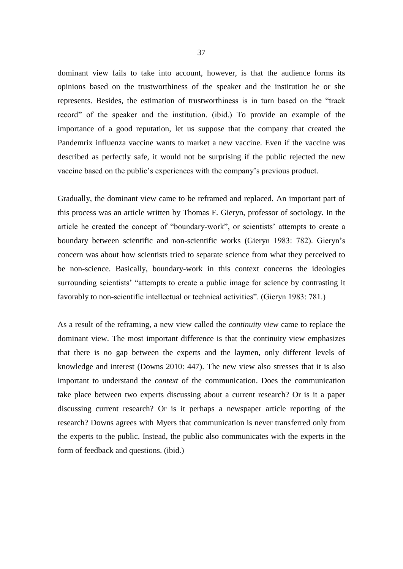dominant view fails to take into account, however, is that the audience forms its opinions based on the trustworthiness of the speaker and the institution he or she represents. Besides, the estimation of trustworthiness is in turn based on the "track record" of the speaker and the institution. (ibid.) To provide an example of the importance of a good reputation, let us suppose that the company that created the Pandemrix influenza vaccine wants to market a new vaccine. Even if the vaccine was described as perfectly safe, it would not be surprising if the public rejected the new vaccine based on the public's experiences with the company's previous product.

Gradually, the dominant view came to be reframed and replaced. An important part of this process was an article written by Thomas F. Gieryn, professor of sociology. In the article he created the concept of "boundary-work", or scientists' attempts to create a boundary between scientific and non-scientific works (Gieryn 1983: 782). Gieryn's concern was about how scientists tried to separate science from what they perceived to be non-science. Basically, boundary-work in this context concerns the ideologies surrounding scientists' "attempts to create a public image for science by contrasting it favorably to non-scientific intellectual or technical activities". (Gieryn 1983: 781.)

As a result of the reframing, a new view called the *continuity view* came to replace the dominant view. The most important difference is that the continuity view emphasizes that there is no gap between the experts and the laymen, only different levels of knowledge and interest (Downs 2010: 447). The new view also stresses that it is also important to understand the *context* of the communication. Does the communication take place between two experts discussing about a current research? Or is it a paper discussing current research? Or is it perhaps a newspaper article reporting of the research? Downs agrees with Myers that communication is never transferred only from the experts to the public. Instead, the public also communicates with the experts in the form of feedback and questions. (ibid.)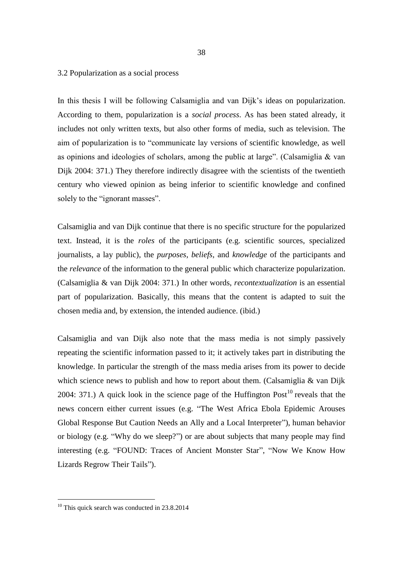#### 3.2 Popularization as a social process

In this thesis I will be following Calsamiglia and van Dijk's ideas on popularization. According to them, popularization is a *social process*. As has been stated already, it includes not only written texts, but also other forms of media, such as television. The aim of popularization is to "communicate lay versions of scientific knowledge, as well as opinions and ideologies of scholars, among the public at large". (Calsamiglia & van Dijk 2004: 371.) They therefore indirectly disagree with the scientists of the twentieth century who viewed opinion as being inferior to scientific knowledge and confined solely to the "ignorant masses".

Calsamiglia and van Dijk continue that there is no specific structure for the popularized text. Instead, it is the *roles* of the participants (e.g. scientific sources, specialized journalists, a lay public), the *purposes*, *beliefs*, and *knowledge* of the participants and the *relevance* of the information to the general public which characterize popularization. (Calsamiglia & van Dijk 2004: 371.) In other words, *recontextualization* is an essential part of popularization. Basically, this means that the content is adapted to suit the chosen media and, by extension, the intended audience. (ibid.)

Calsamiglia and van Dijk also note that the mass media is not simply passively repeating the scientific information passed to it; it actively takes part in distributing the knowledge. In particular the strength of the mass media arises from its power to decide which science news to publish and how to report about them. (Calsamiglia & van Dijk 2004: 371.) A quick look in the science page of the Huffington  $Post<sup>10</sup>$  reveals that the news concern either current issues (e.g. "The West Africa Ebola Epidemic Arouses Global Response But Caution Needs an Ally and a Local Interpreter"), human behavior or biology (e.g. "Why do we sleep?") or are about subjects that many people may find interesting (e.g. "FOUND: Traces of Ancient Monster Star", "Now We Know How Lizards Regrow Their Tails").

-

 $10$  This quick search was conducted in 23.8.2014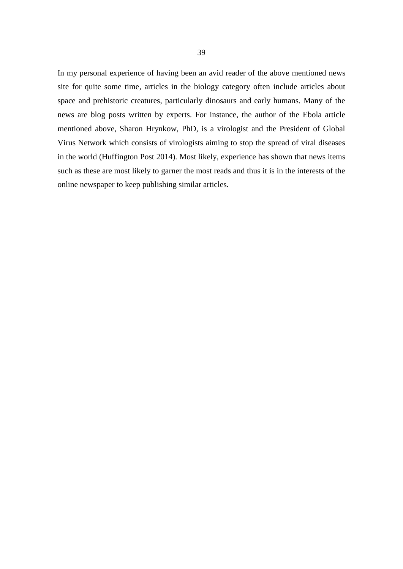In my personal experience of having been an avid reader of the above mentioned news site for quite some time, articles in the biology category often include articles about space and prehistoric creatures, particularly dinosaurs and early humans. Many of the news are blog posts written by experts. For instance, the author of the Ebola article mentioned above, Sharon Hrynkow, PhD, is a virologist and the President of Global Virus Network which consists of virologists aiming to stop the spread of viral diseases in the world (Huffington Post 2014). Most likely, experience has shown that news items such as these are most likely to garner the most reads and thus it is in the interests of the online newspaper to keep publishing similar articles.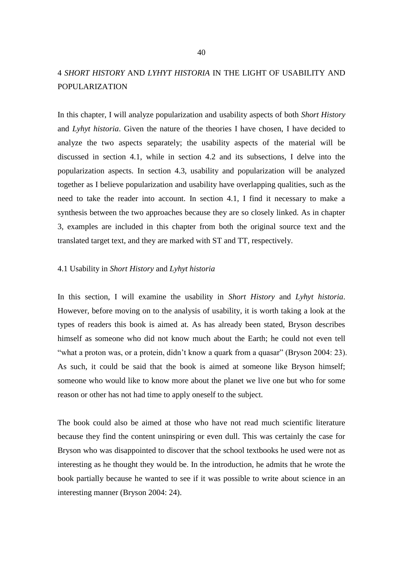# 4 *SHORT HISTORY* AND *LYHYT HISTORIA* IN THE LIGHT OF USABILITY AND POPULARIZATION

In this chapter, I will analyze popularization and usability aspects of both *Short History* and *Lyhyt historia*. Given the nature of the theories I have chosen, I have decided to analyze the two aspects separately; the usability aspects of the material will be discussed in section 4.1, while in section 4.2 and its subsections, I delve into the popularization aspects. In section 4.3, usability and popularization will be analyzed together as I believe popularization and usability have overlapping qualities, such as the need to take the reader into account. In section 4.1, I find it necessary to make a synthesis between the two approaches because they are so closely linked. As in chapter 3, examples are included in this chapter from both the original source text and the translated target text, and they are marked with ST and TT, respectively.

#### 4.1 Usability in *Short History* and *Lyhyt historia*

In this section, I will examine the usability in *Short History* and *Lyhyt historia*. However, before moving on to the analysis of usability, it is worth taking a look at the types of readers this book is aimed at. As has already been stated, Bryson describes himself as someone who did not know much about the Earth; he could not even tell "what a proton was, or a protein, didn't know a quark from a quasar" (Bryson 2004: 23). As such, it could be said that the book is aimed at someone like Bryson himself; someone who would like to know more about the planet we live one but who for some reason or other has not had time to apply oneself to the subject.

The book could also be aimed at those who have not read much scientific literature because they find the content uninspiring or even dull. This was certainly the case for Bryson who was disappointed to discover that the school textbooks he used were not as interesting as he thought they would be. In the introduction, he admits that he wrote the book partially because he wanted to see if it was possible to write about science in an interesting manner (Bryson 2004: 24).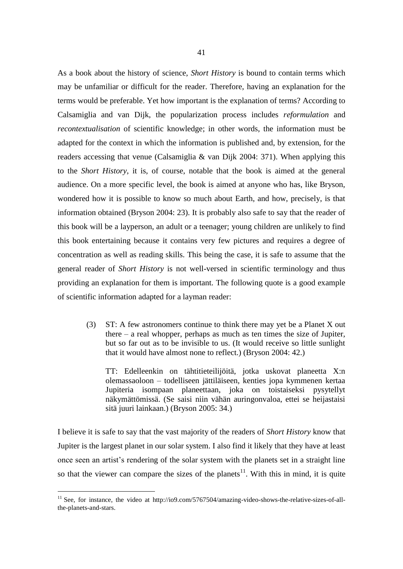As a book about the history of science, *Short History* is bound to contain terms which may be unfamiliar or difficult for the reader. Therefore, having an explanation for the terms would be preferable. Yet how important is the explanation of terms? According to Calsamiglia and van Dijk, the popularization process includes *reformulation* and *recontextualisation* of scientific knowledge; in other words, the information must be adapted for the context in which the information is published and, by extension, for the readers accessing that venue (Calsamiglia & van Dijk 2004: 371). When applying this to the *Short History*, it is, of course, notable that the book is aimed at the general audience. On a more specific level, the book is aimed at anyone who has, like Bryson, wondered how it is possible to know so much about Earth, and how, precisely, is that information obtained (Bryson 2004: 23). It is probably also safe to say that the reader of this book will be a layperson, an adult or a teenager; young children are unlikely to find this book entertaining because it contains very few pictures and requires a degree of concentration as well as reading skills. This being the case, it is safe to assume that the general reader of *Short History* is not well-versed in scientific terminology and thus providing an explanation for them is important. The following quote is a good example of scientific information adapted for a layman reader:

(3) ST: A few astronomers continue to think there may yet be a Planet X out there – a real whopper, perhaps as much as ten times the size of Jupiter, but so far out as to be invisible to us. (It would receive so little sunlight that it would have almost none to reflect.) (Bryson 2004: 42.)

TT: Edelleenkin on tähtitieteilijöitä, jotka uskovat planeetta X:n olemassaoloon – todelliseen jättiläiseen, kenties jopa kymmenen kertaa Jupiteria isompaan planeettaan, joka on toistaiseksi pysytellyt näkymättömissä. (Se saisi niin vähän auringonvaloa, ettei se heijastaisi sitä juuri lainkaan.) (Bryson 2005: 34.)

I believe it is safe to say that the vast majority of the readers of *Short History* know that Jupiter is the largest planet in our solar system. I also find it likely that they have at least once seen an artist's rendering of the solar system with the planets set in a straight line so that the viewer can compare the sizes of the planets<sup>11</sup>. With this in mind, it is quite

 $\overline{a}$ 

 $11$  See, for instance, the video at http://io9.com/5767504/amazing-video-shows-the-relative-sizes-of-allthe-planets-and-stars.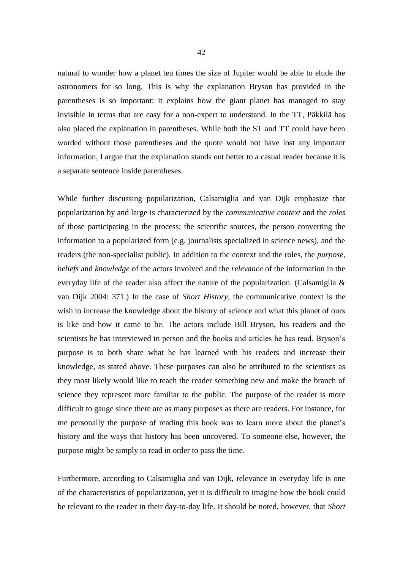natural to wonder how a planet ten times the size of Jupiter would be able to elude the astronomers for so long. This is why the explanation Bryson has provided in the parentheses is so important; it explains how the giant planet has managed to stay invisible in terms that are easy for a non-expert to understand. In the TT, Päkkilä has also placed the explanation in parentheses. While both the ST and TT could have been worded without those parentheses and the quote would not have lost any important information, I argue that the explanation stands out better to a casual reader because it is a separate sentence inside parentheses.

While further discussing popularization, Calsamiglia and van Dijk emphasize that popularization by and large is characterized by the *communicative context* and the *roles* of those participating in the process: the scientific sources, the person converting the information to a popularized form (e.g. journalists specialized in science news), and the readers (the non-specialist public). In addition to the context and the roles, the *purpose*, *beliefs* and *knowledge* of the actors involved and the *relevance* of the information in the everyday life of the reader also affect the nature of the popularization. (Calsamiglia  $\&$ van Dijk 2004: 371.) In the case of *Short History*, the communicative context is the wish to increase the knowledge about the history of science and what this planet of ours is like and how it came to be. The actors include Bill Bryson, his readers and the scientists he has interviewed in person and the books and articles he has read. Bryson's purpose is to both share what he has learned with his readers and increase their knowledge, as stated above. These purposes can also be attributed to the scientists as they most likely would like to teach the reader something new and make the branch of science they represent more familiar to the public. The purpose of the reader is more difficult to gauge since there are as many purposes as there are readers. For instance, for me personally the purpose of reading this book was to learn more about the planet's history and the ways that history has been uncovered. To someone else, however, the purpose might be simply to read in order to pass the time.

Furthermore, according to Calsamiglia and van Dijk, relevance in everyday life is one of the characteristics of popularization, yet it is difficult to imagine how the book could be relevant to the reader in their day-to-day life. It should be noted, however, that *Short*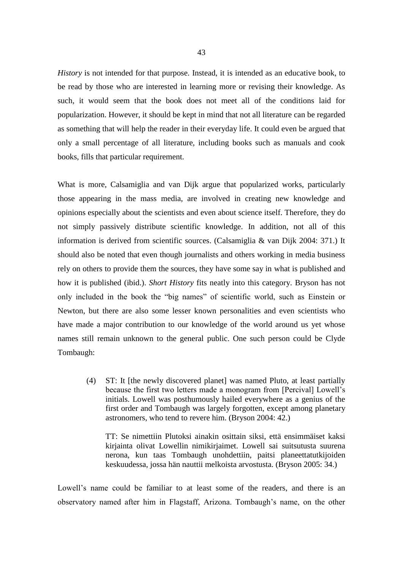*History* is not intended for that purpose. Instead, it is intended as an educative book, to be read by those who are interested in learning more or revising their knowledge. As such, it would seem that the book does not meet all of the conditions laid for popularization. However, it should be kept in mind that not all literature can be regarded as something that will help the reader in their everyday life. It could even be argued that only a small percentage of all literature, including books such as manuals and cook books, fills that particular requirement.

What is more, Calsamiglia and van Dijk argue that popularized works, particularly those appearing in the mass media, are involved in creating new knowledge and opinions especially about the scientists and even about science itself. Therefore, they do not simply passively distribute scientific knowledge. In addition, not all of this information is derived from scientific sources. (Calsamiglia & van Dijk 2004: 371.) It should also be noted that even though journalists and others working in media business rely on others to provide them the sources, they have some say in what is published and how it is published (ibid.). *Short History* fits neatly into this category. Bryson has not only included in the book the "big names" of scientific world, such as Einstein or Newton, but there are also some lesser known personalities and even scientists who have made a major contribution to our knowledge of the world around us yet whose names still remain unknown to the general public. One such person could be Clyde Tombaugh:

(4) ST: It [the newly discovered planet] was named Pluto, at least partially because the first two letters made a monogram from [Percival] Lowell's initials. Lowell was posthumously hailed everywhere as a genius of the first order and Tombaugh was largely forgotten, except among planetary astronomers, who tend to revere him. (Bryson 2004: 42.)

TT: Se nimettiin Plutoksi ainakin osittain siksi, että ensimmäiset kaksi kirjainta olivat Lowellin nimikirjaimet. Lowell sai suitsutusta suurena nerona, kun taas Tombaugh unohdettiin, paitsi planeettatutkijoiden keskuudessa, jossa hän nauttii melkoista arvostusta. (Bryson 2005: 34.)

Lowell's name could be familiar to at least some of the readers, and there is an observatory named after him in Flagstaff, Arizona. Tombaugh's name, on the other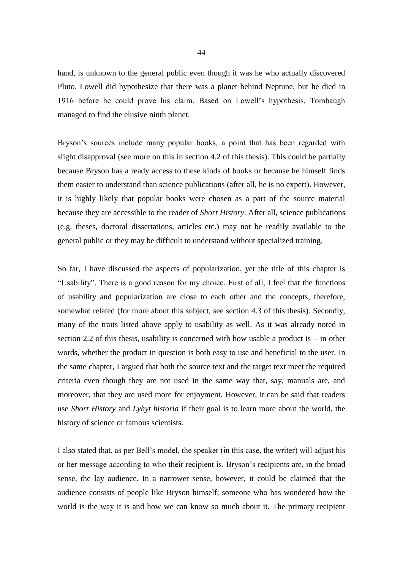hand, is unknown to the general public even though it was he who actually discovered Pluto. Lowell did hypothesize that there was a planet behind Neptune, but he died in 1916 before he could prove his claim. Based on Lowell's hypothesis, Tombaugh managed to find the elusive ninth planet.

Bryson's sources include many popular books, a point that has been regarded with slight disapproval (see more on this in section 4.2 of this thesis). This could be partially because Bryson has a ready access to these kinds of books or because he himself finds them easier to understand than science publications (after all, he is no expert). However, it is highly likely that popular books were chosen as a part of the source material because they are accessible to the reader of *Short History*. After all, science publications (e.g. theses, doctoral dissertations, articles etc.) may not be readily available to the general public or they may be difficult to understand without specialized training.

So far, I have discussed the aspects of popularization, yet the title of this chapter is "Usability". There is a good reason for my choice. First of all, I feel that the functions of usability and popularization are close to each other and the concepts, therefore, somewhat related (for more about this subject, see section 4.3 of this thesis). Secondly, many of the traits listed above apply to usability as well. As it was already noted in section 2.2 of this thesis, usability is concerned with how usable a product is – in other words, whether the product in question is both easy to use and beneficial to the user. In the same chapter, I argued that both the source text and the target text meet the required criteria even though they are not used in the same way that, say, manuals are, and moreover, that they are used more for enjoyment. However, it can be said that readers use *Short History* and *Lyhyt historia* if their goal is to learn more about the world, the history of science or famous scientists.

I also stated that, as per Bell's model, the speaker (in this case, the writer) will adjust his or her message according to who their recipient is. Bryson's recipients are, in the broad sense, the lay audience. In a narrower sense, however, it could be claimed that the audience consists of people like Bryson himself; someone who has wondered how the world is the way it is and how we can know so much about it. The primary recipient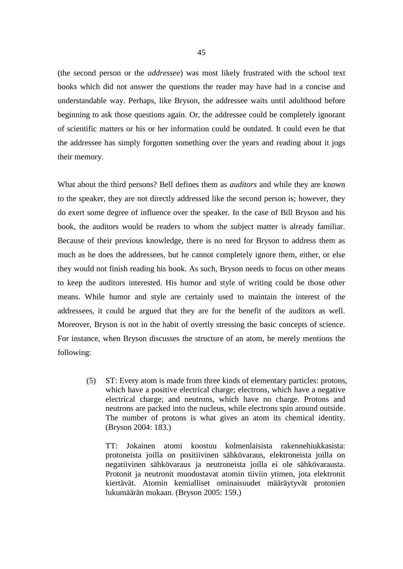(the second person or the *addressee*) was most likely frustrated with the school text books which did not answer the questions the reader may have had in a concise and understandable way. Perhaps, like Bryson, the addressee waits until adulthood before beginning to ask those questions again. Or, the addressee could be completely ignorant of scientific matters or his or her information could be outdated. It could even be that the addressee has simply forgotten something over the years and reading about it jogs their memory.

What about the third persons? Bell defines them as *auditors* and while they are known to the speaker, they are not directly addressed like the second person is; however, they do exert some degree of influence over the speaker. In the case of Bill Bryson and his book, the auditors would be readers to whom the subject matter is already familiar. Because of their previous knowledge, there is no need for Bryson to address them as much as he does the addressees, but he cannot completely ignore them, either, or else they would not finish reading his book. As such, Bryson needs to focus on other means to keep the auditors interested. His humor and style of writing could be those other means. While humor and style are certainly used to maintain the interest of the addressees, it could be argued that they are for the benefit of the auditors as well. Moreover, Bryson is not in the habit of overtly stressing the basic concepts of science. For instance, when Bryson discusses the structure of an atom, he merely mentions the following:

(5) ST: Every atom is made from three kinds of elementary particles: protons, which have a positive electrical charge; electrons, which have a negative electrical charge; and neutrons, which have no charge. Protons and neutrons are packed into the nucleus, while electrons spin around outside. The number of protons is what gives an atom its chemical identity. (Bryson 2004: 183.)

TT: Jokainen atomi koostuu kolmenlaisista rakennehiukkasista: protoneista joilla on positiivinen sähkövaraus, elektroneista joilla on negatiivinen sähkövaraus ja neutroneista joilla ei ole sähkövarausta. Protonit ja neutronit muodostavat atomin tiiviin ytimen, jota elektronit kiertävät. Atomin kemialliset ominaisuudet määräytyvät protonien lukumäärän mukaan. (Bryson 2005: 159.)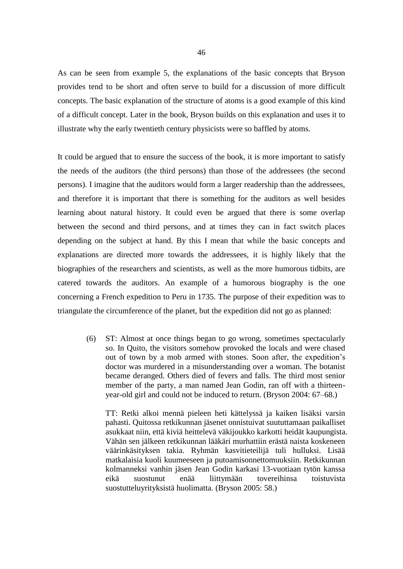As can be seen from example 5, the explanations of the basic concepts that Bryson provides tend to be short and often serve to build for a discussion of more difficult concepts. The basic explanation of the structure of atoms is a good example of this kind of a difficult concept. Later in the book, Bryson builds on this explanation and uses it to illustrate why the early twentieth century physicists were so baffled by atoms.

It could be argued that to ensure the success of the book, it is more important to satisfy the needs of the auditors (the third persons) than those of the addressees (the second persons). I imagine that the auditors would form a larger readership than the addressees, and therefore it is important that there is something for the auditors as well besides learning about natural history. It could even be argued that there is some overlap between the second and third persons, and at times they can in fact switch places depending on the subject at hand. By this I mean that while the basic concepts and explanations are directed more towards the addressees, it is highly likely that the biographies of the researchers and scientists, as well as the more humorous tidbits, are catered towards the auditors. An example of a humorous biography is the one concerning a French expedition to Peru in 1735. The purpose of their expedition was to triangulate the circumference of the planet, but the expedition did not go as planned:

(6) ST: Almost at once things began to go wrong, sometimes spectacularly so. In Quito, the visitors somehow provoked the locals and were chased out of town by a mob armed with stones. Soon after, the expedition's doctor was murdered in a misunderstanding over a woman. The botanist became deranged. Others died of fevers and falls. The third most senior member of the party, a man named Jean Godin, ran off with a thirteenyear-old girl and could not be induced to return. (Bryson 2004: 67–68.)

TT: Retki alkoi mennä pieleen heti kättelyssä ja kaiken lisäksi varsin pahasti. Quitossa retkikunnan jäsenet onnistuivat suututtamaan paikalliset asukkaat niin, että kiviä heittelevä väkijoukko karkotti heidät kaupungista. Vähän sen jälkeen retkikunnan lääkäri murhattiin erästä naista koskeneen väärinkäsityksen takia. Ryhmän kasvitieteilijä tuli hulluksi. Lisää matkalaisia kuoli kuumeeseen ja putoamisonnettomuuksiin. Retkikunnan kolmanneksi vanhin jäsen Jean Godin karkasi 13-vuotiaan tytön kanssa eikä suostunut enää liittymään tovereihinsa toistuvista suostutteluyrityksistä huolimatta. (Bryson 2005: 58.)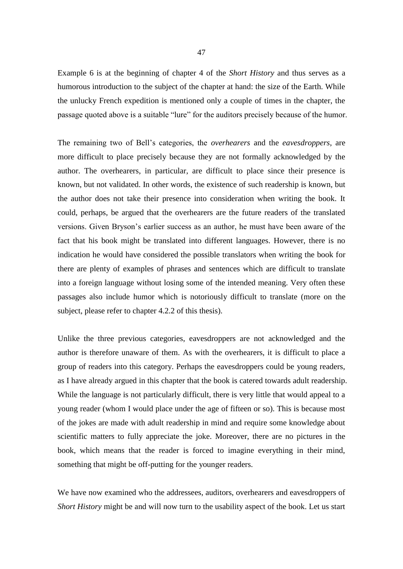Example 6 is at the beginning of chapter 4 of the *Short History* and thus serves as a humorous introduction to the subject of the chapter at hand: the size of the Earth. While the unlucky French expedition is mentioned only a couple of times in the chapter, the passage quoted above is a suitable "lure" for the auditors precisely because of the humor.

The remaining two of Bell's categories, the *overhearers* and the *eavesdroppers*, are more difficult to place precisely because they are not formally acknowledged by the author. The overhearers, in particular, are difficult to place since their presence is known, but not validated. In other words, the existence of such readership is known, but the author does not take their presence into consideration when writing the book. It could, perhaps, be argued that the overhearers are the future readers of the translated versions. Given Bryson's earlier success as an author, he must have been aware of the fact that his book might be translated into different languages. However, there is no indication he would have considered the possible translators when writing the book for there are plenty of examples of phrases and sentences which are difficult to translate into a foreign language without losing some of the intended meaning. Very often these passages also include humor which is notoriously difficult to translate (more on the subject, please refer to chapter 4.2.2 of this thesis).

Unlike the three previous categories, eavesdroppers are not acknowledged and the author is therefore unaware of them. As with the overhearers, it is difficult to place a group of readers into this category. Perhaps the eavesdroppers could be young readers, as I have already argued in this chapter that the book is catered towards adult readership. While the language is not particularly difficult, there is very little that would appeal to a young reader (whom I would place under the age of fifteen or so). This is because most of the jokes are made with adult readership in mind and require some knowledge about scientific matters to fully appreciate the joke. Moreover, there are no pictures in the book, which means that the reader is forced to imagine everything in their mind, something that might be off-putting for the younger readers.

We have now examined who the addressees, auditors, overhearers and eavesdroppers of *Short History* might be and will now turn to the usability aspect of the book. Let us start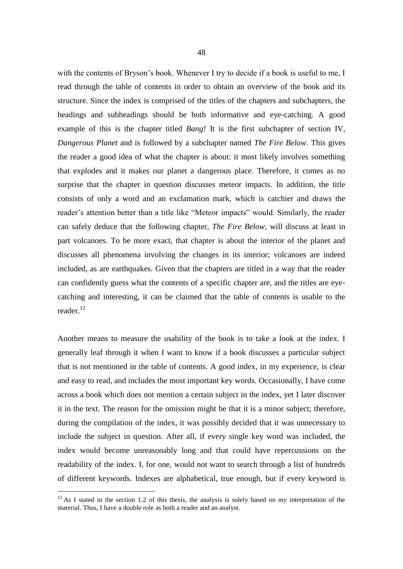with the contents of Bryson's book. Whenever I try to decide if a book is useful to me, I read through the table of contents in order to obtain an overview of the book and its structure. Since the index is comprised of the titles of the chapters and subchapters, the headings and subheadings should be both informative and eye-catching. A good example of this is the chapter titled *Bang!* It is the first subchapter of section IV, *Dangerous Planet* and is followed by a subchapter named *The Fire Below*. This gives the reader a good idea of what the chapter is about: it most likely involves something that explodes and it makes our planet a dangerous place. Therefore, it comes as no surprise that the chapter in question discusses meteor impacts. In addition, the title consists of only a word and an exclamation mark, which is catchier and draws the reader's attention better than a title like "Meteor impacts" would. Similarly, the reader can safely deduce that the following chapter, *The Fire Below*, will discuss at least in part volcanoes. To be more exact, that chapter is about the interior of the planet and discusses all phenomena involving the changes in its interior; volcanoes are indeed included, as are earthquakes. Given that the chapters are titled in a way that the reader can confidently guess what the contents of a specific chapter are, and the titles are eyecatching and interesting, it can be claimed that the table of contents is usable to the reader. 12

Another means to measure the usability of the book is to take a look at the index. I generally leaf through it when I want to know if a book discusses a particular subject that is not mentioned in the table of contents. A good index, in my experience, is clear and easy to read, and includes the most important key words. Occasionally, I have come across a book which does not mention a certain subject in the index, yet I later discover it in the text. The reason for the omission might be that it is a minor subject; therefore, during the compilation of the index, it was possibly decided that it was unnecessary to include the subject in question. After all, if every single key word was included, the index would become unreasonably long and that could have repercussions on the readability of the index. I, for one, would not want to search through a list of hundreds of different keywords. Indexes are alphabetical, true enough, but if every keyword is

 $\overline{a}$ 

 $12$  As I stated in the section 1.2 of this thesis, the analysis is solely based on my interpretation of the material. Thus, I have a double role as both a reader and an analyst.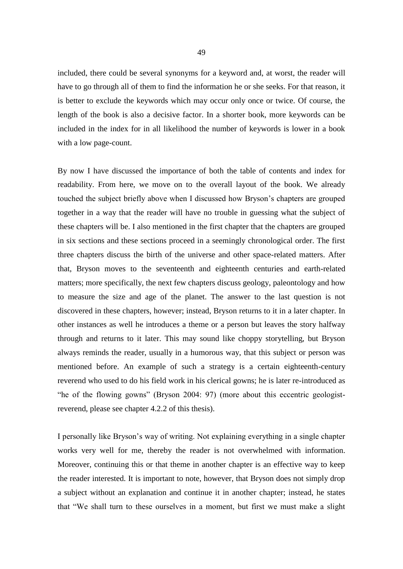included, there could be several synonyms for a keyword and, at worst, the reader will have to go through all of them to find the information he or she seeks. For that reason, it is better to exclude the keywords which may occur only once or twice. Of course, the length of the book is also a decisive factor. In a shorter book, more keywords can be included in the index for in all likelihood the number of keywords is lower in a book with a low page-count.

By now I have discussed the importance of both the table of contents and index for readability. From here, we move on to the overall layout of the book. We already touched the subject briefly above when I discussed how Bryson's chapters are grouped together in a way that the reader will have no trouble in guessing what the subject of these chapters will be. I also mentioned in the first chapter that the chapters are grouped in six sections and these sections proceed in a seemingly chronological order. The first three chapters discuss the birth of the universe and other space-related matters. After that, Bryson moves to the seventeenth and eighteenth centuries and earth-related matters; more specifically, the next few chapters discuss geology, paleontology and how to measure the size and age of the planet. The answer to the last question is not discovered in these chapters, however; instead, Bryson returns to it in a later chapter. In other instances as well he introduces a theme or a person but leaves the story halfway through and returns to it later. This may sound like choppy storytelling, but Bryson always reminds the reader, usually in a humorous way, that this subject or person was mentioned before. An example of such a strategy is a certain eighteenth-century reverend who used to do his field work in his clerical gowns; he is later re-introduced as "he of the flowing gowns" (Bryson 2004: 97) (more about this eccentric geologistreverend, please see chapter 4.2.2 of this thesis).

I personally like Bryson's way of writing. Not explaining everything in a single chapter works very well for me, thereby the reader is not overwhelmed with information. Moreover, continuing this or that theme in another chapter is an effective way to keep the reader interested. It is important to note, however, that Bryson does not simply drop a subject without an explanation and continue it in another chapter; instead, he states that "We shall turn to these ourselves in a moment, but first we must make a slight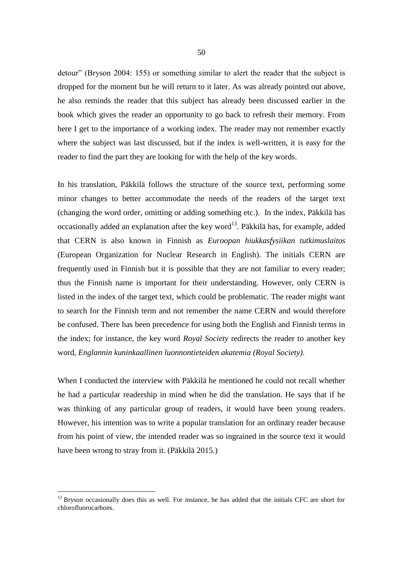detour" (Bryson 2004: 155) or something similar to alert the reader that the subject is dropped for the moment but he will return to it later. As was already pointed out above, he also reminds the reader that this subject has already been discussed earlier in the book which gives the reader an opportunity to go back to refresh their memory. From here I get to the importance of a working index. The reader may not remember exactly where the subject was last discussed, but if the index is well-written, it is easy for the reader to find the part they are looking for with the help of the key words.

In his translation, Päkkilä follows the structure of the source text, performing some minor changes to better accommodate the needs of the readers of the target text (changing the word order, omitting or adding something etc.). In the index, Päkkilä has occasionally added an explanation after the key word<sup>13</sup>. Päkkilä has, for example, added that CERN is also known in Finnish as *Euroopan hiukkasfysiikan tutkimuslaitos* (European Organization for Nuclear Research in English). The initials CERN are frequently used in Finnish but it is possible that they are not familiar to every reader; thus the Finnish name is important for their understanding. However, only CERN is listed in the index of the target text, which could be problematic. The reader might want to search for the Finnish term and not remember the name CERN and would therefore be confused. There has been precedence for using both the English and Finnish terms in the index; for instance, the key word *Royal Society* redirects the reader to another key word, *Englannin kuninkaallinen luonnontieteiden akatemia (Royal Society)*.

When I conducted the interview with Päkkilä he mentioned he could not recall whether he had a particular readership in mind when he did the translation. He says that if he was thinking of any particular group of readers, it would have been young readers. However, his intention was to write a popular translation for an ordinary reader because from his point of view, the intended reader was so ingrained in the source text it would have been wrong to stray from it. (Päkkilä 2015.)

 $\overline{a}$ 

<sup>&</sup>lt;sup>13</sup> Bryson occasionally does this as well. For instance, he has added that the initials CFC are short for chlorofluorocarbons.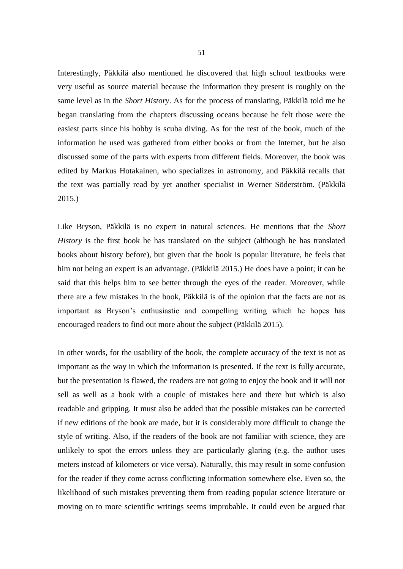Interestingly, Päkkilä also mentioned he discovered that high school textbooks were very useful as source material because the information they present is roughly on the same level as in the *Short History*. As for the process of translating, Päkkilä told me he began translating from the chapters discussing oceans because he felt those were the easiest parts since his hobby is scuba diving. As for the rest of the book, much of the information he used was gathered from either books or from the Internet, but he also discussed some of the parts with experts from different fields. Moreover, the book was edited by Markus Hotakainen, who specializes in astronomy, and Päkkilä recalls that the text was partially read by yet another specialist in Werner Söderström. (Päkkilä 2015.)

Like Bryson, Päkkilä is no expert in natural sciences. He mentions that the *Short History* is the first book he has translated on the subject (although he has translated books about history before), but given that the book is popular literature, he feels that him not being an expert is an advantage. (Päkkilä 2015.) He does have a point; it can be said that this helps him to see better through the eyes of the reader. Moreover, while there are a few mistakes in the book, Päkkilä is of the opinion that the facts are not as important as Bryson's enthusiastic and compelling writing which he hopes has encouraged readers to find out more about the subject (Päkkilä 2015).

In other words, for the usability of the book, the complete accuracy of the text is not as important as the way in which the information is presented. If the text is fully accurate, but the presentation is flawed, the readers are not going to enjoy the book and it will not sell as well as a book with a couple of mistakes here and there but which is also readable and gripping. It must also be added that the possible mistakes can be corrected if new editions of the book are made, but it is considerably more difficult to change the style of writing. Also, if the readers of the book are not familiar with science, they are unlikely to spot the errors unless they are particularly glaring (e.g. the author uses meters instead of kilometers or vice versa). Naturally, this may result in some confusion for the reader if they come across conflicting information somewhere else. Even so, the likelihood of such mistakes preventing them from reading popular science literature or moving on to more scientific writings seems improbable. It could even be argued that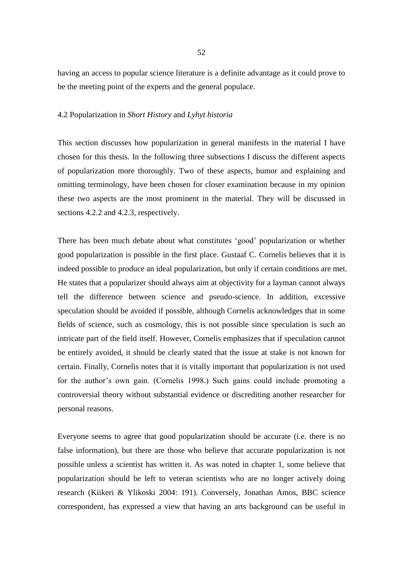having an access to popular science literature is a definite advantage as it could prove to be the meeting point of the experts and the general populace.

#### 4.2 Popularization in *Short History* and *Lyhyt historia*

This section discusses how popularization in general manifests in the material I have chosen for this thesis. In the following three subsections I discuss the different aspects of popularization more thoroughly. Two of these aspects, humor and explaining and omitting terminology, have been chosen for closer examination because in my opinion these two aspects are the most prominent in the material. They will be discussed in sections 4.2.2 and 4.2.3, respectively.

There has been much debate about what constitutes 'good' popularization or whether good popularization is possible in the first place. Gustaaf C. Cornelis believes that it is indeed possible to produce an ideal popularization, but only if certain conditions are met. He states that a popularizer should always aim at objectivity for a layman cannot always tell the difference between science and pseudo-science. In addition, excessive speculation should be avoided if possible, although Cornelis acknowledges that in some fields of science, such as cosmology, this is not possible since speculation is such an intricate part of the field itself. However, Cornelis emphasizes that if speculation cannot be entirely avoided, it should be clearly stated that the issue at stake is not known for certain. Finally, Cornelis notes that it is vitally important that popularization is not used for the author's own gain. (Cornelis 1998.) Such gains could include promoting a controversial theory without substantial evidence or discrediting another researcher for personal reasons.

Everyone seems to agree that good popularization should be accurate (i.e. there is no false information), but there are those who believe that accurate popularization is not possible unless a scientist has written it. As was noted in chapter 1, some believe that popularization should be left to veteran scientists who are no longer actively doing research (Kiikeri & Ylikoski 2004: 191). Conversely, Jonathan Amos, BBC science correspondent, has expressed a view that having an arts background can be useful in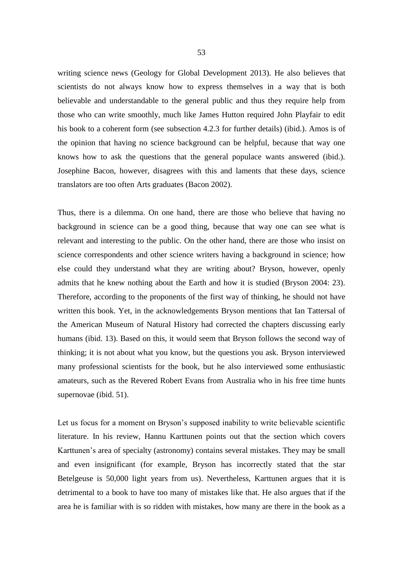writing science news (Geology for Global Development 2013). He also believes that scientists do not always know how to express themselves in a way that is both believable and understandable to the general public and thus they require help from those who can write smoothly, much like James Hutton required John Playfair to edit his book to a coherent form (see subsection 4.2.3 for further details) (ibid.). Amos is of the opinion that having no science background can be helpful, because that way one knows how to ask the questions that the general populace wants answered (ibid.). Josephine Bacon, however, disagrees with this and laments that these days, science translators are too often Arts graduates (Bacon 2002).

Thus, there is a dilemma. On one hand, there are those who believe that having no background in science can be a good thing, because that way one can see what is relevant and interesting to the public. On the other hand, there are those who insist on science correspondents and other science writers having a background in science; how else could they understand what they are writing about? Bryson, however, openly admits that he knew nothing about the Earth and how it is studied (Bryson 2004: 23). Therefore, according to the proponents of the first way of thinking, he should not have written this book. Yet, in the acknowledgements Bryson mentions that Ian Tattersal of the American Museum of Natural History had corrected the chapters discussing early humans (ibid. 13). Based on this, it would seem that Bryson follows the second way of thinking; it is not about what you know, but the questions you ask. Bryson interviewed many professional scientists for the book, but he also interviewed some enthusiastic amateurs, such as the Revered Robert Evans from Australia who in his free time hunts supernovae (ibid. 51).

Let us focus for a moment on Bryson's supposed inability to write believable scientific literature. In his review, Hannu Karttunen points out that the section which covers Karttunen's area of specialty (astronomy) contains several mistakes. They may be small and even insignificant (for example, Bryson has incorrectly stated that the star Betelgeuse is 50,000 light years from us). Nevertheless, Karttunen argues that it is detrimental to a book to have too many of mistakes like that. He also argues that if the area he is familiar with is so ridden with mistakes, how many are there in the book as a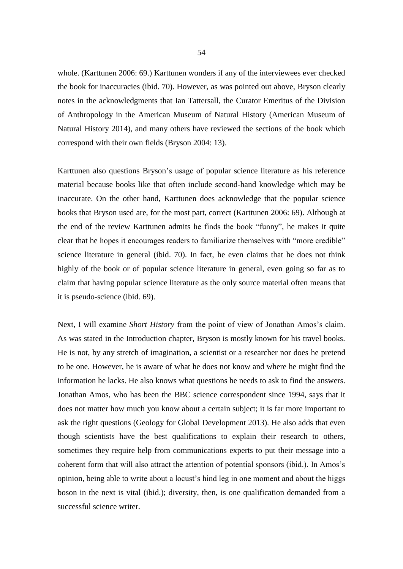whole. (Karttunen 2006: 69.) Karttunen wonders if any of the interviewees ever checked the book for inaccuracies (ibid. 70). However, as was pointed out above, Bryson clearly notes in the acknowledgments that Ian Tattersall, the Curator Emeritus of the Division of Anthropology in the American Museum of Natural History (American Museum of Natural History 2014), and many others have reviewed the sections of the book which correspond with their own fields (Bryson 2004: 13).

Karttunen also questions Bryson's usage of popular science literature as his reference material because books like that often include second-hand knowledge which may be inaccurate. On the other hand, Karttunen does acknowledge that the popular science books that Bryson used are, for the most part, correct (Karttunen 2006: 69). Although at the end of the review Karttunen admits he finds the book "funny", he makes it quite clear that he hopes it encourages readers to familiarize themselves with "more credible" science literature in general (ibid. 70). In fact, he even claims that he does not think highly of the book or of popular science literature in general, even going so far as to claim that having popular science literature as the only source material often means that it is pseudo-science (ibid. 69).

Next, I will examine *Short History* from the point of view of Jonathan Amos's claim. As was stated in the Introduction chapter, Bryson is mostly known for his travel books. He is not, by any stretch of imagination, a scientist or a researcher nor does he pretend to be one. However, he is aware of what he does not know and where he might find the information he lacks. He also knows what questions he needs to ask to find the answers. Jonathan Amos, who has been the BBC science correspondent since 1994, says that it does not matter how much you know about a certain subject; it is far more important to ask the right questions (Geology for Global Development 2013). He also adds that even though scientists have the best qualifications to explain their research to others, sometimes they require help from communications experts to put their message into a coherent form that will also attract the attention of potential sponsors (ibid.). In Amos's opinion, being able to write about a locust's hind leg in one moment and about the higgs boson in the next is vital (ibid.); diversity, then, is one qualification demanded from a successful science writer.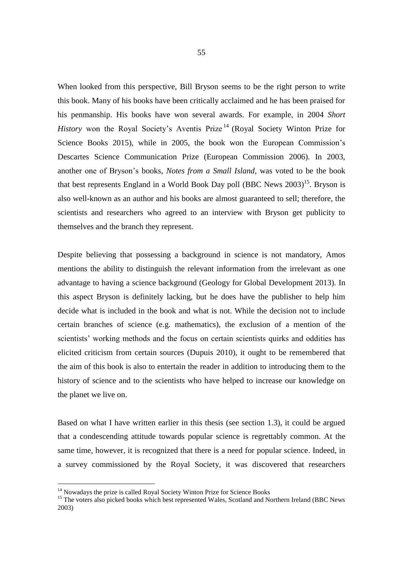When looked from this perspective, Bill Bryson seems to be the right person to write this book. Many of his books have been critically acclaimed and he has been praised for his penmanship. His books have won several awards. For example, in 2004 *Short History* won the Royal Society's Aventis Prize<sup>14</sup> (Royal Society Winton Prize for Science Books 2015), while in 2005, the book won the European Commission's Descartes Science Communication Prize (European Commission 2006). In 2003, another one of Bryson's books, *Notes from a Small Island*, was voted to be the book that best represents England in a World Book Day poll (BBC News 2003)<sup>15</sup>. Bryson is also well-known as an author and his books are almost guaranteed to sell; therefore, the scientists and researchers who agreed to an interview with Bryson get publicity to themselves and the branch they represent.

Despite believing that possessing a background in science is not mandatory, Amos mentions the ability to distinguish the relevant information from the irrelevant as one advantage to having a science background (Geology for Global Development 2013). In this aspect Bryson is definitely lacking, but he does have the publisher to help him decide what is included in the book and what is not. While the decision not to include certain branches of science (e.g. mathematics), the exclusion of a mention of the scientists' working methods and the focus on certain scientists quirks and oddities has elicited criticism from certain sources (Dupuis 2010), it ought to be remembered that the aim of this book is also to entertain the reader in addition to introducing them to the history of science and to the scientists who have helped to increase our knowledge on the planet we live on.

Based on what I have written earlier in this thesis (see section 1.3), it could be argued that a condescending attitude towards popular science is regrettably common. At the same time, however, it is recognized that there is a need for popular science. Indeed, in a survey commissioned by the Royal Society, it was discovered that researchers

-

<sup>&</sup>lt;sup>14</sup> Nowadays the prize is called Royal Society Winton Prize for Science Books

<sup>&</sup>lt;sup>15</sup> The voters also picked books which best represented Wales, Scotland and Northern Ireland (BBC News 2003)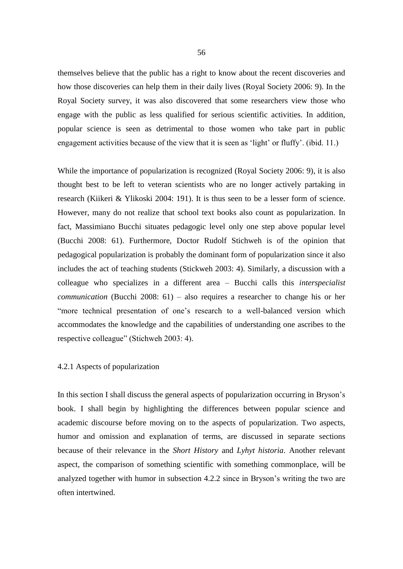themselves believe that the public has a right to know about the recent discoveries and how those discoveries can help them in their daily lives (Royal Society 2006: 9). In the Royal Society survey, it was also discovered that some researchers view those who engage with the public as less qualified for serious scientific activities. In addition, popular science is seen as detrimental to those women who take part in public engagement activities because of the view that it is seen as 'light' or fluffy'. (ibid. 11.)

While the importance of popularization is recognized (Royal Society 2006: 9), it is also thought best to be left to veteran scientists who are no longer actively partaking in research (Kiikeri & Ylikoski 2004: 191). It is thus seen to be a lesser form of science. However, many do not realize that school text books also count as popularization. In fact, Massimiano Bucchi situates pedagogic level only one step above popular level (Bucchi 2008: 61). Furthermore, Doctor Rudolf Stichweh is of the opinion that pedagogical popularization is probably the dominant form of popularization since it also includes the act of teaching students (Stickweh 2003: 4). Similarly, a discussion with a colleague who specializes in a different area – Bucchi calls this *interspecialist communication* (Bucchi 2008: 61) – also requires a researcher to change his or her "more technical presentation of one's research to a well-balanced version which accommodates the knowledge and the capabilities of understanding one ascribes to the respective colleague" (Stichweh 2003: 4).

## 4.2.1 Aspects of popularization

In this section I shall discuss the general aspects of popularization occurring in Bryson's book. I shall begin by highlighting the differences between popular science and academic discourse before moving on to the aspects of popularization. Two aspects, humor and omission and explanation of terms, are discussed in separate sections because of their relevance in the *Short History* and *Lyhyt historia*. Another relevant aspect, the comparison of something scientific with something commonplace, will be analyzed together with humor in subsection 4.2.2 since in Bryson's writing the two are often intertwined.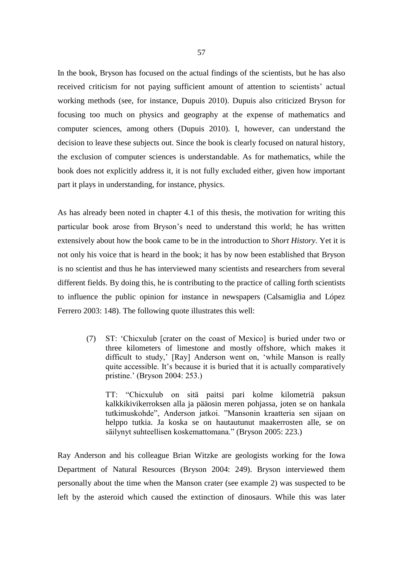In the book, Bryson has focused on the actual findings of the scientists, but he has also received criticism for not paying sufficient amount of attention to scientists' actual working methods (see, for instance, Dupuis 2010). Dupuis also criticized Bryson for focusing too much on physics and geography at the expense of mathematics and computer sciences, among others (Dupuis 2010). I, however, can understand the decision to leave these subjects out. Since the book is clearly focused on natural history, the exclusion of computer sciences is understandable. As for mathematics, while the book does not explicitly address it, it is not fully excluded either, given how important part it plays in understanding, for instance, physics.

As has already been noted in chapter 4.1 of this thesis, the motivation for writing this particular book arose from Bryson's need to understand this world; he has written extensively about how the book came to be in the introduction to *Short History*. Yet it is not only his voice that is heard in the book; it has by now been established that Bryson is no scientist and thus he has interviewed many scientists and researchers from several different fields. By doing this, he is contributing to the practice of calling forth scientists to influence the public opinion for instance in newspapers (Calsamiglia and López Ferrero 2003: 148). The following quote illustrates this well:

(7) ST: 'Chicxulub [crater on the coast of Mexico] is buried under two or three kilometers of limestone and mostly offshore, which makes it difficult to study,' [Ray] Anderson went on, 'while Manson is really quite accessible. It's because it is buried that it is actually comparatively pristine.' (Bryson 2004: 253.)

TT: "Chicxulub on sitä paitsi pari kolme kilometriä paksun kalkkikivikerroksen alla ja pääosin meren pohjassa, joten se on hankala tutkimuskohde", Anderson jatkoi. "Mansonin kraatteria sen sijaan on helppo tutkia. Ja koska se on hautautunut maakerrosten alle, se on säilynyt suhteellisen koskemattomana." (Bryson 2005: 223.)

Ray Anderson and his colleague Brian Witzke are geologists working for the Iowa Department of Natural Resources (Bryson 2004: 249). Bryson interviewed them personally about the time when the Manson crater (see example 2) was suspected to be left by the asteroid which caused the extinction of dinosaurs. While this was later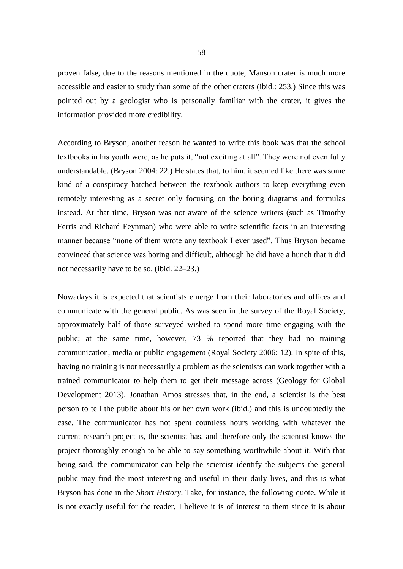proven false, due to the reasons mentioned in the quote, Manson crater is much more accessible and easier to study than some of the other craters (ibid.: 253.) Since this was pointed out by a geologist who is personally familiar with the crater, it gives the information provided more credibility.

According to Bryson, another reason he wanted to write this book was that the school textbooks in his youth were, as he puts it, "not exciting at all". They were not even fully understandable. (Bryson 2004: 22.) He states that, to him, it seemed like there was some kind of a conspiracy hatched between the textbook authors to keep everything even remotely interesting as a secret only focusing on the boring diagrams and formulas instead. At that time, Bryson was not aware of the science writers (such as Timothy Ferris and Richard Feynman) who were able to write scientific facts in an interesting manner because "none of them wrote any textbook I ever used". Thus Bryson became convinced that science was boring and difficult, although he did have a hunch that it did not necessarily have to be so. (ibid. 22–23.)

Nowadays it is expected that scientists emerge from their laboratories and offices and communicate with the general public. As was seen in the survey of the Royal Society, approximately half of those surveyed wished to spend more time engaging with the public; at the same time, however, 73 % reported that they had no training communication, media or public engagement (Royal Society 2006: 12). In spite of this, having no training is not necessarily a problem as the scientists can work together with a trained communicator to help them to get their message across (Geology for Global Development 2013). Jonathan Amos stresses that, in the end, a scientist is the best person to tell the public about his or her own work (ibid.) and this is undoubtedly the case. The communicator has not spent countless hours working with whatever the current research project is, the scientist has, and therefore only the scientist knows the project thoroughly enough to be able to say something worthwhile about it. With that being said, the communicator can help the scientist identify the subjects the general public may find the most interesting and useful in their daily lives, and this is what Bryson has done in the *Short History*. Take, for instance, the following quote. While it is not exactly useful for the reader, I believe it is of interest to them since it is about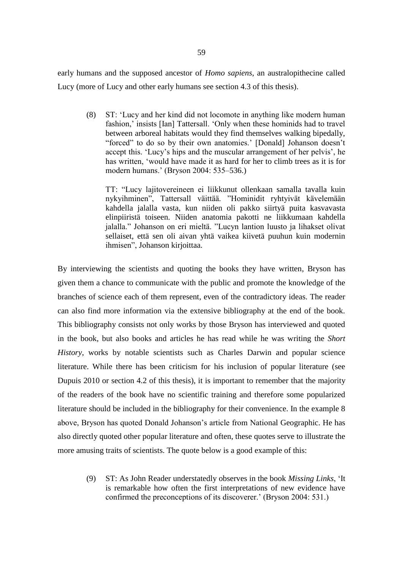early humans and the supposed ancestor of *Homo sapiens*, an australopithecine called Lucy (more of Lucy and other early humans see section 4.3 of this thesis).

(8) ST: 'Lucy and her kind did not locomote in anything like modern human fashion,' insists [Ian] Tattersall. 'Only when these hominids had to travel between arboreal habitats would they find themselves walking bipedally, "forced" to do so by their own anatomies.' [Donald] Johanson doesn't accept this. 'Lucy's hips and the muscular arrangement of her pelvis', he has written, 'would have made it as hard for her to climb trees as it is for modern humans.' (Bryson 2004: 535–536.)

TT: "Lucy lajitovereineen ei liikkunut ollenkaan samalla tavalla kuin nykyihminen", Tattersall väittää. "Hominidit ryhtyivät kävelemään kahdella jalalla vasta, kun niiden oli pakko siirtyä puita kasvavasta elinpiiristä toiseen. Niiden anatomia pakotti ne liikkumaan kahdella jalalla." Johanson on eri mieltä. "Lucyn lantion luusto ja lihakset olivat sellaiset, että sen oli aivan yhtä vaikea kiivetä puuhun kuin modernin ihmisen", Johanson kirjoittaa.

By interviewing the scientists and quoting the books they have written, Bryson has given them a chance to communicate with the public and promote the knowledge of the branches of science each of them represent, even of the contradictory ideas. The reader can also find more information via the extensive bibliography at the end of the book. This bibliography consists not only works by those Bryson has interviewed and quoted in the book, but also books and articles he has read while he was writing the *Short History*, works by notable scientists such as Charles Darwin and popular science literature. While there has been criticism for his inclusion of popular literature (see Dupuis 2010 or section 4.2 of this thesis), it is important to remember that the majority of the readers of the book have no scientific training and therefore some popularized literature should be included in the bibliography for their convenience. In the example 8 above, Bryson has quoted Donald Johanson's article from National Geographic. He has also directly quoted other popular literature and often, these quotes serve to illustrate the more amusing traits of scientists. The quote below is a good example of this:

(9) ST: As John Reader understatedly observes in the book *Missing Links*, 'It is remarkable how often the first interpretations of new evidence have confirmed the preconceptions of its discoverer.' (Bryson 2004: 531.)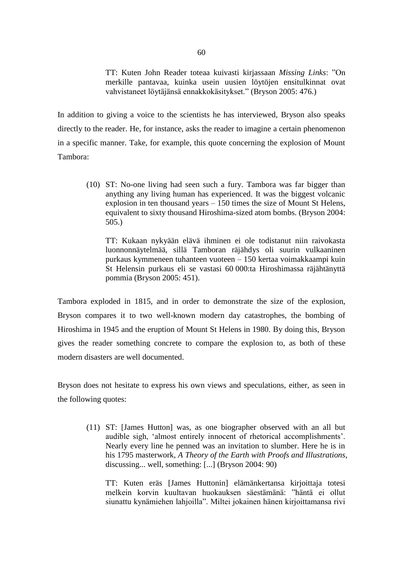TT: Kuten John Reader toteaa kuivasti kirjassaan *Missing Links*: "On merkille pantavaa, kuinka usein uusien löytöjen ensitulkinnat ovat vahvistaneet löytäjänsä ennakkokäsitykset." (Bryson 2005: 476.)

In addition to giving a voice to the scientists he has interviewed, Bryson also speaks directly to the reader. He, for instance, asks the reader to imagine a certain phenomenon in a specific manner. Take, for example, this quote concerning the explosion of Mount Tambora:

(10) ST: No-one living had seen such a fury. Tambora was far bigger than anything any living human has experienced. It was the biggest volcanic explosion in ten thousand years – 150 times the size of Mount St Helens, equivalent to sixty thousand Hiroshima-sized atom bombs. (Bryson 2004: 505.)

TT: Kukaan nykyään elävä ihminen ei ole todistanut niin raivokasta luonnonnäytelmää, sillä Tamboran räjähdys oli suurin vulkaaninen purkaus kymmeneen tuhanteen vuoteen – 150 kertaa voimakkaampi kuin St Helensin purkaus eli se vastasi 60 000:ta Hiroshimassa räjähtänyttä pommia (Bryson 2005: 451).

Tambora exploded in 1815, and in order to demonstrate the size of the explosion, Bryson compares it to two well-known modern day catastrophes, the bombing of Hiroshima in 1945 and the eruption of Mount St Helens in 1980. By doing this, Bryson gives the reader something concrete to compare the explosion to, as both of these modern disasters are well documented.

Bryson does not hesitate to express his own views and speculations, either, as seen in the following quotes:

(11) ST: [James Hutton] was, as one biographer observed with an all but audible sigh, 'almost entirely innocent of rhetorical accomplishments'. Nearly every line he penned was an invitation to slumber. Here he is in his 1795 masterwork, *A Theory of the Earth with Proofs and Illustrations*, discussing... well, something: [...] (Bryson 2004: 90)

TT: Kuten eräs [James Huttonin] elämänkertansa kirjoittaja totesi melkein korvin kuultavan huokauksen säestämänä: "häntä ei ollut siunattu kynämiehen lahjoilla". Miltei jokainen hänen kirjoittamansa rivi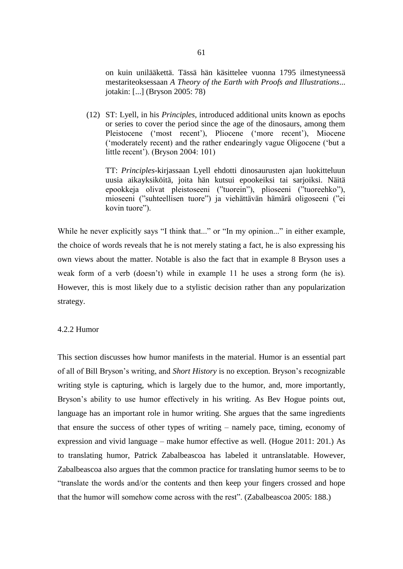on kuin unilääkettä. Tässä hän käsittelee vuonna 1795 ilmestyneessä mestariteoksessaan *A Theory of the Earth with Proofs and Illustrations*... jotakin: [...] (Bryson 2005: 78)

(12) ST: Lyell, in his *Principles*, introduced additional units known as epochs or series to cover the period since the age of the dinosaurs, among them Pleistocene ('most recent'), Pliocene ('more recent'), Miocene ('moderately recent) and the rather endearingly vague Oligocene ('but a little recent'). (Bryson 2004: 101)

TT: *Principles*-kirjassaan Lyell ehdotti dinosaurusten ajan luokitteluun uusia aikayksiköitä, joita hän kutsui epookeiksi tai sarjoiksi. Näitä epookkeja olivat pleistoseeni ("tuorein"), plioseeni ("tuoreehko"), mioseeni ("suhteellisen tuore") ja viehättävän hämärä oligoseeni ("ei kovin tuore").

While he never explicitly says "I think that..." or "In my opinion..." in either example, the choice of words reveals that he is not merely stating a fact, he is also expressing his own views about the matter. Notable is also the fact that in example 8 Bryson uses a weak form of a verb (doesn't) while in example 11 he uses a strong form (he is). However, this is most likely due to a stylistic decision rather than any popularization strategy.

# 4.2.2 Humor

This section discusses how humor manifests in the material. Humor is an essential part of all of Bill Bryson's writing, and *Short History* is no exception. Bryson's recognizable writing style is capturing, which is largely due to the humor, and, more importantly, Bryson's ability to use humor effectively in his writing. As Bev Hogue points out, language has an important role in humor writing. She argues that the same ingredients that ensure the success of other types of writing – namely pace, timing, economy of expression and vivid language – make humor effective as well. (Hogue 2011: 201.) As to translating humor, Patrick Zabalbeascoa has labeled it untranslatable. However, Zabalbeascoa also argues that the common practice for translating humor seems to be to "translate the words and/or the contents and then keep your fingers crossed and hope that the humor will somehow come across with the rest". (Zabalbeascoa 2005: 188.)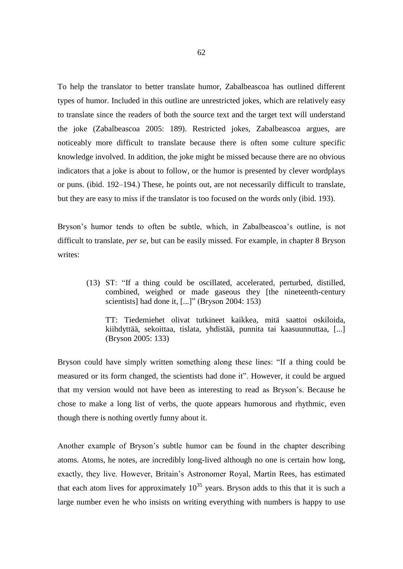To help the translator to better translate humor, Zabalbeascoa has outlined different types of humor. Included in this outline are unrestricted jokes, which are relatively easy to translate since the readers of both the source text and the target text will understand the joke (Zabalbeascoa 2005: 189). Restricted jokes, Zabalbeascoa argues, are noticeably more difficult to translate because there is often some culture specific knowledge involved. In addition, the joke might be missed because there are no obvious indicators that a joke is about to follow, or the humor is presented by clever wordplays or puns. (ibid. 192–194.) These, he points out, are not necessarily difficult to translate, but they are easy to miss if the translator is too focused on the words only (ibid. 193).

Bryson's humor tends to often be subtle, which, in Zabalbeascoa's outline, is not difficult to translate, *per se*, but can be easily missed. For example, in chapter 8 Bryson writes:

(13) ST: "If a thing could be oscillated, accelerated, perturbed, distilled, combined, weighed or made gaseous they [the nineteenth-century scientists] had done it, [...]" (Bryson 2004: 153)

TT: Tiedemiehet olivat tutkineet kaikkea, mitä saattoi oskiloida, kiihdyttää, sekoittaa, tislata, yhdistää, punnita tai kaasuunnuttaa, [...] (Bryson 2005: 133)

Bryson could have simply written something along these lines: "If a thing could be measured or its form changed, the scientists had done it". However, it could be argued that my version would not have been as interesting to read as Bryson's. Because he chose to make a long list of verbs, the quote appears humorous and rhythmic, even though there is nothing overtly funny about it.

Another example of Bryson's subtle humor can be found in the chapter describing atoms. Atoms, he notes, are incredibly long-lived although no one is certain how long, exactly, they live. However, Britain's Astronomer Royal, Martin Rees, has estimated that each atom lives for approximately  $10^{35}$  years. Bryson adds to this that it is such a large number even he who insists on writing everything with numbers is happy to use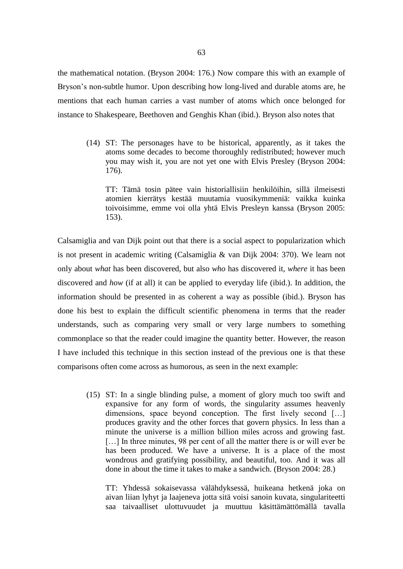the mathematical notation. (Bryson 2004: 176.) Now compare this with an example of Bryson's non-subtle humor. Upon describing how long-lived and durable atoms are, he mentions that each human carries a vast number of atoms which once belonged for instance to Shakespeare, Beethoven and Genghis Khan (ibid.). Bryson also notes that

(14) ST: The personages have to be historical, apparently, as it takes the atoms some decades to become thoroughly redistributed; however much you may wish it, you are not yet one with Elvis Presley (Bryson 2004: 176).

TT: Tämä tosin pätee vain historiallisiin henkilöihin, sillä ilmeisesti atomien kierrätys kestää muutamia vuosikymmeniä: vaikka kuinka toivoisimme, emme voi olla yhtä Elvis Presleyn kanssa (Bryson 2005: 153).

Calsamiglia and van Dijk point out that there is a social aspect to popularization which is not present in academic writing (Calsamiglia & van Dijk 2004: 370). We learn not only about *what* has been discovered, but also *who* has discovered it, *where* it has been discovered and *how* (if at all) it can be applied to everyday life (ibid.). In addition, the information should be presented in as coherent a way as possible (ibid.). Bryson has done his best to explain the difficult scientific phenomena in terms that the reader understands, such as comparing very small or very large numbers to something commonplace so that the reader could imagine the quantity better. However, the reason I have included this technique in this section instead of the previous one is that these comparisons often come across as humorous, as seen in the next example:

(15) ST: In a single blinding pulse, a moment of glory much too swift and expansive for any form of words, the singularity assumes heavenly dimensions, space beyond conception. The first lively second [...] produces gravity and the other forces that govern physics. In less than a minute the universe is a million billion miles across and growing fast. [...] In three minutes, 98 per cent of all the matter there is or will ever be has been produced. We have a universe. It is a place of the most wondrous and gratifying possibility, and beautiful, too. And it was all done in about the time it takes to make a sandwich. (Bryson 2004: 28.)

TT: Yhdessä sokaisevassa välähdyksessä, huikeana hetkenä joka on aivan liian lyhyt ja laajeneva jotta sitä voisi sanoin kuvata, singulariteetti saa taivaalliset ulottuvuudet ja muuttuu käsittämättömällä tavalla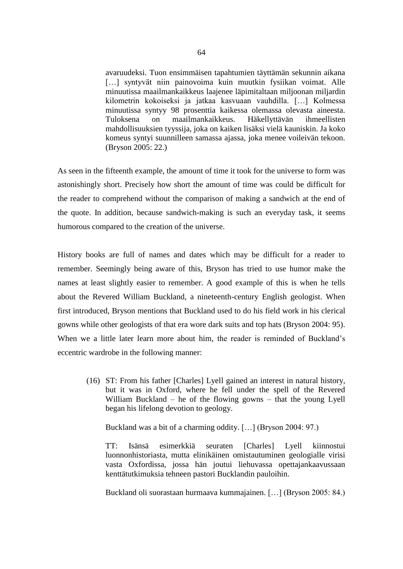avaruudeksi. Tuon ensimmäisen tapahtumien täyttämän sekunnin aikana [...] syntyvät niin painovoima kuin muutkin fysiikan voimat. Alle minuutissa maailmankaikkeus laajenee läpimitaltaan miljoonan miljardin kilometrin kokoiseksi ja jatkaa kasvuaan vauhdilla. […] Kolmessa minuutissa syntyy 98 prosenttia kaikessa olemassa olevasta aineesta. Tuloksena on maailmankaikkeus. Häkellyttävän ihmeellisten mahdollisuuksien tyyssija, joka on kaiken lisäksi vielä kauniskin. Ja koko komeus syntyi suunnilleen samassa ajassa, joka menee voileivän tekoon. (Bryson 2005: 22.)

As seen in the fifteenth example, the amount of time it took for the universe to form was astonishingly short. Precisely how short the amount of time was could be difficult for the reader to comprehend without the comparison of making a sandwich at the end of the quote. In addition, because sandwich-making is such an everyday task, it seems humorous compared to the creation of the universe.

History books are full of names and dates which may be difficult for a reader to remember. Seemingly being aware of this, Bryson has tried to use humor make the names at least slightly easier to remember. A good example of this is when he tells about the Revered William Buckland, a nineteenth-century English geologist. When first introduced, Bryson mentions that Buckland used to do his field work in his clerical gowns while other geologists of that era wore dark suits and top hats (Bryson 2004: 95). When we a little later learn more about him, the reader is reminded of Buckland's eccentric wardrobe in the following manner:

(16) ST: From his father [Charles] Lyell gained an interest in natural history, but it was in Oxford, where he fell under the spell of the Revered William Buckland – he of the flowing gowns – that the young Lyell began his lifelong devotion to geology.

Buckland was a bit of a charming oddity. […] (Bryson 2004: 97.)

TT: Isänsä esimerkkiä seuraten [Charles] Lyell kiinnostui luonnonhistoriasta, mutta elinikäinen omistautuminen geologialle virisi vasta Oxfordissa, jossa hän joutui liehuvassa opettajankaavussaan kenttätutkimuksia tehneen pastori Bucklandin pauloihin.

Buckland oli suorastaan hurmaava kummajainen. […] (Bryson 2005: 84.)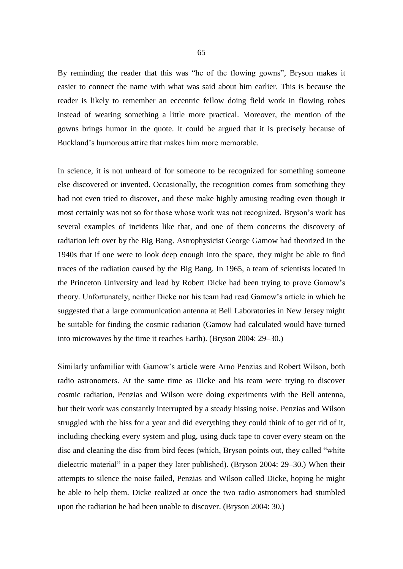By reminding the reader that this was "he of the flowing gowns", Bryson makes it easier to connect the name with what was said about him earlier. This is because the reader is likely to remember an eccentric fellow doing field work in flowing robes instead of wearing something a little more practical. Moreover, the mention of the gowns brings humor in the quote. It could be argued that it is precisely because of Buckland's humorous attire that makes him more memorable.

In science, it is not unheard of for someone to be recognized for something someone else discovered or invented. Occasionally, the recognition comes from something they had not even tried to discover, and these make highly amusing reading even though it most certainly was not so for those whose work was not recognized. Bryson's work has several examples of incidents like that, and one of them concerns the discovery of radiation left over by the Big Bang. Astrophysicist George Gamow had theorized in the 1940s that if one were to look deep enough into the space, they might be able to find traces of the radiation caused by the Big Bang. In 1965, a team of scientists located in the Princeton University and lead by Robert Dicke had been trying to prove Gamow's theory. Unfortunately, neither Dicke nor his team had read Gamow's article in which he suggested that a large communication antenna at Bell Laboratories in New Jersey might be suitable for finding the cosmic radiation (Gamow had calculated would have turned into microwaves by the time it reaches Earth). (Bryson 2004: 29–30.)

Similarly unfamiliar with Gamow's article were Arno Penzias and Robert Wilson, both radio astronomers. At the same time as Dicke and his team were trying to discover cosmic radiation, Penzias and Wilson were doing experiments with the Bell antenna, but their work was constantly interrupted by a steady hissing noise. Penzias and Wilson struggled with the hiss for a year and did everything they could think of to get rid of it, including checking every system and plug, using duck tape to cover every steam on the disc and cleaning the disc from bird feces (which, Bryson points out, they called "white dielectric material" in a paper they later published). (Bryson 2004: 29–30.) When their attempts to silence the noise failed, Penzias and Wilson called Dicke, hoping he might be able to help them. Dicke realized at once the two radio astronomers had stumbled upon the radiation he had been unable to discover. (Bryson 2004: 30.)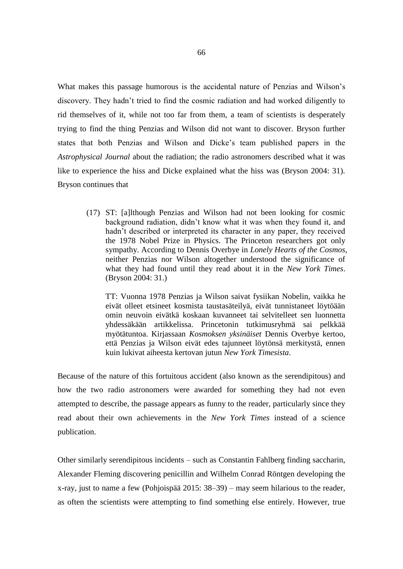What makes this passage humorous is the accidental nature of Penzias and Wilson's discovery. They hadn't tried to find the cosmic radiation and had worked diligently to rid themselves of it, while not too far from them, a team of scientists is desperately trying to find the thing Penzias and Wilson did not want to discover. Bryson further states that both Penzias and Wilson and Dicke's team published papers in the *Astrophysical Journal* about the radiation; the radio astronomers described what it was like to experience the hiss and Dicke explained what the hiss was (Bryson 2004: 31). Bryson continues that

(17) ST: [a]lthough Penzias and Wilson had not been looking for cosmic background radiation, didn't know what it was when they found it, and hadn't described or interpreted its character in any paper, they received the 1978 Nobel Prize in Physics. The Princeton researchers got only sympathy. According to Dennis Overbye in *Lonely Hearts of the Cosmos*, neither Penzias nor Wilson altogether understood the significance of what they had found until they read about it in the *New York Times*. (Bryson 2004: 31.)

TT: Vuonna 1978 Penzias ja Wilson saivat fysiikan Nobelin, vaikka he eivät olleet etsineet kosmista taustasäteilyä, eivät tunnistaneet löytöään omin neuvoin eivätkä koskaan kuvanneet tai selvitelleet sen luonnetta yhdessäkään artikkelissa. Princetonin tutkimusryhmä sai pelkkää myötätuntoa. Kirjassaan *Kosmoksen yksinäiset* Dennis Overbye kertoo, että Penzias ja Wilson eivät edes tajunneet löytönsä merkitystä, ennen kuin lukivat aiheesta kertovan jutun *New York Timesista*.

Because of the nature of this fortuitous accident (also known as the serendipitous) and how the two radio astronomers were awarded for something they had not even attempted to describe, the passage appears as funny to the reader, particularly since they read about their own achievements in the *New York Times* instead of a science publication.

Other similarly serendipitous incidents – such as Constantin Fahlberg finding saccharin, Alexander Fleming discovering penicillin and Wilhelm Conrad Röntgen developing the x-ray, just to name a few (Pohjoispää 2015: 38–39) – may seem hilarious to the reader, as often the scientists were attempting to find something else entirely. However, true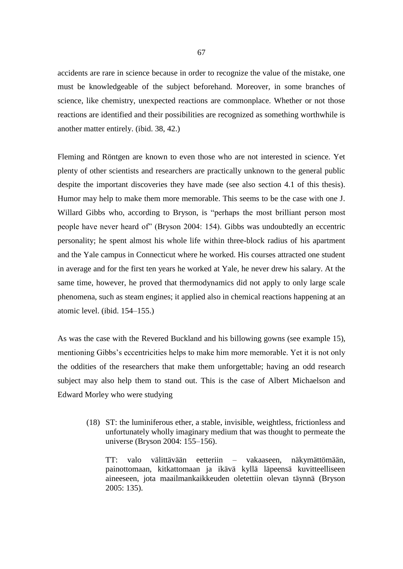accidents are rare in science because in order to recognize the value of the mistake, one must be knowledgeable of the subject beforehand. Moreover, in some branches of science, like chemistry, unexpected reactions are commonplace. Whether or not those reactions are identified and their possibilities are recognized as something worthwhile is another matter entirely. (ibid. 38, 42.)

Fleming and Röntgen are known to even those who are not interested in science. Yet plenty of other scientists and researchers are practically unknown to the general public despite the important discoveries they have made (see also section 4.1 of this thesis). Humor may help to make them more memorable. This seems to be the case with one J. Willard Gibbs who, according to Bryson, is "perhaps the most brilliant person most people have never heard of" (Bryson 2004: 154). Gibbs was undoubtedly an eccentric personality; he spent almost his whole life within three-block radius of his apartment and the Yale campus in Connecticut where he worked. His courses attracted one student in average and for the first ten years he worked at Yale, he never drew his salary. At the same time, however, he proved that thermodynamics did not apply to only large scale phenomena, such as steam engines; it applied also in chemical reactions happening at an atomic level. (ibid. 154–155.)

As was the case with the Revered Buckland and his billowing gowns (see example 15), mentioning Gibbs's eccentricities helps to make him more memorable. Yet it is not only the oddities of the researchers that make them unforgettable; having an odd research subject may also help them to stand out. This is the case of Albert Michaelson and Edward Morley who were studying

(18) ST: the luminiferous ether, a stable, invisible, weightless, frictionless and unfortunately wholly imaginary medium that was thought to permeate the universe (Bryson 2004: 155–156).

TT: valo välittävään eetteriin – vakaaseen, näkymättömään, painottomaan, kitkattomaan ja ikävä kyllä läpeensä kuvitteelliseen aineeseen, jota maailmankaikkeuden oletettiin olevan täynnä (Bryson 2005: 135).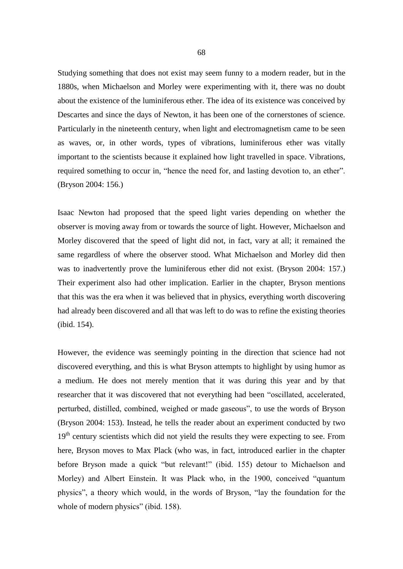Studying something that does not exist may seem funny to a modern reader, but in the 1880s, when Michaelson and Morley were experimenting with it, there was no doubt about the existence of the luminiferous ether. The idea of its existence was conceived by Descartes and since the days of Newton, it has been one of the cornerstones of science. Particularly in the nineteenth century, when light and electromagnetism came to be seen as waves, or, in other words, types of vibrations, luminiferous ether was vitally important to the scientists because it explained how light travelled in space. Vibrations, required something to occur in, "hence the need for, and lasting devotion to, an ether". (Bryson 2004: 156.)

Isaac Newton had proposed that the speed light varies depending on whether the observer is moving away from or towards the source of light. However, Michaelson and Morley discovered that the speed of light did not, in fact, vary at all; it remained the same regardless of where the observer stood. What Michaelson and Morley did then was to inadvertently prove the luminiferous ether did not exist. (Bryson 2004: 157.) Their experiment also had other implication. Earlier in the chapter, Bryson mentions that this was the era when it was believed that in physics, everything worth discovering had already been discovered and all that was left to do was to refine the existing theories (ibid. 154).

However, the evidence was seemingly pointing in the direction that science had not discovered everything, and this is what Bryson attempts to highlight by using humor as a medium. He does not merely mention that it was during this year and by that researcher that it was discovered that not everything had been "oscillated, accelerated, perturbed, distilled, combined, weighed or made gaseous", to use the words of Bryson (Bryson 2004: 153). Instead, he tells the reader about an experiment conducted by two  $19<sup>th</sup>$  century scientists which did not yield the results they were expecting to see. From here, Bryson moves to Max Plack (who was, in fact, introduced earlier in the chapter before Bryson made a quick "but relevant!" (ibid. 155) detour to Michaelson and Morley) and Albert Einstein. It was Plack who, in the 1900, conceived "quantum physics", a theory which would, in the words of Bryson, "lay the foundation for the whole of modern physics" (ibid. 158).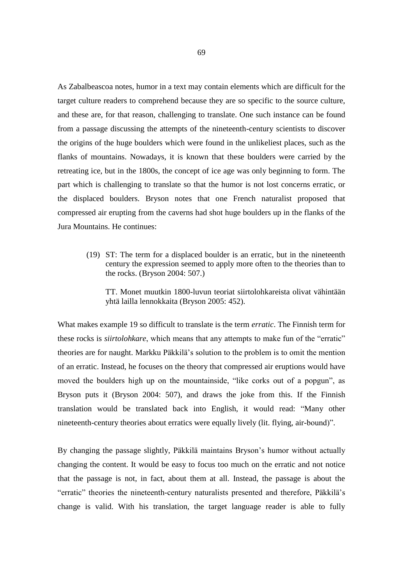As Zabalbeascoa notes, humor in a text may contain elements which are difficult for the target culture readers to comprehend because they are so specific to the source culture, and these are, for that reason, challenging to translate. One such instance can be found from a passage discussing the attempts of the nineteenth-century scientists to discover the origins of the huge boulders which were found in the unlikeliest places, such as the flanks of mountains. Nowadays, it is known that these boulders were carried by the retreating ice, but in the 1800s, the concept of ice age was only beginning to form. The part which is challenging to translate so that the humor is not lost concerns erratic, or the displaced boulders. Bryson notes that one French naturalist proposed that compressed air erupting from the caverns had shot huge boulders up in the flanks of the Jura Mountains. He continues:

(19) ST: The term for a displaced boulder is an erratic, but in the nineteenth century the expression seemed to apply more often to the theories than to the rocks. (Bryson 2004: 507.)

TT. Monet muutkin 1800-luvun teoriat siirtolohkareista olivat vähintään yhtä lailla lennokkaita (Bryson 2005: 452).

What makes example 19 so difficult to translate is the term *erratic*. The Finnish term for these rocks is *siirtolohkare*, which means that any attempts to make fun of the "erratic" theories are for naught. Markku Päkkilä's solution to the problem is to omit the mention of an erratic. Instead, he focuses on the theory that compressed air eruptions would have moved the boulders high up on the mountainside, "like corks out of a popgun", as Bryson puts it (Bryson 2004: 507), and draws the joke from this. If the Finnish translation would be translated back into English, it would read: "Many other nineteenth-century theories about erratics were equally lively (lit. flying, air-bound)".

By changing the passage slightly, Päkkilä maintains Bryson's humor without actually changing the content. It would be easy to focus too much on the erratic and not notice that the passage is not, in fact, about them at all. Instead, the passage is about the "erratic" theories the nineteenth-century naturalists presented and therefore, Päkkilä's change is valid. With his translation, the target language reader is able to fully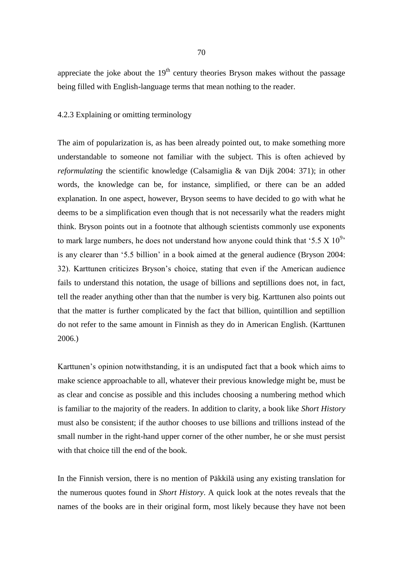appreciate the joke about the  $19<sup>th</sup>$  century theories Bryson makes without the passage being filled with English-language terms that mean nothing to the reader.

## 4.2.3 Explaining or omitting terminology

The aim of popularization is, as has been already pointed out, to make something more understandable to someone not familiar with the subject. This is often achieved by *reformulating* the scientific knowledge (Calsamiglia & van Dijk 2004: 371); in other words, the knowledge can be, for instance, simplified, or there can be an added explanation. In one aspect, however, Bryson seems to have decided to go with what he deems to be a simplification even though that is not necessarily what the readers might think. Bryson points out in a footnote that although scientists commonly use exponents to mark large numbers, he does not understand how anyone could think that '5.5 X  $10^{9}$ ' is any clearer than '5.5 billion' in a book aimed at the general audience (Bryson 2004: 32). Karttunen criticizes Bryson's choice, stating that even if the American audience fails to understand this notation, the usage of billions and septillions does not, in fact, tell the reader anything other than that the number is very big. Karttunen also points out that the matter is further complicated by the fact that billion, quintillion and septillion do not refer to the same amount in Finnish as they do in American English. (Karttunen 2006.)

Karttunen's opinion notwithstanding, it is an undisputed fact that a book which aims to make science approachable to all, whatever their previous knowledge might be, must be as clear and concise as possible and this includes choosing a numbering method which is familiar to the majority of the readers. In addition to clarity, a book like *Short History* must also be consistent; if the author chooses to use billions and trillions instead of the small number in the right-hand upper corner of the other number, he or she must persist with that choice till the end of the book.

In the Finnish version, there is no mention of Päkkilä using any existing translation for the numerous quotes found in *Short History*. A quick look at the notes reveals that the names of the books are in their original form, most likely because they have not been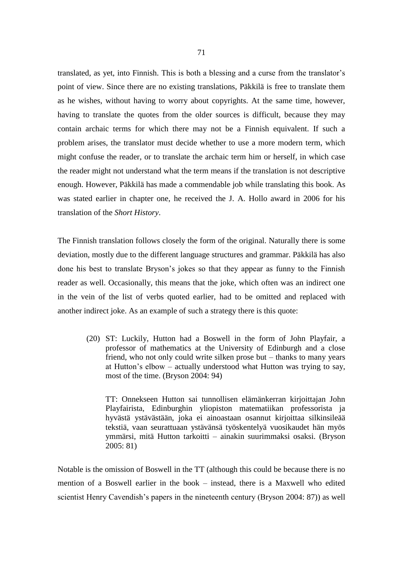translated, as yet, into Finnish. This is both a blessing and a curse from the translator's point of view. Since there are no existing translations, Päkkilä is free to translate them as he wishes, without having to worry about copyrights. At the same time, however, having to translate the quotes from the older sources is difficult, because they may contain archaic terms for which there may not be a Finnish equivalent. If such a problem arises, the translator must decide whether to use a more modern term, which might confuse the reader, or to translate the archaic term him or herself, in which case the reader might not understand what the term means if the translation is not descriptive enough. However, Päkkilä has made a commendable job while translating this book. As was stated earlier in chapter one, he received the J. A. Hollo award in 2006 for his translation of the *Short History*.

The Finnish translation follows closely the form of the original. Naturally there is some deviation, mostly due to the different language structures and grammar. Päkkilä has also done his best to translate Bryson's jokes so that they appear as funny to the Finnish reader as well. Occasionally, this means that the joke, which often was an indirect one in the vein of the list of verbs quoted earlier, had to be omitted and replaced with another indirect joke. As an example of such a strategy there is this quote:

(20) ST: Luckily, Hutton had a Boswell in the form of John Playfair, a professor of mathematics at the University of Edinburgh and a close friend, who not only could write silken prose but – thanks to many years at Hutton's elbow – actually understood what Hutton was trying to say, most of the time. (Bryson 2004: 94)

TT: Onnekseen Hutton sai tunnollisen elämänkerran kirjoittajan John Playfairista, Edinburghin yliopiston matematiikan professorista ja hyvästä ystävästään, joka ei ainoastaan osannut kirjoittaa silkinsileää tekstiä, vaan seurattuaan ystävänsä työskentelyä vuosikaudet hän myös ymmärsi, mitä Hutton tarkoitti – ainakin suurimmaksi osaksi. (Bryson 2005: 81)

Notable is the omission of Boswell in the TT (although this could be because there is no mention of a Boswell earlier in the book – instead, there is a Maxwell who edited scientist Henry Cavendish's papers in the nineteenth century (Bryson 2004: 87)) as well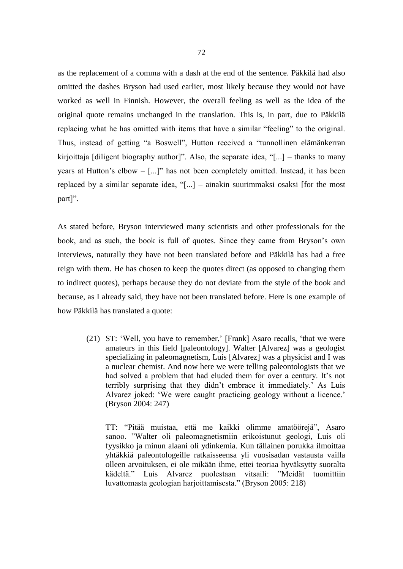as the replacement of a comma with a dash at the end of the sentence. Päkkilä had also omitted the dashes Bryson had used earlier, most likely because they would not have worked as well in Finnish. However, the overall feeling as well as the idea of the original quote remains unchanged in the translation. This is, in part, due to Päkkilä replacing what he has omitted with items that have a similar "feeling" to the original. Thus, instead of getting "a Boswell", Hutton received a "tunnollinen elämänkerran kirjoittaja [diligent biography author]". Also, the separate idea, "[...] – thanks to many years at Hutton's elbow – [...]" has not been completely omitted. Instead, it has been replaced by a similar separate idea, "[...] – ainakin suurimmaksi osaksi [for the most part]".

As stated before, Bryson interviewed many scientists and other professionals for the book, and as such, the book is full of quotes. Since they came from Bryson's own interviews, naturally they have not been translated before and Päkkilä has had a free reign with them. He has chosen to keep the quotes direct (as opposed to changing them to indirect quotes), perhaps because they do not deviate from the style of the book and because, as I already said, they have not been translated before. Here is one example of how Päkkilä has translated a quote:

(21) ST: 'Well, you have to remember,' [Frank] Asaro recalls, 'that we were amateurs in this field [paleontology]. Walter [Alvarez] was a geologist specializing in paleomagnetism, Luis [Alvarez] was a physicist and I was a nuclear chemist. And now here we were telling paleontologists that we had solved a problem that had eluded them for over a century. It's not terribly surprising that they didn't embrace it immediately.' As Luis Alvarez joked: 'We were caught practicing geology without a licence.' (Bryson 2004: 247)

TT: "Pitää muistaa, että me kaikki olimme amatöörejä", Asaro sanoo. "Walter oli paleomagnetismiin erikoistunut geologi, Luis oli fyysikko ja minun alaani oli ydinkemia. Kun tällainen porukka ilmoittaa yhtäkkiä paleontologeille ratkaisseensa yli vuosisadan vastausta vailla olleen arvoituksen, ei ole mikään ihme, ettei teoriaa hyväksytty suoralta kädeltä." Luis Alvarez puolestaan vitsaili: "Meidät tuomittiin luvattomasta geologian harjoittamisesta." (Bryson 2005: 218)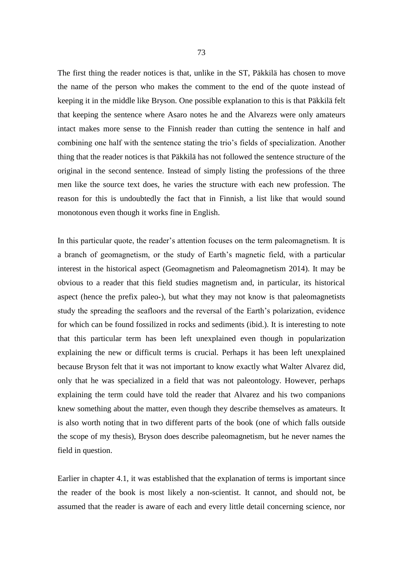The first thing the reader notices is that, unlike in the ST, Päkkilä has chosen to move the name of the person who makes the comment to the end of the quote instead of keeping it in the middle like Bryson. One possible explanation to this is that Päkkilä felt that keeping the sentence where Asaro notes he and the Alvarezs were only amateurs intact makes more sense to the Finnish reader than cutting the sentence in half and combining one half with the sentence stating the trio's fields of specialization. Another thing that the reader notices is that Päkkilä has not followed the sentence structure of the original in the second sentence. Instead of simply listing the professions of the three men like the source text does, he varies the structure with each new profession. The reason for this is undoubtedly the fact that in Finnish, a list like that would sound monotonous even though it works fine in English.

In this particular quote, the reader's attention focuses on the term paleomagnetism. It is a branch of geomagnetism, or the study of Earth's magnetic field, with a particular interest in the historical aspect (Geomagnetism and Paleomagnetism 2014). It may be obvious to a reader that this field studies magnetism and, in particular, its historical aspect (hence the prefix paleo-), but what they may not know is that paleomagnetists study the spreading the seafloors and the reversal of the Earth's polarization, evidence for which can be found fossilized in rocks and sediments (ibid.). It is interesting to note that this particular term has been left unexplained even though in popularization explaining the new or difficult terms is crucial. Perhaps it has been left unexplained because Bryson felt that it was not important to know exactly what Walter Alvarez did, only that he was specialized in a field that was not paleontology. However, perhaps explaining the term could have told the reader that Alvarez and his two companions knew something about the matter, even though they describe themselves as amateurs. It is also worth noting that in two different parts of the book (one of which falls outside the scope of my thesis), Bryson does describe paleomagnetism, but he never names the field in question.

Earlier in chapter 4.1, it was established that the explanation of terms is important since the reader of the book is most likely a non-scientist. It cannot, and should not, be assumed that the reader is aware of each and every little detail concerning science, nor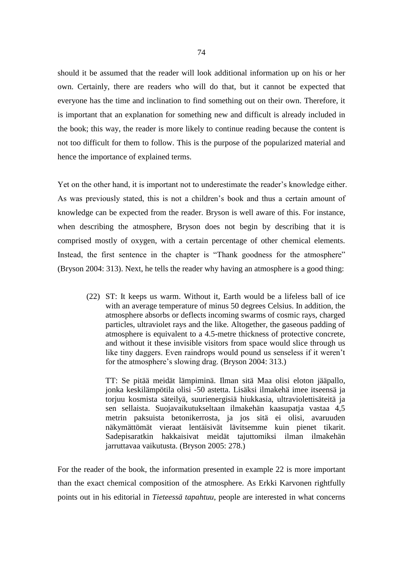should it be assumed that the reader will look additional information up on his or her own. Certainly, there are readers who will do that, but it cannot be expected that everyone has the time and inclination to find something out on their own. Therefore, it is important that an explanation for something new and difficult is already included in the book; this way, the reader is more likely to continue reading because the content is not too difficult for them to follow. This is the purpose of the popularized material and hence the importance of explained terms.

Yet on the other hand, it is important not to underestimate the reader's knowledge either. As was previously stated, this is not a children's book and thus a certain amount of knowledge can be expected from the reader. Bryson is well aware of this. For instance, when describing the atmosphere, Bryson does not begin by describing that it is comprised mostly of oxygen, with a certain percentage of other chemical elements. Instead, the first sentence in the chapter is "Thank goodness for the atmosphere" (Bryson 2004: 313). Next, he tells the reader why having an atmosphere is a good thing:

(22) ST: It keeps us warm. Without it, Earth would be a lifeless ball of ice with an average temperature of minus 50 degrees Celsius. In addition, the atmosphere absorbs or deflects incoming swarms of cosmic rays, charged particles, ultraviolet rays and the like. Altogether, the gaseous padding of atmosphere is equivalent to a 4.5-metre thickness of protective concrete, and without it these invisible visitors from space would slice through us like tiny daggers. Even raindrops would pound us senseless if it weren't for the atmosphere's slowing drag. (Bryson 2004: 313.)

TT: Se pitää meidät lämpiminä. Ilman sitä Maa olisi eloton jääpallo, jonka keskilämpötila olisi -50 astetta. Lisäksi ilmakehä imee itseensä ja torjuu kosmista säteilyä, suurienergisiä hiukkasia, ultraviolettisäteitä ja sen sellaista. Suojavaikutukseltaan ilmakehän kaasupatja vastaa 4,5 metrin paksuista betonikerrosta, ja jos sitä ei olisi, avaruuden näkymättömät vieraat lentäisivät lävitsemme kuin pienet tikarit. Sadepisaratkin hakkaisivat meidät tajuttomiksi ilman ilmakehän jarruttavaa vaikutusta. (Bryson 2005: 278.)

For the reader of the book, the information presented in example 22 is more important than the exact chemical composition of the atmosphere. As Erkki Karvonen rightfully points out in his editorial in *Tieteessä tapahtuu*, people are interested in what concerns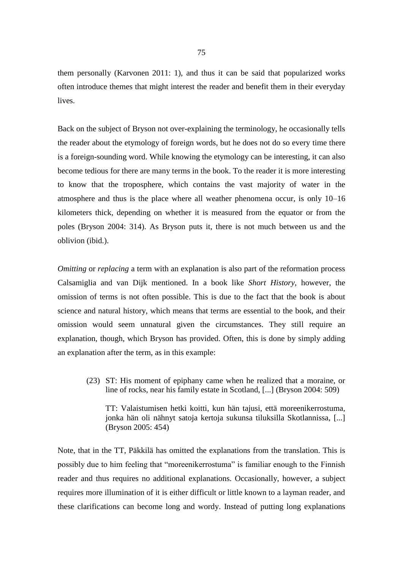them personally (Karvonen 2011: 1), and thus it can be said that popularized works often introduce themes that might interest the reader and benefit them in their everyday lives.

Back on the subject of Bryson not over-explaining the terminology, he occasionally tells the reader about the etymology of foreign words, but he does not do so every time there is a foreign-sounding word. While knowing the etymology can be interesting, it can also become tedious for there are many terms in the book. To the reader it is more interesting to know that the troposphere, which contains the vast majority of water in the atmosphere and thus is the place where all weather phenomena occur, is only 10–16 kilometers thick, depending on whether it is measured from the equator or from the poles (Bryson 2004: 314). As Bryson puts it, there is not much between us and the oblivion (ibid.).

*Omitting* or *replacing* a term with an explanation is also part of the reformation process Calsamiglia and van Dijk mentioned. In a book like *Short History*, however, the omission of terms is not often possible. This is due to the fact that the book is about science and natural history, which means that terms are essential to the book, and their omission would seem unnatural given the circumstances. They still require an explanation, though, which Bryson has provided. Often, this is done by simply adding an explanation after the term, as in this example:

(23) ST: His moment of epiphany came when he realized that a moraine, or line of rocks, near his family estate in Scotland, [...] (Bryson 2004: 509)

TT: Valaistumisen hetki koitti, kun hän tajusi, että moreenikerrostuma, jonka hän oli nähnyt satoja kertoja sukunsa tiluksilla Skotlannissa, [...] (Bryson 2005: 454)

Note, that in the TT, Päkkilä has omitted the explanations from the translation. This is possibly due to him feeling that "moreenikerrostuma" is familiar enough to the Finnish reader and thus requires no additional explanations. Occasionally, however, a subject requires more illumination of it is either difficult or little known to a layman reader, and these clarifications can become long and wordy. Instead of putting long explanations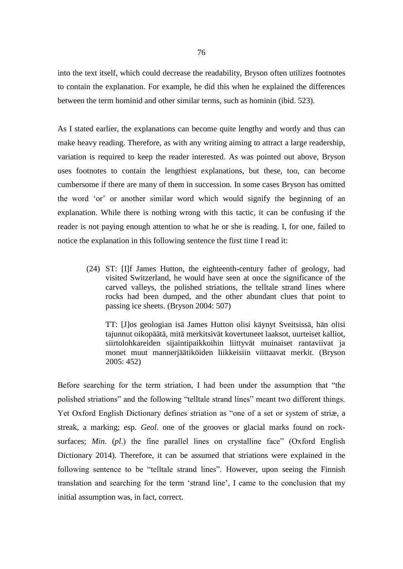into the text itself, which could decrease the readability, Bryson often utilizes footnotes to contain the explanation. For example, he did this when he explained the differences between the term hominid and other similar terms, such as hominin (ibid. 523).

As I stated earlier, the explanations can become quite lengthy and wordy and thus can make heavy reading. Therefore, as with any writing aiming to attract a large readership, variation is required to keep the reader interested. As was pointed out above, Bryson uses footnotes to contain the lengthiest explanations, but these, too, can become cumbersome if there are many of them in succession. In some cases Bryson has omitted the word 'or' or another similar word which would signify the beginning of an explanation. While there is nothing wrong with this tactic, it can be confusing if the reader is not paying enough attention to what he or she is reading. I, for one, failed to notice the explanation in this following sentence the first time I read it:

(24) ST: [I]f James Hutton, the eighteenth-century father of geology, had visited Switzerland, he would have seen at once the significance of the carved valleys, the polished striations, the telltale strand lines where rocks had been dumped, and the other abundant clues that point to passing ice sheets. (Bryson 2004: 507)

TT: [J]os geologian isä James Hutton olisi käynyt Sveitsissä, hän olisi tajunnut oikopäätä, mitä merkitsivät kovertuneet laaksot, uurteiset kalliot, siirtolohkareiden sijaintipaikkoihin liittyvät muinaiset rantaviivat ja monet muut mannerjäätiköiden liikkeisiin viittaavat merkit. (Bryson 2005: 452)

Before searching for the term striation, I had been under the assumption that "the polished striations" and the following "telltale strand lines" meant two different things. Yet Oxford English Dictionary defines striation as "one of a set or system of striæ, a streak, a marking; esp. *Geol*. one of the grooves or glacial marks found on rocksurfaces; *Min.* (*pl.*) the fine parallel lines on crystalline face" (Oxford English Dictionary 2014). Therefore, it can be assumed that striations were explained in the following sentence to be "telltale strand lines". However, upon seeing the Finnish translation and searching for the term 'strand line', I came to the conclusion that my initial assumption was, in fact, correct.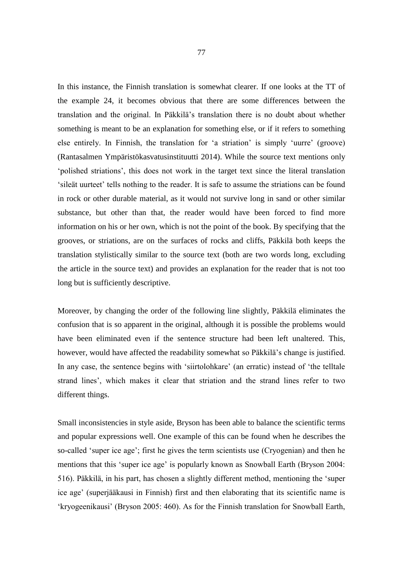In this instance, the Finnish translation is somewhat clearer. If one looks at the TT of the example 24, it becomes obvious that there are some differences between the translation and the original. In Päkkilä's translation there is no doubt about whether something is meant to be an explanation for something else, or if it refers to something else entirely. In Finnish, the translation for 'a striation' is simply 'uurre' (groove) (Rantasalmen Ympäristökasvatusinstituutti 2014). While the source text mentions only 'polished striations', this does not work in the target text since the literal translation 'sileät uurteet' tells nothing to the reader. It is safe to assume the striations can be found in rock or other durable material, as it would not survive long in sand or other similar substance, but other than that, the reader would have been forced to find more information on his or her own, which is not the point of the book. By specifying that the grooves, or striations, are on the surfaces of rocks and cliffs, Päkkilä both keeps the translation stylistically similar to the source text (both are two words long, excluding the article in the source text) and provides an explanation for the reader that is not too long but is sufficiently descriptive.

Moreover, by changing the order of the following line slightly, Päkkilä eliminates the confusion that is so apparent in the original, although it is possible the problems would have been eliminated even if the sentence structure had been left unaltered. This, however, would have affected the readability somewhat so Päkkilä's change is justified. In any case, the sentence begins with 'siirtolohkare' (an erratic) instead of 'the telltale strand lines', which makes it clear that striation and the strand lines refer to two different things.

Small inconsistencies in style aside, Bryson has been able to balance the scientific terms and popular expressions well. One example of this can be found when he describes the so-called 'super ice age'; first he gives the term scientists use (Cryogenian) and then he mentions that this 'super ice age' is popularly known as Snowball Earth (Bryson 2004: 516). Päkkilä, in his part, has chosen a slightly different method, mentioning the 'super ice age' (superjääkausi in Finnish) first and then elaborating that its scientific name is 'kryogeenikausi' (Bryson 2005: 460). As for the Finnish translation for Snowball Earth,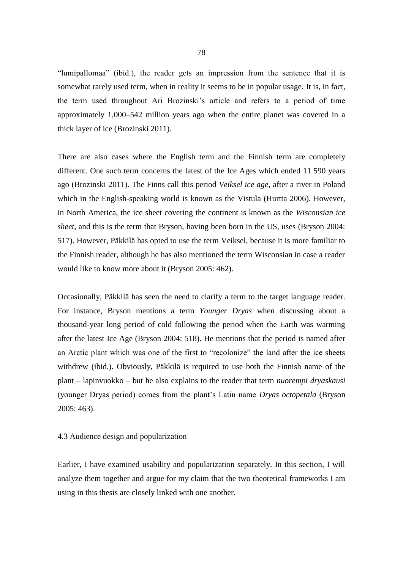"lumipallomaa" (ibid.), the reader gets an impression from the sentence that it is somewhat rarely used term, when in reality it seems to be in popular usage. It is, in fact, the term used throughout Ari Brozinski's article and refers to a period of time approximately 1,000–542 million years ago when the entire planet was covered in a thick layer of ice (Brozinski 2011).

There are also cases where the English term and the Finnish term are completely different. One such term concerns the latest of the Ice Ages which ended 11 590 years ago (Brozinski 2011). The Finns call this period *Veiksel ice age*, after a river in Poland which in the English-speaking world is known as the Vistula (Hurtta 2006). However, in North America, the ice sheet covering the continent is known as the *Wisconsian ice sheet*, and this is the term that Bryson, having been born in the US, uses (Bryson 2004: 517). However, Päkkilä has opted to use the term Veiksel, because it is more familiar to the Finnish reader, although he has also mentioned the term Wisconsian in case a reader would like to know more about it (Bryson 2005: 462).

Occasionally, Päkkilä has seen the need to clarify a term to the target language reader. For instance, Bryson mentions a term *Younger Dryas* when discussing about a thousand-year long period of cold following the period when the Earth was warming after the latest Ice Age (Bryson 2004: 518). He mentions that the period is named after an Arctic plant which was one of the first to "recolonize" the land after the ice sheets withdrew (ibid.). Obviously, Päkkilä is required to use both the Finnish name of the plant – lapinvuokko – but he also explains to the reader that term *nuorempi dryaskausi* (younger Dryas period) comes from the plant's Latin name *Dryas octopetala* (Bryson 2005: 463).

## 4.3 Audience design and popularization

Earlier, I have examined usability and popularization separately. In this section, I will analyze them together and argue for my claim that the two theoretical frameworks I am using in this thesis are closely linked with one another.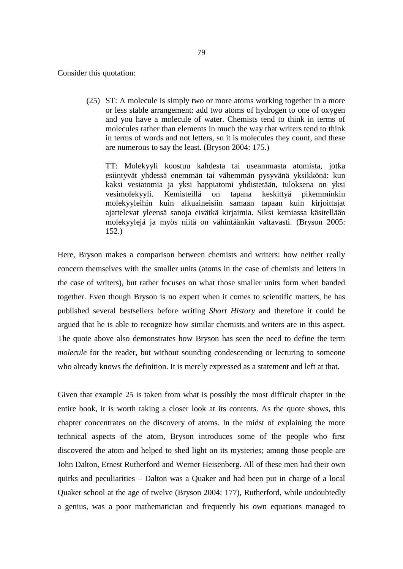Consider this quotation:

(25) ST: A molecule is simply two or more atoms working together in a more or less stable arrangement: add two atoms of hydrogen to one of oxygen and you have a molecule of water. Chemists tend to think in terms of molecules rather than elements in much the way that writers tend to think in terms of words and not letters, so it is molecules they count, and these are numerous to say the least. (Bryson 2004: 175.)

TT: Molekyyli koostuu kahdesta tai useammasta atomista, jotka esiintyvät yhdessä enemmän tai vähemmän pysyvänä yksikkönä: kun kaksi vesiatomia ja yksi happiatomi yhdistetään, tuloksena on yksi vesimolekyyli. Kemisteillä on tapana keskittyä pikemminkin molekyyleihin kuin alkuaineisiin samaan tapaan kuin kirjoittajat ajattelevat yleensä sanoja eivätkä kirjaimia. Siksi kemiassa käsitellään molekyylejä ja myös niitä on vähintäänkin valtavasti. (Bryson 2005: 152.)

Here, Bryson makes a comparison between chemists and writers: how neither really concern themselves with the smaller units (atoms in the case of chemists and letters in the case of writers), but rather focuses on what those smaller units form when banded together. Even though Bryson is no expert when it comes to scientific matters, he has published several bestsellers before writing *Short History* and therefore it could be argued that he is able to recognize how similar chemists and writers are in this aspect. The quote above also demonstrates how Bryson has seen the need to define the term *molecule* for the reader, but without sounding condescending or lecturing to someone who already knows the definition. It is merely expressed as a statement and left at that.

Given that example 25 is taken from what is possibly the most difficult chapter in the entire book, it is worth taking a closer look at its contents. As the quote shows, this chapter concentrates on the discovery of atoms. In the midst of explaining the more technical aspects of the atom, Bryson introduces some of the people who first discovered the atom and helped to shed light on its mysteries; among those people are John Dalton, Ernest Rutherford and Werner Heisenberg. All of these men had their own quirks and peculiarities – Dalton was a Quaker and had been put in charge of a local Quaker school at the age of twelve (Bryson 2004: 177), Rutherford, while undoubtedly a genius, was a poor mathematician and frequently his own equations managed to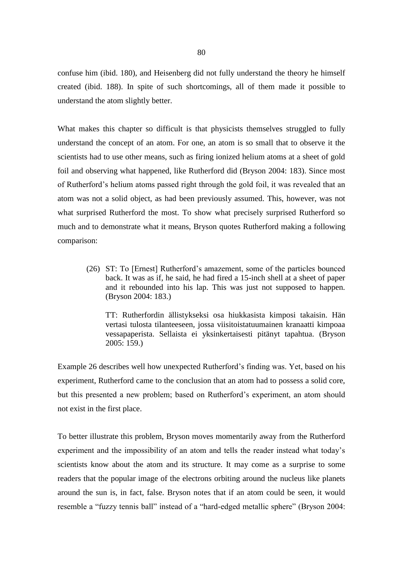confuse him (ibid. 180), and Heisenberg did not fully understand the theory he himself created (ibid. 188). In spite of such shortcomings, all of them made it possible to understand the atom slightly better.

What makes this chapter so difficult is that physicists themselves struggled to fully understand the concept of an atom. For one, an atom is so small that to observe it the scientists had to use other means, such as firing ionized helium atoms at a sheet of gold foil and observing what happened, like Rutherford did (Bryson 2004: 183). Since most of Rutherford's helium atoms passed right through the gold foil, it was revealed that an atom was not a solid object, as had been previously assumed. This, however, was not what surprised Rutherford the most. To show what precisely surprised Rutherford so much and to demonstrate what it means, Bryson quotes Rutherford making a following comparison:

(26) ST: To [Ernest] Rutherford's amazement, some of the particles bounced back. It was as if, he said, he had fired a 15-inch shell at a sheet of paper and it rebounded into his lap. This was just not supposed to happen. (Bryson 2004: 183.)

TT: Rutherfordin ällistykseksi osa hiukkasista kimposi takaisin. Hän vertasi tulosta tilanteeseen, jossa viisitoistatuumainen kranaatti kimpoaa vessapaperista. Sellaista ei yksinkertaisesti pitänyt tapahtua. (Bryson 2005: 159.)

Example 26 describes well how unexpected Rutherford's finding was. Yet, based on his experiment, Rutherford came to the conclusion that an atom had to possess a solid core, but this presented a new problem; based on Rutherford's experiment, an atom should not exist in the first place.

To better illustrate this problem, Bryson moves momentarily away from the Rutherford experiment and the impossibility of an atom and tells the reader instead what today's scientists know about the atom and its structure. It may come as a surprise to some readers that the popular image of the electrons orbiting around the nucleus like planets around the sun is, in fact, false. Bryson notes that if an atom could be seen, it would resemble a "fuzzy tennis ball" instead of a "hard-edged metallic sphere" (Bryson 2004: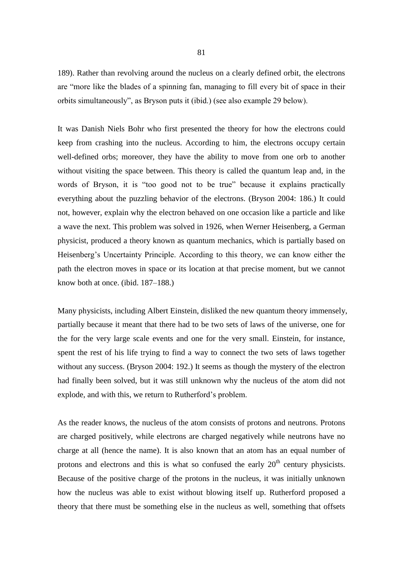189). Rather than revolving around the nucleus on a clearly defined orbit, the electrons are "more like the blades of a spinning fan, managing to fill every bit of space in their orbits simultaneously", as Bryson puts it (ibid.) (see also example 29 below).

It was Danish Niels Bohr who first presented the theory for how the electrons could keep from crashing into the nucleus. According to him, the electrons occupy certain well-defined orbs; moreover, they have the ability to move from one orb to another without visiting the space between. This theory is called the quantum leap and, in the words of Bryson, it is "too good not to be true" because it explains practically everything about the puzzling behavior of the electrons. (Bryson 2004: 186.) It could not, however, explain why the electron behaved on one occasion like a particle and like a wave the next. This problem was solved in 1926, when Werner Heisenberg, a German physicist, produced a theory known as quantum mechanics, which is partially based on Heisenberg's Uncertainty Principle. According to this theory, we can know either the path the electron moves in space or its location at that precise moment, but we cannot know both at once. (ibid. 187–188.)

Many physicists, including Albert Einstein, disliked the new quantum theory immensely, partially because it meant that there had to be two sets of laws of the universe, one for the for the very large scale events and one for the very small. Einstein, for instance, spent the rest of his life trying to find a way to connect the two sets of laws together without any success. (Bryson 2004: 192.) It seems as though the mystery of the electron had finally been solved, but it was still unknown why the nucleus of the atom did not explode, and with this, we return to Rutherford's problem.

As the reader knows, the nucleus of the atom consists of protons and neutrons. Protons are charged positively, while electrons are charged negatively while neutrons have no charge at all (hence the name). It is also known that an atom has an equal number of protons and electrons and this is what so confused the early  $20<sup>th</sup>$  century physicists. Because of the positive charge of the protons in the nucleus, it was initially unknown how the nucleus was able to exist without blowing itself up. Rutherford proposed a theory that there must be something else in the nucleus as well, something that offsets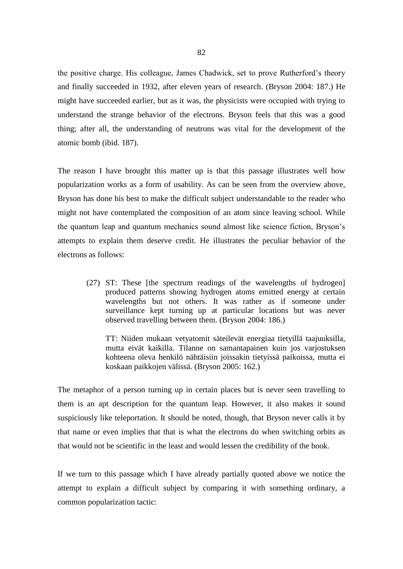the positive charge. His colleague, James Chadwick, set to prove Rutherford's theory and finally succeeded in 1932, after eleven years of research. (Bryson 2004: 187.) He might have succeeded earlier, but as it was, the physicists were occupied with trying to understand the strange behavior of the electrons. Bryson feels that this was a good thing; after all, the understanding of neutrons was vital for the development of the atomic bomb (ibid. 187).

The reason I have brought this matter up is that this passage illustrates well how popularization works as a form of usability. As can be seen from the overview above, Bryson has done his best to make the difficult subject understandable to the reader who might not have contemplated the composition of an atom since leaving school. While the quantum leap and quantum mechanics sound almost like science fiction, Bryson's attempts to explain them deserve credit. He illustrates the peculiar behavior of the electrons as follows:

(27) ST: These [the spectrum readings of the wavelengths of hydrogen] produced patterns showing hydrogen atoms emitted energy at certain wavelengths but not others. It was rather as if someone under surveillance kept turning up at particular locations but was never observed travelling between them. (Bryson 2004: 186.)

TT: Niiden mukaan vetyatomit säteilevät energiaa tietyillä taajuuksilla, mutta eivät kaikilla. Tilanne on samantapainen kuin jos varjostuksen kohteena oleva henkilö nähtäisiin joissakin tietyissä paikoissa, mutta ei koskaan paikkojen välissä. (Bryson 2005: 162.)

The metaphor of a person turning up in certain places but is never seen travelling to them is an apt description for the quantum leap. However, it also makes it sound suspiciously like teleportation. It should be noted, though, that Bryson never calls it by that name or even implies that that is what the electrons do when switching orbits as that would not be scientific in the least and would lessen the credibility of the book.

If we turn to this passage which I have already partially quoted above we notice the attempt to explain a difficult subject by comparing it with something ordinary, a common popularization tactic: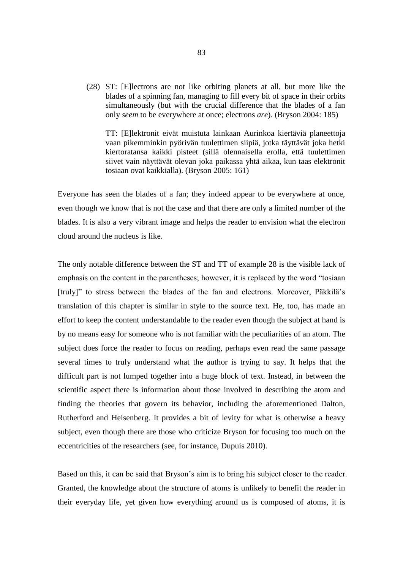(28) ST: [E]lectrons are not like orbiting planets at all, but more like the blades of a spinning fan, managing to fill every bit of space in their orbits simultaneously (but with the crucial difference that the blades of a fan only *seem* to be everywhere at once; electrons *are*). (Bryson 2004: 185)

TT: [E]lektronit eivät muistuta lainkaan Aurinkoa kiertäviä planeettoja vaan pikemminkin pyörivän tuulettimen siipiä, jotka täyttävät joka hetki kiertoratansa kaikki pisteet (sillä olennaisella erolla, että tuulettimen siivet vain näyttävät olevan joka paikassa yhtä aikaa, kun taas elektronit tosiaan ovat kaikkialla). (Bryson 2005: 161)

Everyone has seen the blades of a fan; they indeed appear to be everywhere at once, even though we know that is not the case and that there are only a limited number of the blades. It is also a very vibrant image and helps the reader to envision what the electron cloud around the nucleus is like.

The only notable difference between the ST and TT of example 28 is the visible lack of emphasis on the content in the parentheses; however, it is replaced by the word "tosiaan [truly]" to stress between the blades of the fan and electrons. Moreover, Päkkilä's translation of this chapter is similar in style to the source text. He, too, has made an effort to keep the content understandable to the reader even though the subject at hand is by no means easy for someone who is not familiar with the peculiarities of an atom. The subject does force the reader to focus on reading, perhaps even read the same passage several times to truly understand what the author is trying to say. It helps that the difficult part is not lumped together into a huge block of text. Instead, in between the scientific aspect there is information about those involved in describing the atom and finding the theories that govern its behavior, including the aforementioned Dalton, Rutherford and Heisenberg. It provides a bit of levity for what is otherwise a heavy subject, even though there are those who criticize Bryson for focusing too much on the eccentricities of the researchers (see, for instance, Dupuis 2010).

Based on this, it can be said that Bryson's aim is to bring his subject closer to the reader. Granted, the knowledge about the structure of atoms is unlikely to benefit the reader in their everyday life, yet given how everything around us is composed of atoms, it is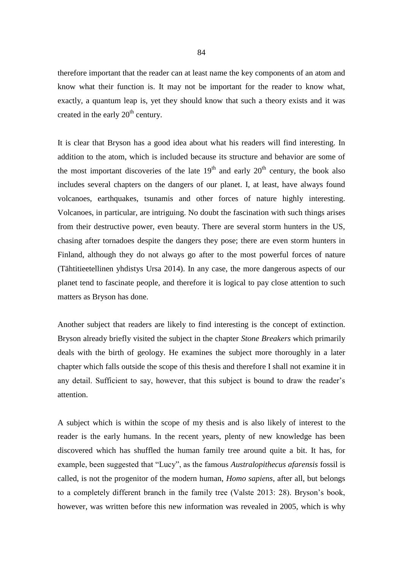therefore important that the reader can at least name the key components of an atom and know what their function is. It may not be important for the reader to know what, exactly, a quantum leap is, yet they should know that such a theory exists and it was created in the early  $20<sup>th</sup>$  century.

It is clear that Bryson has a good idea about what his readers will find interesting. In addition to the atom, which is included because its structure and behavior are some of the most important discoveries of the late  $19<sup>th</sup>$  and early  $20<sup>th</sup>$  century, the book also includes several chapters on the dangers of our planet. I, at least, have always found volcanoes, earthquakes, tsunamis and other forces of nature highly interesting. Volcanoes, in particular, are intriguing. No doubt the fascination with such things arises from their destructive power, even beauty. There are several storm hunters in the US, chasing after tornadoes despite the dangers they pose; there are even storm hunters in Finland, although they do not always go after to the most powerful forces of nature (Tähtitieetellinen yhdistys Ursa 2014). In any case, the more dangerous aspects of our planet tend to fascinate people, and therefore it is logical to pay close attention to such matters as Bryson has done.

Another subject that readers are likely to find interesting is the concept of extinction. Bryson already briefly visited the subject in the chapter *Stone Breakers* which primarily deals with the birth of geology. He examines the subject more thoroughly in a later chapter which falls outside the scope of this thesis and therefore I shall not examine it in any detail. Sufficient to say, however, that this subject is bound to draw the reader's attention.

A subject which is within the scope of my thesis and is also likely of interest to the reader is the early humans. In the recent years, plenty of new knowledge has been discovered which has shuffled the human family tree around quite a bit. It has, for example, been suggested that "Lucy", as the famous *Australopithecus afarensis* fossil is called, is not the progenitor of the modern human, *Homo sapiens*, after all, but belongs to a completely different branch in the family tree (Valste 2013: 28). Bryson's book, however, was written before this new information was revealed in 2005, which is why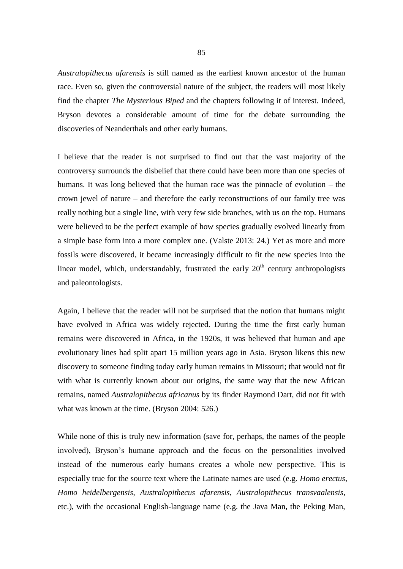*Australopithecus afarensis* is still named as the earliest known ancestor of the human race. Even so, given the controversial nature of the subject, the readers will most likely find the chapter *The Mysterious Biped* and the chapters following it of interest. Indeed, Bryson devotes a considerable amount of time for the debate surrounding the discoveries of Neanderthals and other early humans.

I believe that the reader is not surprised to find out that the vast majority of the controversy surrounds the disbelief that there could have been more than one species of humans. It was long believed that the human race was the pinnacle of evolution – the crown jewel of nature – and therefore the early reconstructions of our family tree was really nothing but a single line, with very few side branches, with us on the top. Humans were believed to be the perfect example of how species gradually evolved linearly from a simple base form into a more complex one. (Valste 2013: 24.) Yet as more and more fossils were discovered, it became increasingly difficult to fit the new species into the linear model, which, understandably, frustrated the early  $20<sup>th</sup>$  century anthropologists and paleontologists.

Again, I believe that the reader will not be surprised that the notion that humans might have evolved in Africa was widely rejected. During the time the first early human remains were discovered in Africa, in the 1920s, it was believed that human and ape evolutionary lines had split apart 15 million years ago in Asia. Bryson likens this new discovery to someone finding today early human remains in Missouri; that would not fit with what is currently known about our origins, the same way that the new African remains, named *Australopithecus africanus* by its finder Raymond Dart, did not fit with what was known at the time. (Bryson 2004: 526.)

While none of this is truly new information (save for, perhaps, the names of the people involved), Bryson's humane approach and the focus on the personalities involved instead of the numerous early humans creates a whole new perspective. This is especially true for the source text where the Latinate names are used (e.g. *Homo erectus*, *Homo heidelbergensis*, *Australopithecus afarensis*, *Australopithecus transvaalensis*, etc.), with the occasional English-language name (e.g. the Java Man, the Peking Man,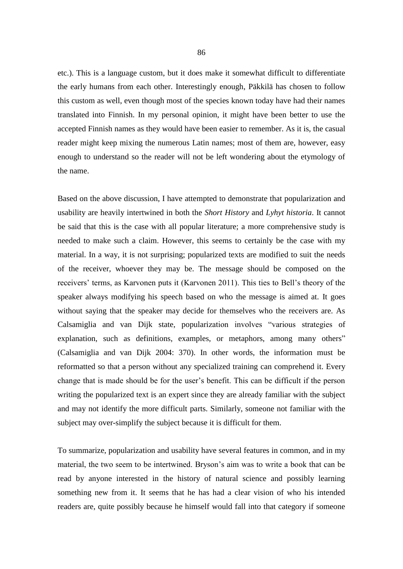etc.). This is a language custom, but it does make it somewhat difficult to differentiate the early humans from each other. Interestingly enough, Päkkilä has chosen to follow this custom as well, even though most of the species known today have had their names translated into Finnish. In my personal opinion, it might have been better to use the accepted Finnish names as they would have been easier to remember. As it is, the casual reader might keep mixing the numerous Latin names; most of them are, however, easy enough to understand so the reader will not be left wondering about the etymology of the name.

Based on the above discussion, I have attempted to demonstrate that popularization and usability are heavily intertwined in both the *Short History* and *Lyhyt historia*. It cannot be said that this is the case with all popular literature; a more comprehensive study is needed to make such a claim. However, this seems to certainly be the case with my material. In a way, it is not surprising; popularized texts are modified to suit the needs of the receiver, whoever they may be. The message should be composed on the receivers' terms, as Karvonen puts it (Karvonen 2011). This ties to Bell's theory of the speaker always modifying his speech based on who the message is aimed at. It goes without saying that the speaker may decide for themselves who the receivers are. As Calsamiglia and van Dijk state, popularization involves "various strategies of explanation, such as definitions, examples, or metaphors, among many others" (Calsamiglia and van Dijk 2004: 370). In other words, the information must be reformatted so that a person without any specialized training can comprehend it. Every change that is made should be for the user's benefit. This can be difficult if the person writing the popularized text is an expert since they are already familiar with the subject and may not identify the more difficult parts. Similarly, someone not familiar with the subject may over-simplify the subject because it is difficult for them.

To summarize, popularization and usability have several features in common, and in my material, the two seem to be intertwined. Bryson's aim was to write a book that can be read by anyone interested in the history of natural science and possibly learning something new from it. It seems that he has had a clear vision of who his intended readers are, quite possibly because he himself would fall into that category if someone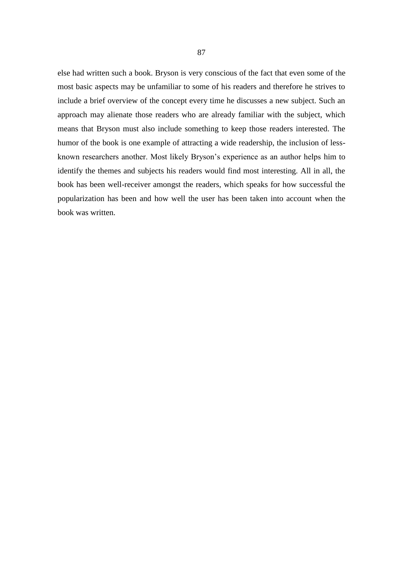else had written such a book. Bryson is very conscious of the fact that even some of the most basic aspects may be unfamiliar to some of his readers and therefore he strives to include a brief overview of the concept every time he discusses a new subject. Such an approach may alienate those readers who are already familiar with the subject, which means that Bryson must also include something to keep those readers interested. The humor of the book is one example of attracting a wide readership, the inclusion of lessknown researchers another. Most likely Bryson's experience as an author helps him to identify the themes and subjects his readers would find most interesting. All in all, the book has been well-receiver amongst the readers, which speaks for how successful the popularization has been and how well the user has been taken into account when the book was written.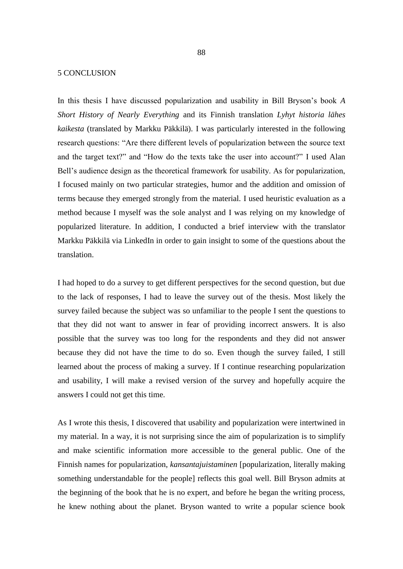## 5 CONCLUSION

In this thesis I have discussed popularization and usability in Bill Bryson's book *A Short History of Nearly Everything* and its Finnish translation *Lyhyt historia lähes kaikesta* (translated by Markku Päkkilä). I was particularly interested in the following research questions: "Are there different levels of popularization between the source text and the target text?" and "How do the texts take the user into account?" I used Alan Bell's audience design as the theoretical framework for usability. As for popularization, I focused mainly on two particular strategies, humor and the addition and omission of terms because they emerged strongly from the material. I used heuristic evaluation as a method because I myself was the sole analyst and I was relying on my knowledge of popularized literature. In addition, I conducted a brief interview with the translator Markku Päkkilä via LinkedIn in order to gain insight to some of the questions about the translation.

I had hoped to do a survey to get different perspectives for the second question, but due to the lack of responses, I had to leave the survey out of the thesis. Most likely the survey failed because the subject was so unfamiliar to the people I sent the questions to that they did not want to answer in fear of providing incorrect answers. It is also possible that the survey was too long for the respondents and they did not answer because they did not have the time to do so. Even though the survey failed, I still learned about the process of making a survey. If I continue researching popularization and usability, I will make a revised version of the survey and hopefully acquire the answers I could not get this time.

As I wrote this thesis, I discovered that usability and popularization were intertwined in my material. In a way, it is not surprising since the aim of popularization is to simplify and make scientific information more accessible to the general public. One of the Finnish names for popularization, *kansantajuistaminen* [popularization, literally making something understandable for the people] reflects this goal well. Bill Bryson admits at the beginning of the book that he is no expert, and before he began the writing process, he knew nothing about the planet. Bryson wanted to write a popular science book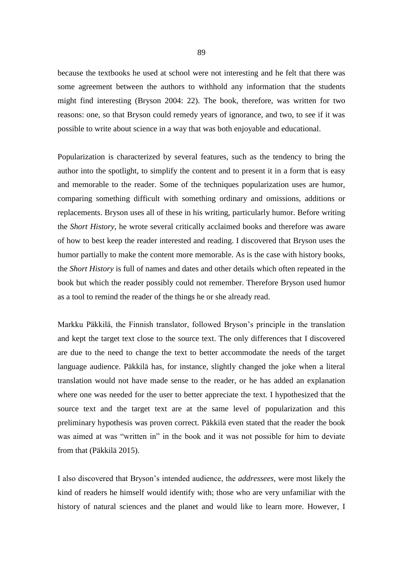because the textbooks he used at school were not interesting and he felt that there was some agreement between the authors to withhold any information that the students might find interesting (Bryson 2004: 22). The book, therefore, was written for two reasons: one, so that Bryson could remedy years of ignorance, and two, to see if it was possible to write about science in a way that was both enjoyable and educational.

Popularization is characterized by several features, such as the tendency to bring the author into the spotlight, to simplify the content and to present it in a form that is easy and memorable to the reader. Some of the techniques popularization uses are humor, comparing something difficult with something ordinary and omissions, additions or replacements. Bryson uses all of these in his writing, particularly humor. Before writing the *Short History*, he wrote several critically acclaimed books and therefore was aware of how to best keep the reader interested and reading. I discovered that Bryson uses the humor partially to make the content more memorable. As is the case with history books, the *Short History* is full of names and dates and other details which often repeated in the book but which the reader possibly could not remember. Therefore Bryson used humor as a tool to remind the reader of the things he or she already read.

Markku Päkkilä, the Finnish translator, followed Bryson's principle in the translation and kept the target text close to the source text. The only differences that I discovered are due to the need to change the text to better accommodate the needs of the target language audience. Päkkilä has, for instance, slightly changed the joke when a literal translation would not have made sense to the reader, or he has added an explanation where one was needed for the user to better appreciate the text. I hypothesized that the source text and the target text are at the same level of popularization and this preliminary hypothesis was proven correct. Päkkilä even stated that the reader the book was aimed at was "written in" in the book and it was not possible for him to deviate from that (Päkkilä 2015).

I also discovered that Bryson's intended audience, the *addressees*, were most likely the kind of readers he himself would identify with; those who are very unfamiliar with the history of natural sciences and the planet and would like to learn more. However, I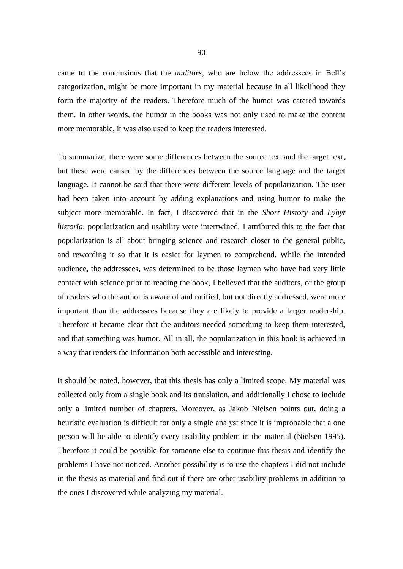came to the conclusions that the *auditors*, who are below the addressees in Bell's categorization, might be more important in my material because in all likelihood they form the majority of the readers. Therefore much of the humor was catered towards them. In other words, the humor in the books was not only used to make the content more memorable, it was also used to keep the readers interested.

To summarize, there were some differences between the source text and the target text, but these were caused by the differences between the source language and the target language. It cannot be said that there were different levels of popularization. The user had been taken into account by adding explanations and using humor to make the subject more memorable. In fact, I discovered that in the *Short History* and *Lyhyt historia*, popularization and usability were intertwined. I attributed this to the fact that popularization is all about bringing science and research closer to the general public, and rewording it so that it is easier for laymen to comprehend. While the intended audience, the addressees, was determined to be those laymen who have had very little contact with science prior to reading the book, I believed that the auditors, or the group of readers who the author is aware of and ratified, but not directly addressed, were more important than the addressees because they are likely to provide a larger readership. Therefore it became clear that the auditors needed something to keep them interested, and that something was humor. All in all, the popularization in this book is achieved in a way that renders the information both accessible and interesting.

It should be noted, however, that this thesis has only a limited scope. My material was collected only from a single book and its translation, and additionally I chose to include only a limited number of chapters. Moreover, as Jakob Nielsen points out, doing a heuristic evaluation is difficult for only a single analyst since it is improbable that a one person will be able to identify every usability problem in the material (Nielsen 1995). Therefore it could be possible for someone else to continue this thesis and identify the problems I have not noticed. Another possibility is to use the chapters I did not include in the thesis as material and find out if there are other usability problems in addition to the ones I discovered while analyzing my material.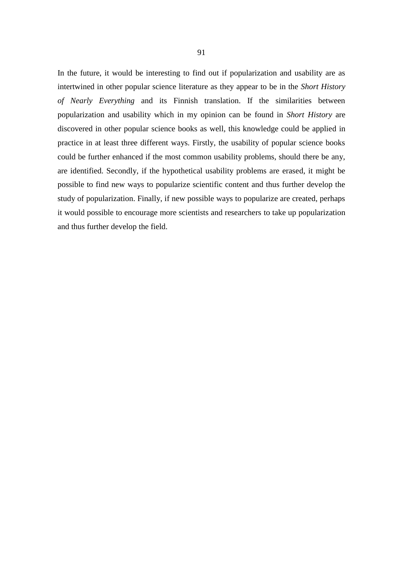In the future, it would be interesting to find out if popularization and usability are as intertwined in other popular science literature as they appear to be in the *Short History of Nearly Everything* and its Finnish translation. If the similarities between popularization and usability which in my opinion can be found in *Short History* are discovered in other popular science books as well, this knowledge could be applied in practice in at least three different ways. Firstly, the usability of popular science books could be further enhanced if the most common usability problems, should there be any, are identified. Secondly, if the hypothetical usability problems are erased, it might be possible to find new ways to popularize scientific content and thus further develop the study of popularization. Finally, if new possible ways to popularize are created, perhaps it would possible to encourage more scientists and researchers to take up popularization and thus further develop the field.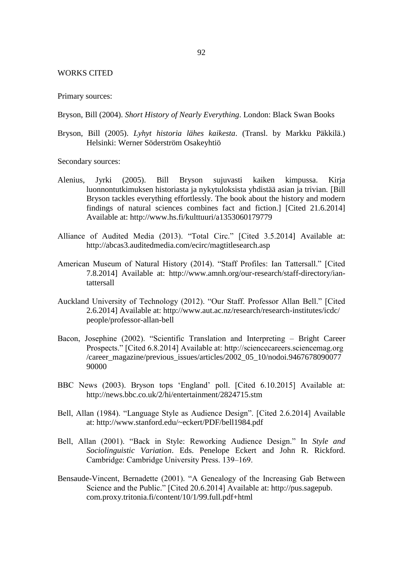## WORKS CITED

Primary sources:

Bryson, Bill (2004). *Short History of Nearly Everything*. London: Black Swan Books

Bryson, Bill (2005). *Lyhyt historia lähes kaikesta*. (Transl. by Markku Päkkilä.) Helsinki: Werner Söderström Osakeyhtiö

Secondary sources:

- Alenius, Jyrki (2005). Bill Bryson sujuvasti kaiken kimpussa. Kirja luonnontutkimuksen historiasta ja nykytuloksista yhdistää asian ja trivian. [Bill Bryson tackles everything effortlessly. The book about the history and modern findings of natural sciences combines fact and fiction.] [Cited 21.6.2014] Available at: http://www.hs.fi/kulttuuri/a1353060179779
- Alliance of Audited Media (2013). "Total Circ." [Cited 3.5.2014] Available at: http://abcas3.auditedmedia.com/ecirc/magtitlesearch.asp
- American Museum of Natural History (2014). "Staff Profiles: Ian Tattersall." [Cited 7.8.2014] Available at: http://www.amnh.org/our-research/staff-directory/iantattersall
- Auckland University of Technology (2012). "Our Staff. Professor Allan Bell." [Cited 2.6.2014] Available at: http://www.aut.ac.nz/research/research-institutes/icdc/ people/professor-allan-bell
- Bacon, Josephine (2002). "Scientific Translation and Interpreting Bright Career Prospects." [Cited 6.8.2014] Available at: http://sciencecareers.sciencemag.org /career\_magazine/previous\_issues/articles/2002\_05\_10/nodoi.9467678090077 90000
- BBC News (2003). Bryson tops 'England' poll. [Cited 6.10.2015] Available at: http://news.bbc.co.uk/2/hi/entertainment/2824715.stm
- Bell, Allan (1984). "Language Style as Audience Design". [Cited 2.6.2014] Available at: http://www.stanford.edu/~eckert/PDF/bell1984.pdf
- Bell, Allan (2001). "Back in Style: Reworking Audience Design." In *Style and Sociolinguistic Variation*. Eds. Penelope Eckert and John R. Rickford. Cambridge: Cambridge University Press. 139–169.
- Bensaude-Vincent, Bernadette (2001). "A Genealogy of the Increasing Gab Between Science and the Public." [Cited 20.6.2014] Available at: http://pus.sagepub. com.proxy.tritonia.fi/content/10/1/99.full.pdf+html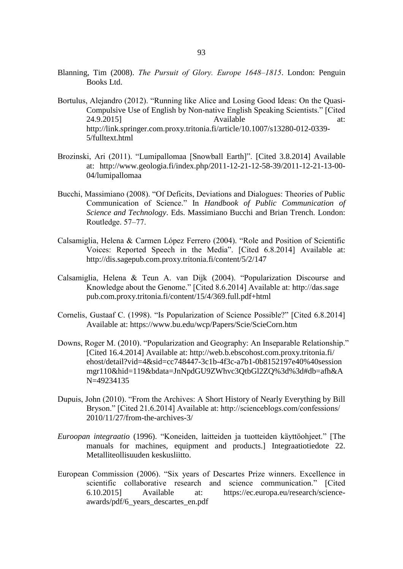- Blanning, Tim (2008). *The Pursuit of Glory. Europe 1648–1815*. London: Penguin Books Ltd.
- Bortulus, Alejandro (2012). "Running like Alice and Losing Good Ideas: On the Quasi-Compulsive Use of English by Non-native English Speaking Scientists." [Cited 24.9.2015] **Available** at: http://link.springer.com.proxy.tritonia.fi/article/10.1007/s13280-012-0339- 5/fulltext.html
- Brozinski, Ari (2011). "Lumipallomaa [Snowball Earth]". [Cited 3.8.2014] Available at: http://www.geologia.fi/index.php/2011-12-21-12-58-39/2011-12-21-13-00- 04/lumipallomaa
- Bucchi, Massimiano (2008). "Of Deficits, Deviations and Dialogues: Theories of Public Communication of Science." In *Handbook of Public Communication of Science and Technology*. Eds. Massimiano Bucchi and Brian Trench. London: Routledge. 57-77.
- Calsamiglia, Helena & Carmen López Ferrero (2004). "Role and Position of Scientific Voices: Reported Speech in the Media". [Cited 6.8.2014] Available at: http://dis.sagepub.com.proxy.tritonia.fi/content/5/2/147
- Calsamiglia, Helena & Teun A. van Dijk (2004). "Popularization Discourse and Knowledge about the Genome." [Cited 8.6.2014] Available at: http://das.sage pub.com.proxy.tritonia.fi/content/15/4/369.full.pdf+html
- Cornelis, Gustaaf C. (1998). "Is Popularization of Science Possible?" [Cited 6.8.2014] Available at: https://www.bu.edu/wcp/Papers/Scie/ScieCorn.htm
- Downs, Roger M. (2010). "Popularization and Geography: An Inseparable Relationship." [Cited 16.4.2014] Available at: http://web.b.ebscohost.com.proxy.tritonia.fi/ ehost/detail?vid=4&sid=cc748447-3c1b-4f3c-a7b1-0b8152197e40%40session mgr110&hid=119&bdata=JnNpdGU9ZWhvc3QtbGl2ZQ%3d%3d#db=afh&A N=49234135
- Dupuis, John (2010). "From the Archives: A Short History of Nearly Everything by Bill Bryson." [Cited 21.6.2014] Available at: http://scienceblogs.com/confessions/ 2010/11/27/from-the-archives-3/
- *Euroopan integraatio* (1996). "Koneiden, laitteiden ja tuotteiden käyttöohjeet." [The manuals for machines, equipment and products.] Integraatiotiedote 22. Metalliteollisuuden keskusliitto.
- European Commission (2006). "Six years of Descartes Prize winners. Excellence in scientific collaborative research and science communication." [Cited 6.10.2015] Available at: https://ec.europa.eu/research/scienceawards/pdf/6\_years\_descartes\_en.pdf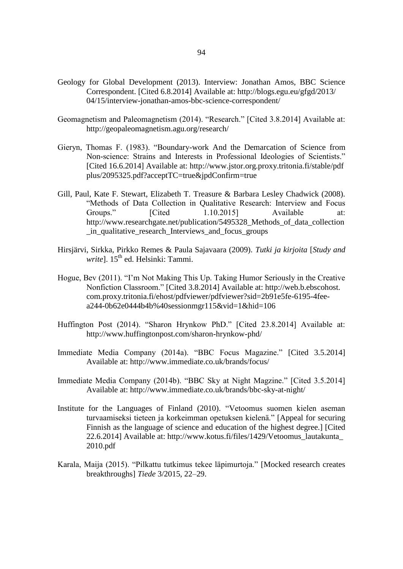- Geology for Global Development (2013). Interview: Jonathan Amos, BBC Science Correspondent. [Cited 6.8.2014] Available at: http://blogs.egu.eu/gfgd/2013/ 04/15/interview-jonathan-amos-bbc-science-correspondent/
- Geomagnetism and Paleomagnetism (2014). "Research." [Cited 3.8.2014] Available at: http://geopaleomagnetism.agu.org/research/
- Gieryn, Thomas F. (1983). "Boundary-work And the Demarcation of Science from Non-science: Strains and Interests in Professional Ideologies of Scientists." [Cited 16.6.2014] Available at: http://www.jstor.org.proxy.tritonia.fi/stable/pdf plus/2095325.pdf?acceptTC=true&jpdConfirm=true
- Gill, Paul, Kate F. Stewart, Elizabeth T. Treasure & Barbara Lesley Chadwick (2008). "Methods of Data Collection in Qualitative Research: Interview and Focus Groups." [Cited 1.10.2015] Available at: http://www.researchgate.net/publication/5495328\_Methods\_of\_data\_collection \_in\_qualitative\_research\_Interviews\_and\_focus\_groups
- Hirsjärvi, Sirkka, Pirkko Remes & Paula Sajavaara (2009). *Tutki ja kirjoita* [*Study and write*]. 15<sup>th</sup> ed. Helsinki: Tammi.
- Hogue, Bev (2011). "I'm Not Making This Up. Taking Humor Seriously in the Creative Nonfiction Classroom." [Cited 3.8.2014] Available at: http://web.b.ebscohost. com.proxy.tritonia.fi/ehost/pdfviewer/pdfviewer?sid=2b91e5fe-6195-4feea244-0b62e0444b4b%40sessionmgr115&vid=1&hid=106
- Huffington Post (2014). "Sharon Hrynkow PhD." [Cited 23.8.2014] Available at: http://www.huffingtonpost.com/sharon-hrynkow-phd/
- Immediate Media Company (2014a). "BBC Focus Magazine." [Cited 3.5.2014] Available at: http://www.immediate.co.uk/brands/focus/
- Immediate Media Company (2014b). "BBC Sky at Night Magzine." [Cited 3.5.2014] Available at: http://www.immediate.co.uk/brands/bbc-sky-at-night/
- Institute for the Languages of Finland (2010). "Vetoomus suomen kielen aseman turvaamiseksi tieteen ja korkeimman opetuksen kielenä." [Appeal for securing Finnish as the language of science and education of the highest degree.] [Cited] 22.6.2014] Available at: http://www.kotus.fi/files/1429/Vetoomus\_lautakunta\_ 2010.pdf
- Karala, Maija (2015). "Pilkattu tutkimus tekee läpimurtoja." [Mocked research creates breakthroughs] *Tiede* 3/2015, 22–29.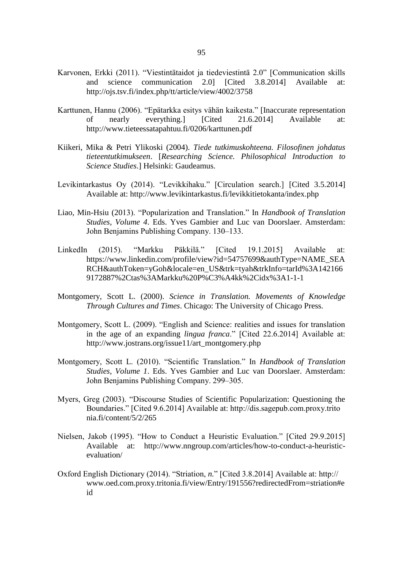- Karvonen, Erkki (2011). "Viestintätaidot ja tiedeviestintä 2.0" [Communication skills and science communication 2.0] [Cited 3.8.2014] Available at: http://ojs.tsv.fi/index.php/tt/article/view/4002/3758
- Karttunen, Hannu (2006). "Epätarkka esitys vähän kaikesta." [Inaccurate representation of nearly everything.] [Cited 21.6.2014] Available at: http://www.tieteessatapahtuu.fi/0206/karttunen.pdf
- Kiikeri, Mika & Petri Ylikoski (2004). *Tiede tutkimuskohteena. Filosofinen johdatus tieteentutkimukseen*. [*Researching Science. Philosophical Introduction to Science Studies*.] Helsinki: Gaudeamus.
- Levikintarkastus Oy (2014). "Levikkihaku." [Circulation search.] [Cited 3.5.2014] Available at: http://www.levikintarkastus.fi/levikkitietokanta/index.php
- Liao, Min-Hsiu (2013). "Popularization and Translation." In *Handbook of Translation Studies, Volume 4*. Eds. Yves Gambier and Luc van Doorslaer. Amsterdam: John Benjamins Publishing Company. 130-133.
- LinkedIn (2015). "Markku Päkkilä." [Cited 19.1.2015] Available at: https://www.linkedin.com/profile/view?id=54757699&authType=NAME\_SEA RCH&authToken=yGoh&locale=en\_US&trk=tyah&trkInfo=tarId%3A142166 9172887%2Ctas%3AMarkku%20P%C3%A4kk%2Cidx%3A1-1-1
- Montgomery, Scott L. (2000). *Science in Translation. Movements of Knowledge Through Cultures and Times*. Chicago: The University of Chicago Press.
- Montgomery, Scott L. (2009). "English and Science: realities and issues for translation in the age of an expanding *lingua franca*." [Cited 22.6.2014] Available at: http://www.jostrans.org/issue11/art\_montgomery.php
- Montgomery, Scott L. (2010). "Scientific Translation." In *Handbook of Translation Studies, Volume 1*. Eds. Yves Gambier and Luc van Doorslaer. Amsterdam: John Benjamins Publishing Company. 299–305.
- Myers, Greg (2003). "Discourse Studies of Scientific Popularization: Questioning the Boundaries." [Cited 9.6.2014] Available at: http://dis.sagepub.com.proxy.trito nia.fi/content/5/2/265
- Nielsen, Jakob (1995). "How to Conduct a Heuristic Evaluation." [Cited 29.9.2015] Available at: http://www.nngroup.com/articles/how-to-conduct-a-heuristicevaluation/
- Oxford English Dictionary (2014). "Striation, *n.*" [Cited 3.8.2014] Available at: http:// www.oed.com.proxy.tritonia.fi/view/Entry/191556?redirectedFrom=striation#e id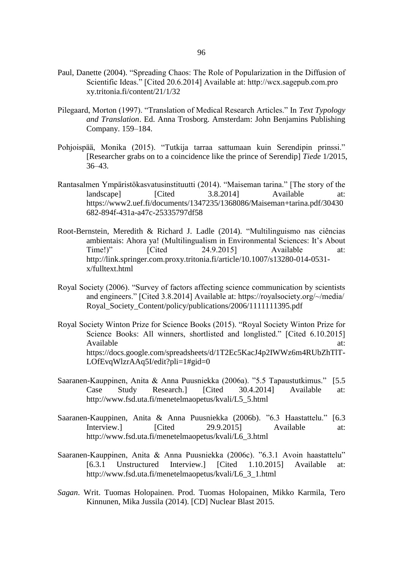- Paul, Danette (2004). "Spreading Chaos: The Role of Popularization in the Diffusion of Scientific Ideas." [Cited 20.6.2014] Available at: http://wcx.sagepub.com.pro xy.tritonia.fi/content/21/1/32
- Pilegaard, Morton (1997). "Translation of Medical Research Articles." In *Text Typology and Translation*. Ed. Anna Trosborg. Amsterdam: John Benjamins Publishing Company. 159–184.
- Pohjoispää, Monika (2015). "Tutkija tarraa sattumaan kuin Serendipin prinssi." [Researcher grabs on to a coincidence like the prince of Serendip] *Tiede* 1/2015, 36–43.
- Rantasalmen Ympäristökasvatusinstituutti (2014). "Maiseman tarina." [The story of the landscape] [Cited 3.8.2014] Available at: https://www2.uef.fi/documents/1347235/1368086/Maiseman+tarina.pdf/30430 682-894f-431a-a47c-25335797df58
- Root-Bernstein, Meredith & Richard J. Ladle (2014). "Multilinguismo nas ciências ambientais: Ahora ya! (Multilingualism in Environmental Sciences: It's About Time!)" [Cited 24.9.2015] Available at: http://link.springer.com.proxy.tritonia.fi/article/10.1007/s13280-014-0531 x/fulltext.html
- Royal Society (2006). "Survey of factors affecting science communication by scientists and engineers." [Cited 3.8.2014] Available at: https://royalsociety.org/~/media/ Royal\_Society\_Content/policy/publications/2006/1111111395.pdf
- Royal Society Winton Prize for Science Books (2015). "Royal Society Winton Prize for Science Books: All winners, shortlisted and longlisted." [Cited 6.10.2015] Available at:  $\alpha$  at a set of  $\alpha$  at a set of  $\alpha$  at a set of  $\alpha$  at a set of  $\alpha$  at a set of  $\alpha$  at a set of  $\alpha$  at a set of  $\alpha$  at a set of  $\alpha$  at a set of  $\alpha$  at a set of  $\alpha$  at a set of  $\alpha$  at a set of  $\alpha$ https://docs.google.com/spreadsheets/d/1T2Ec5KacJ4p2IWWz6m4RUbZhTlT-LOfEvqWlzrAAq5I/edit?pli=1#gid=0
- Saaranen-Kauppinen, Anita & Anna Puusniekka (2006a). "5.5 Tapaustutkimus." [5.5 Case Study Research.] [Cited 30.4.2014] Available at: http://www.fsd.uta.fi/menetelmaopetus/kvali/L5\_5.html
- Saaranen-Kauppinen, Anita & Anna Puusniekka (2006b). "6.3 Haastattelu." [6.3 Interview.] [Cited 29.9.2015] Available at: http://www.fsd.uta.fi/menetelmaopetus/kvali/L6\_3.html
- Saaranen-Kauppinen, Anita & Anna Puusniekka (2006c). "6.3.1 Avoin haastattelu" [6.3.1 Unstructured Interview.] [Cited 1.10.2015] Available at: http://www.fsd.uta.fi/menetelmaopetus/kvali/L6\_3\_1.html
- *Sagan*. Writ. Tuomas Holopainen. Prod. Tuomas Holopainen, Mikko Karmila, Tero Kinnunen, Mika Jussila (2014). [CD] Nuclear Blast 2015.